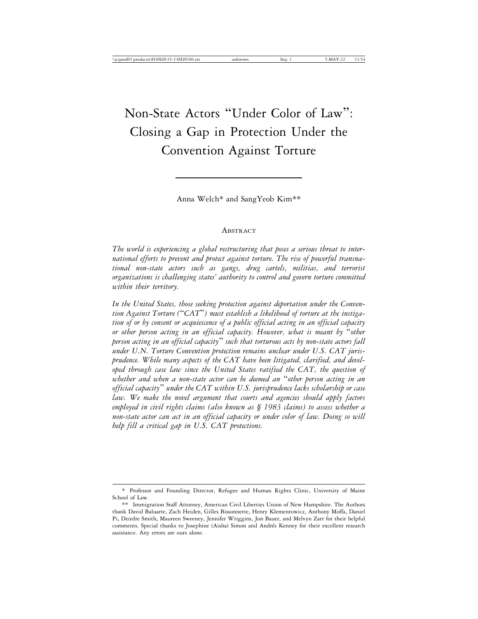# Non-State Actors "Under Color of Law" : Closing a Gap in Protection Under the Convention Against Torture

Anna Welch\* and SangYeob Kim\*\*

#### ABSTRACT

*The world is experiencing a global restructuring that poses a serious threat to international efforts to prevent and protect against torture. The rise of powerful transnational non-state actors such as gangs, drug cartels, militias, and terrorist organizations is challenging states' authority to control and govern torture committed within their territory.*

*In the United States, those seeking protection against deportation under the Convention Against Torture (*"*CAT*"*) must establish a likelihood of torture at the instigation of or by consent or acquiescence of a public official acting in an official capacity or other person acting in an official capacity. However, what is meant by* "*other person acting in an official capacity*" *such that torturous acts by non-state actors fall under U.N. Torture Convention protection remains unclear under U.S. CAT jurisprudence. While many aspects of the CAT have been litigated, clarified, and developed through case law since the United States ratified the CAT, the question of whether and when a non-state actor can be deemed an* "*other person acting in an official capacity*" *under the CAT within U.S. jurisprudence lacks scholarship or case law. We make the novel argument that courts and agencies should apply factors employed in civil rights claims (also known as § 1983 claims) to assess whether a non-state actor can act in an official capacity or under color of law. Doing so will help fill a critical gap in U.S. CAT protections.*

<sup>\*</sup> Professor and Founding Director, Refugee and Human Rights Clinic, University of Maine School of Law.

<sup>\*\*</sup> Immigration Staff Attorney, American Civil Liberties Union of New Hampshire. The Authors thank David Baluarte, Zach Heiden, Gilles Bissonnette, Henry Klementowicz, Anthony Moffa, Daniel Pi, Deirdre Smith, Maureen Sweeney, Jennifer Wriggins, Jon Bauer, and Melvyn Zarr for their helpful comments. Special thanks to Josephine (Aisha) Simon and Andrés Kenney for their excellent research assistance. Any errors are ours alone.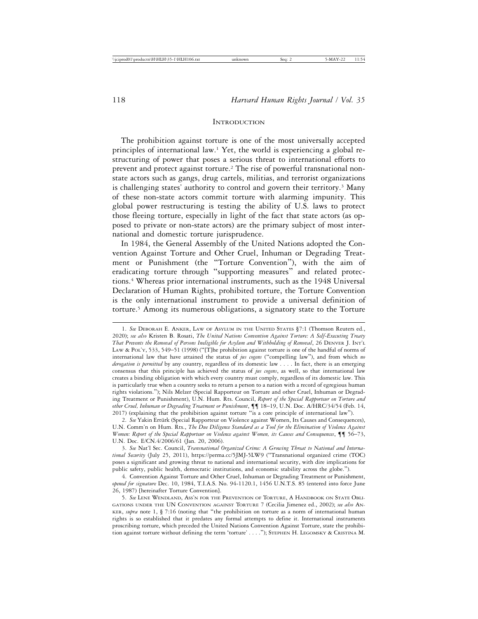#### **INTRODUCTION**

The prohibition against torture is one of the most universally accepted principles of international law.1 Yet, the world is experiencing a global restructuring of power that poses a serious threat to international efforts to prevent and protect against torture.<sup>2</sup> The rise of powerful transnational nonstate actors such as gangs, drug cartels, militias, and terrorist organizations is challenging states' authority to control and govern their territory.3 Many of these non-state actors commit torture with alarming impunity. This global power restructuring is testing the ability of U.S. laws to protect those fleeing torture, especially in light of the fact that state actors (as opposed to private or non-state actors) are the primary subject of most international and domestic torture jurisprudence.

In 1984, the General Assembly of the United Nations adopted the Convention Against Torture and Other Cruel, Inhuman or Degrading Treatment or Punishment (the "Torture Convention"), with the aim of eradicating torture through "supporting measures" and related protections.4 Whereas prior international instruments, such as the 1948 Universal Declaration of Human Rights, prohibited torture, the Torture Convention is the only international instrument to provide a universal definition of torture.5 Among its numerous obligations, a signatory state to the Torture

<sup>1.</sup> *See* DEBORAH E. ANKER, LAW OF ASYLUM IN THE UNITED STATES §7:1 (Thomson Reuters ed., 2020); *see also* Kristen B. Rosati, *The United Nations Convention Against Torture: A Self-Executing Treaty That Prevents the Removal of Persons Ineligible for Asylum and Withholding of Removal*, 26 DENVER J. INT'L LAW & POL'Y, 533, 549–51 (1998) ("[T]he prohibition against torture is one of the handful of norms of international law that have attained the status of *jus cogens* ("compelling law"), and from which *no derogation is permitted* by any country, regardless of its domestic law . . . . In fact, there is an emerging consensus that this principle has achieved the status of *jus cogens*, as well, so that international law creates a binding obligation with which every country must comply, regardless of its domestic law. This is particularly true when a country seeks to return a person to a nation with a record of egregious human rights violations."); Nils Melzer (Special Rapporteur on Torture and other Cruel, Inhuman or Degrading Treatment or Punishment), U.N. Hum. Rts. Council, *Report of the Special Rapporteur on Torture and other Cruel, Inhuman or Degrading Treatment or Punishment*, ¶¶ 18–19, U.N. Doc. A/HRC/34/54 (Feb. 14, 2017) (explaining that the prohibition against torture "is a core principle of international law").

<sup>2.</sup> See Yakin Ertürk (Special Rapporteur on Violence against Women, Its Causes and Consequences), U.N. Comm'n on Hum. Rts., *The Due Diligence Standard as a Tool for the Elimination of Violence Against Women: Report of the Special Rapporteur on Violence against Women, its Causes and Consequences*, ¶¶ 56–73, U.N. Doc. E/CN.4/2006/61 (Jan. 20, 2006).

<sup>3.</sup> *See* Nat'l Sec. Council, *Transnational Organized Crime: A Growing Threat to National and International Security* (July 25, 2011), https://perma.cc/5JMJ-5LW9 ("Transnational organized crime (TOC) poses a significant and growing threat to national and international security, with dire implications for public safety, public health, democratic institutions, and economic stability across the globe.").

<sup>4.</sup> Convention Against Torture and Other Cruel, Inhuman or Degrading Treatment or Punishment, *opened for signature* Dec. 10, 1984, T.I.A.S. No. 94-1120.1, 1456 U.N.T.S. 85 (entered into force June 26, 1987) [hereinafter Torture Convention].

<sup>5.</sup> *See* LENE WENDLAND, ASS'N FOR THE PREVENTION OF TORTURE, A HANDBOOK ON STATE OBLI-GATIONS UNDER THE UN CONVENTION AGAINST TORTURE 7 (Cecilia Jimenez ed., 2002); *see also* AN-KER, *supra* note 1, § 7:16 (noting that "the prohibition on torture as a norm of international human rights is so established that it predates any formal attempts to define it. International instruments proscribing torture, which preceded the United Nations Convention Against Torture, state the prohibition against torture without defining the term 'torture' . . . ."); STEPHEN H. LEGOMSKY & CRISTINA M.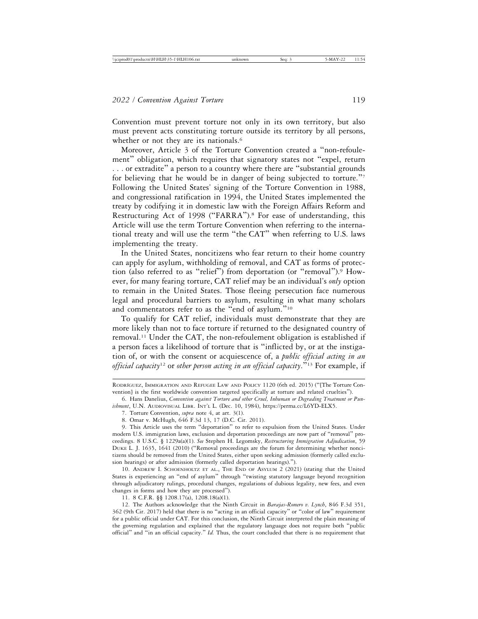Convention must prevent torture not only in its own territory, but also must prevent acts constituting torture outside its territory by all persons, whether or not they are its nationals.<sup>6</sup>

Moreover, Article 3 of the Torture Convention created a "non-refoulement" obligation, which requires that signatory states not "expel, return . . . or extradite" a person to a country where there are "substantial grounds for believing that he would be in danger of being subjected to torture."<sup>7</sup> Following the United States' signing of the Torture Convention in 1988, and congressional ratification in 1994, the United States implemented the treaty by codifying it in domestic law with the Foreign Affairs Reform and Restructuring Act of 1998 ("FARRA").<sup>8</sup> For ease of understanding, this Article will use the term Torture Convention when referring to the international treaty and will use the term "the CAT" when referring to U.S. laws implementing the treaty.

In the United States, noncitizens who fear return to their home country can apply for asylum, withholding of removal, and CAT as forms of protection (also referred to as "relief") from deportation (or "removal").9 However, for many fearing torture, CAT relief may be an individual's *only* option to remain in the United States. Those fleeing persecution face numerous legal and procedural barriers to asylum, resulting in what many scholars and commentators refer to as the "end of asylum."<sup>10</sup>

To qualify for CAT relief, individuals must demonstrate that they are more likely than not to face torture if returned to the designated country of removal.11 Under the CAT, the non-refoulement obligation is established if a person faces a likelihood of torture that is "inflicted by, or at the instigation of, or with the consent or acquiescence of, a *public official acting in an official capacity*<sup>12</sup> or *other person acting in an official capacity*."13 For example, if

10. ANDREW I. SCHOENHOLTZ ET AL., THE END OF ASYLUM 2 (2021) (stating that the United States is experiencing an "end of asylum" through "twisting statutory language beyond recognition through adjudicatory rulings, procedural changes, regulations of dubious legality, new fees, and even changes in forms and how they are processed").

11. 8 C.F.R. §§ 1208.17(a), 1208.18(a)(1).

12. The Authors acknowledge that the Ninth Circuit in *Barajas-Romero v. Lynch*, 846 F.3d 351, 362 (9th Cir. 2017) held that there is no "acting in an official capacity" or "color of law" requirement for a public official under CAT. For this conclusion, the Ninth Circuit interpreted the plain meaning of the governing regulation and explained that the regulatory language does not require both "public official" and "in an official capacity." *Id.* Thus, the court concluded that there is no requirement that

RODRÍGUEZ, IMMIGRATION AND REFUGEE LAW AND POLICY 1120 (6th ed. 2015) ("The Torture Convention] is the first worldwide convention targeted specifically at torture and related cruelties").

<sup>6.</sup> Hans Danelius, *Convention against Torture and other Cruel, Inhuman or Degrading Treatment or Punishment*, U.N. AUDIOVISUAL LIBR. INT'L L. (Dec. 10, 1984), https://perma.cc/L6YD-ELX5.

<sup>7.</sup> Torture Convention, *supra* note 4, at art. 3(1).

<sup>8.</sup> Omar v. McHugh, 646 F.3d 13, 17 (D.C. Cir. 2011).

<sup>9.</sup> This Article uses the term "deportation" to refer to expulsion from the United States. Under modern U.S. immigration laws, exclusion and deportation proceedings are now part of "removal" proceedings. 8 U.S.C. § 1229a(a)(1). *See* Stephen H. Legomsky, *Restructuring Immigration Adjudication*, 59 DUKE L. J. 1635, 1641 (2010) ("Removal proceedings are the forum for determining whether noncitizens should be removed from the United States, either upon seeking admission (formerly called exclusion hearings) or after admission (formerly called deportation hearings).").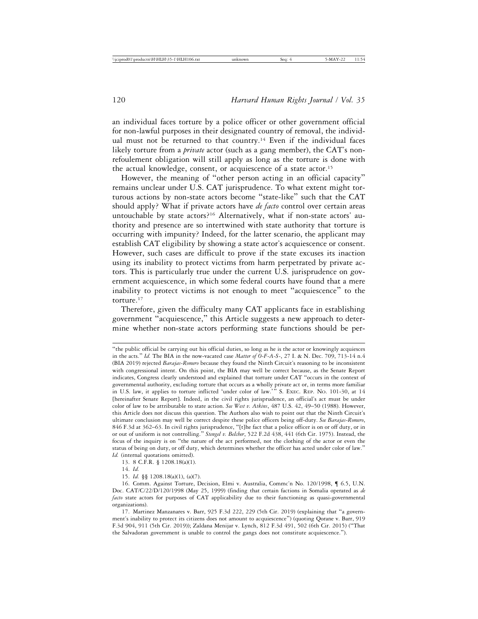an individual faces torture by a police officer or other government official for non-lawful purposes in their designated country of removal, the individual must not be returned to that country.<sup>14</sup> Even if the individual faces likely torture from a *private* actor (such as a gang member), the CAT's nonrefoulement obligation will still apply as long as the torture is done with the actual knowledge, consent, or acquiescence of a state actor.<sup>15</sup>

However, the meaning of "other person acting in an official capacity" remains unclear under U.S. CAT jurisprudence. To what extent might torturous actions by non-state actors become "state-like" such that the CAT should apply? What if private actors have *de facto* control over certain areas untouchable by state actors?<sup>16</sup> Alternatively, what if non-state actors' authority and presence are so intertwined with state authority that torture is occurring with impunity? Indeed, for the latter scenario, the applicant may establish CAT eligibility by showing a state actor's acquiescence or consent. However, such cases are difficult to prove if the state excuses its inaction using its inability to protect victims from harm perpetrated by private actors. This is particularly true under the current U.S. jurisprudence on government acquiescence, in which some federal courts have found that a mere inability to protect victims is not enough to meet "acquiescence" to the torture.<sup>17</sup>

Therefore, given the difficulty many CAT applicants face in establishing government "acquiescence," this Article suggests a new approach to determine whether non-state actors performing state functions should be per-

<sup>&</sup>quot;the public official be carrying out his official duties, so long as he is the actor or knowingly acquiesces in the acts." *Id.* The BIA in the now-vacated case *Matter of O-F-A-S-*, 27 I. & N. Dec. 709, 713-14 n.4 (BIA 2019) rejected *Barajas-Romero* because they found the Ninth Circuit's reasoning to be inconsistent with congressional intent. On this point, the BIA may well be correct because, as the Senate Report indicates, Congress clearly understood and explained that torture under CAT "occurs in the context of governmental authority, excluding torture that occurs as a wholly private act or, in terms more familiar in U.S. law, it applies to torture inflicted 'under color of law.'" S. EXEC. REP. NO. 101-30, at 14 [hereinafter Senate Report]. Indeed, in the civil rights jurisprudence, an official's act must be under color of law to be attributable to state action. *See West v. Atkins*, 487 U.S. 42, 49–50 (1988). However, this Article does not discuss this question. The Authors also wish to point out that the Ninth Circuit's ultimate conclusion may well be correct despite these police officers being off-duty. *See Barajas-Romero*, 846 F.3d at 362–63. In civil rights jurisprudence, "[t]he fact that a police officer is on or off duty, or in or out of uniform is not controlling." *Stengel v. Belcher*, 522 F.2d 438, 441 (6th Cir. 1975). Instead, the focus of the inquiry is on "the nature of the act performed, not the clothing of the actor or even the status of being on duty, or off duty, which determines whether the officer has acted under color of law." *Id.* (internal quotations omitted).

<sup>13. 8</sup> C.F.R. § 1208.18(a)(1).

<sup>14.</sup> *Id.*

<sup>15.</sup> *Id.* §§ 1208.18(a)(1), (a)(7).

<sup>16.</sup> Comm. Against Torture, Decision, Elmi v. Australia, Commc'n No. 120/1998, ¶ 6.5, U.N. Doc. CAT/C/22/D/120/1998 (May 25, 1999) (finding that certain factions in Somalia operated as *de facto* state actors for purposes of CAT applicability due to their functioning as quasi-governmental organizations).

<sup>17.</sup> Martinez Manzanares v. Barr, 925 F.3d 222, 229 (5th Cir. 2019) (explaining that "a government's inability to protect its citizens does not amount to acquiescence") (quoting Qorane v. Barr, 919 F.3d 904, 911 (5th Cir. 2019)); Zaldana Menijar v. Lynch, 812 F.3d 491, 502 (6th Cir. 2015) ("That the Salvadoran government is unable to control the gangs does not constitute acquiescence.").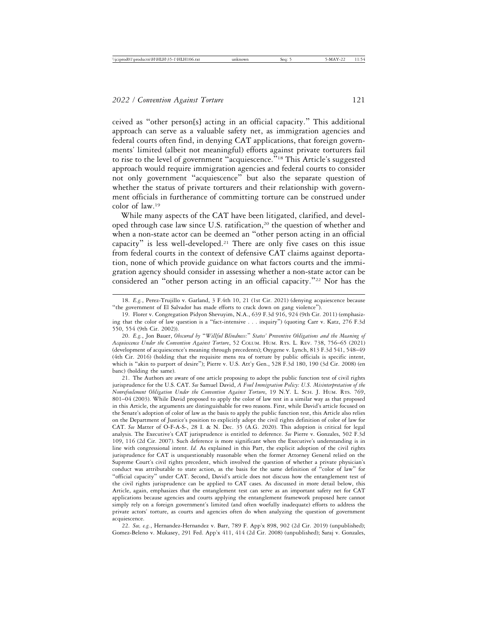ceived as "other person[s] acting in an official capacity." This additional approach can serve as a valuable safety net, as immigration agencies and federal courts often find, in denying CAT applications, that foreign governments' limited (albeit not meaningful) efforts against private torturers fail to rise to the level of government "acquiescence."<sup>18</sup> This Article's suggested approach would require immigration agencies and federal courts to consider not only government "acquiescence" but also the separate question of whether the status of private torturers and their relationship with government officials in furtherance of committing torture can be construed under color of law.19

While many aspects of the CAT have been litigated, clarified, and developed through case law since U.S. ratification,<sup>20</sup> the question of whether and when a non-state actor can be deemed an "other person acting in an official capacity" is less well-developed.21 There are only five cases on this issue from federal courts in the context of defensive CAT claims against deportation, none of which provide guidance on what factors courts and the immigration agency should consider in assessing whether a non-state actor can be considered an "other person acting in an official capacity."<sup>22</sup> Nor has the

21. The Authors are aware of one article proposing to adopt the public function test of civil rights jurisprudence for the U.S. CAT. *See* Samuel David, *A Foul Immigration Policy: U.S. Misinterpretation of the Nonrefoulement Obligation Under the Convention Against Torture*, 19 N.Y. L. SCH. J. HUM. RTS. 769, 801–04 (2003). While David proposed to apply the color of law test in a similar way as that proposed in this Article, the arguments are distinguishable for two reasons. First, while David's article focused on the Senate's adoption of color of law as the basis to apply the public function test, this Article also relies on the Department of Justice's position to explicitly adopt the civil rights definition of color of law for CAT. *See* Matter of O-F-A-S-, 28 I. & N. Dec. 35 (A.G. 2020). This adoption is critical for legal analysis. The Executive's CAT jurisprudence is entitled to deference. *See* Pierre v. Gonzales, 502 F.3d 109, 116 (2d Cir. 2007). Such deference is more significant when the Executive's understanding is in line with congressional intent. *Id.* As explained in this Part, the explicit adoption of the civil rights jurisprudence for CAT is unquestionably reasonable when the former Attorney General relied on the Supreme Court's civil rights precedent, which involved the question of whether a private physician's conduct was attributable to state action, as the basis for the same definition of "color of law" for "official capacity" under CAT. Second, David's article does not discuss how the entanglement test of the civil rights jurisprudence can be applied to CAT cases. As discussed in more detail below, this Article, again, emphasizes that the entanglement test can serve as an important safety net for CAT applications because agencies and courts applying the entanglement framework proposed here cannot simply rely on a foreign government's limited (and often woefully inadequate) efforts to address the private actors' torture, as courts and agencies often do when analyzing the question of government acquiescence.

22. *See, e.g.*, Hernandez-Hernandez v. Barr, 789 F. App'x 898, 902 (2d Cir. 2019) (unpublished); Gomez-Beleno v. Mukasey, 291 Fed. App'x 411, 414 (2d Cir. 2008) (unpublished); Saraj v. Gonzales,

<sup>18.</sup> *E.g.*, Perez-Trujillo v. Garland, 3 F.4th 10, 21 (1st Cir. 2021) (denying acquiescence because "the government of El Salvador has made efforts to crack down on gang violence").

<sup>19.</sup> Florer v. Congregation Pidyon Shevuyim, N.A., 639 F.3d 916, 924 (9th Cir. 2011) (emphasizing that the color of law question is a "fact-intensive . . . inquiry") (quoting Carr v. Katz, 276 F.3d 550, 554 (9th Cir. 2002)).

<sup>20.</sup> *E.g.*, Jon Bauer, *Obscured by* "*Willful Blindness:*" *States' Preventive Obligations and the Meaning of Acquiescence Under the Convention Against Torture*, 52 COLUM. HUM. RTS. L. REV. 738, 756–65 (2021) (development of acquiescence's meaning through precedents); Oxygene v. Lynch, 813 F.3d 541, 548–49 (4th Cir. 2016) (holding that the requisite mens rea of torture by public officials is specific intent, which is "akin to purport of desire"); Pierre v. U.S. Att'y Gen., 528 F.3d 180, 190 (3d Cir. 2008) (en banc) (holding the same).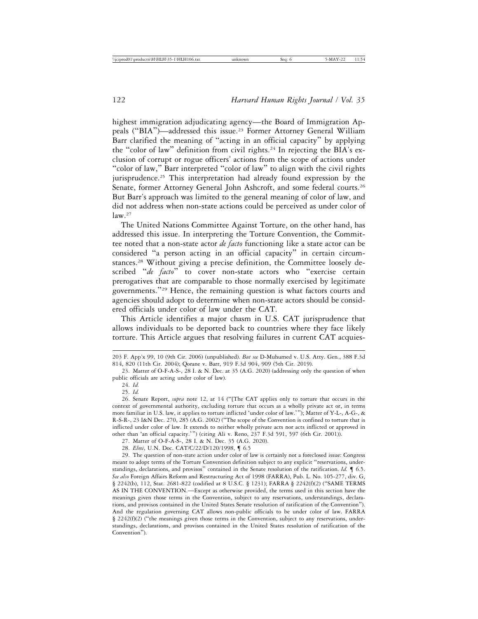highest immigration adjudicating agency—the Board of Immigration Appeals ("BIA")—addressed this issue.23 Former Attorney General William Barr clarified the meaning of "acting in an official capacity" by applying the "color of law" definition from civil rights.<sup>24</sup> In rejecting the BIA's exclusion of corrupt or rogue officers' actions from the scope of actions under "color of law," Barr interpreted "color of law" to align with the civil rights jurisprudence.25 This interpretation had already found expression by the Senate, former Attorney General John Ashcroft, and some federal courts.<sup>26</sup> But Barr's approach was limited to the general meaning of color of law, and did not address when non-state actions could be perceived as under color of  $law<sup>27</sup>$ 

The United Nations Committee Against Torture, on the other hand, has addressed this issue. In interpreting the Torture Convention, the Committee noted that a non-state actor *de facto* functioning like a state actor can be considered "a person acting in an official capacity" in certain circumstances.28 Without giving a precise definition, the Committee loosely described "*de facto*" to cover non-state actors who "exercise certain prerogatives that are comparable to those normally exercised by legitimate governments."29 Hence, the remaining question is what factors courts and agencies should adopt to determine when non-state actors should be considered officials under color of law under the CAT.

This Article identifies a major chasm in U.S. CAT jurisprudence that allows individuals to be deported back to countries where they face likely torture. This Article argues that resolving failures in current CAT acquies-

<sup>203</sup> F. App'x 99, 10 (9th Cir. 2006) (unpublished). *But see* D-Muhumed v. U.S. Atty. Gen*.*, 388 F.3d 814, 820 (11th Cir. 2004); Qorane v. Barr, 919 F.3d 904, 909 (5th Cir. 2019).

<sup>23.</sup> Matter of O-F-A-S-, 28 I. & N. Dec. at 35 (A.G. 2020) (addressing only the question of when public officials are acting under color of law).

<sup>24.</sup> *Id.*

<sup>25.</sup> *Id.*

<sup>26.</sup> Senate Report, *supra* note 12, at 14 ("[The CAT applies only to torture that occurs in the context of governmental authority, excluding torture that occurs as a wholly private act or, in terms more familiar in U.S. law, it applies to torture inflicted 'under color of law.'"); Matter of Y-L-, A-G-, & R-S-R*-*, 23 I&N Dec. 270, 285 (A.G. 2002) ("The scope of the Convention is confined to torture that is inflicted under color of law. It extends to neither wholly private acts nor acts inflicted or approved in other than 'an official capacity.'") (citing Ali v. Reno, 237 F.3d 591, 597 (6th Cir. 2001)).

<sup>27.</sup> Matter of O-F-A-S-, 28 I. & N. Dec. 35 (A.G. 2020).

<sup>28.</sup> *Elmi*, U.N. Doc. CAT/C/22/D/120/1998, ¶ 6.5

<sup>29.</sup> The question of non-state action under color of law is certainly not a foreclosed issue: Congress meant to adopt terms of the Torture Convention definition subject to any explicit "reservations, understandings, declarations, and provisos" contained in the Senate resolution of the ratification. *Id.* ¶ 6.5. *See also* Foreign Affairs Reform and Restructuring Act of 1998 (FARRA), Pub. L. No. 105-277, div. G, § 2242(b), 112, Stat. 2681-822 (codified at 8 U.S.C. § 1231); FARRA § 2242(f)(2) ("SAME TERMS AS IN THE CONVENTION.—Except as otherwise provided, the terms used in this section have the meanings given those terms in the Convention, subject to any reservations, understandings, declarations, and provisos contained in the United States Senate resolution of ratification of the Convention"). And the regulation governing CAT allows non-public officials to be under color of law. FARRA § 2242(f)(2) ("the meanings given those terms in the Convention, subject to any reservations, understandings, declarations, and provisos contained in the United States resolution of ratification of the Convention").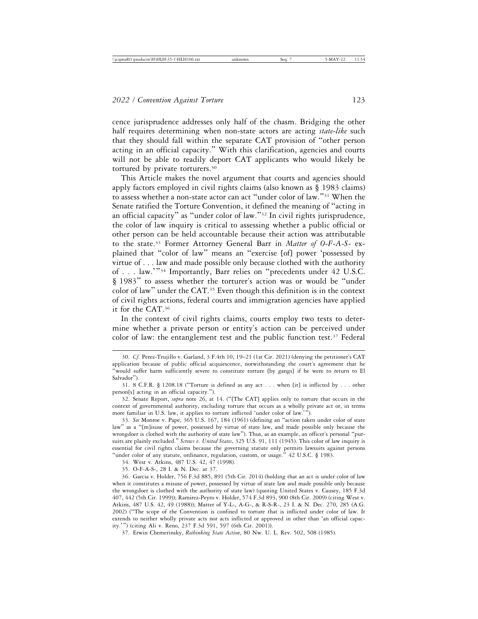cence jurisprudence addresses only half of the chasm. Bridging the other half requires determining when non-state actors are acting *state-like* such that they should fall within the separate CAT provision of "other person acting in an official capacity." With this clarification, agencies and courts will not be able to readily deport CAT applicants who would likely be tortured by private torturers.30

This Article makes the novel argument that courts and agencies should apply factors employed in civil rights claims (also known as § 1983 claims) to assess whether a non-state actor can act "under color of law."31 When the Senate ratified the Torture Convention, it defined the meaning of "acting in an official capacity" as "under color of law."32 In civil rights jurisprudence, the color of law inquiry is critical to assessing whether a public official or other person can be held accountable because their action was attributable to the state.33 Former Attorney General Barr in *Matter of O-F-A-S-* explained that "color of law" means an "exercise [of] power 'possessed by virtue of . . . law and made possible only because clothed with the authority of . . . law.'"34 Importantly, Barr relies on "precedents under 42 U.S.C. § 1983" to assess whether the torturer's action was or would be "under color of law" under the CAT.35 Even though this definition is in the context of civil rights actions, federal courts and immigration agencies have applied it for the CAT.36

In the context of civil rights claims, courts employ two tests to determine whether a private person or entity's action can be perceived under color of law: the entanglement test and the public function test.<sup>37</sup> Federal

34. West v. Atkins, 487 U.S. 42, 47 (1998).

35. O-F-A-S-, 28 I. & N. Dec. at 37.

<sup>30.</sup> *Cf.* Perez-Trujillo v. Garland, 3 F.4th 10, 19–21 (1st Cir. 2021) (denying the petitioner's CAT application because of public official acquiescence, notwithstanding the court's agreement that he "would suffer harm sufficiently severe to constitute torture [by gangs] if he were to return to El Salvador").

<sup>31. 8</sup> C.F.R. § 1208.18 ("Torture is defined as any act . . . when [it] is inflicted by . . . other person[s] acting in an official capacity.").

<sup>32.</sup> Senate Report, *supra* note 26, at 14. ("[The CAT] applies only to torture that occurs in the context of governmental authority, excluding torture that occurs as a wholly private act or, in terms more familiar in U.S. law, it applies to torture inflicted 'under color of law.'").

<sup>33.</sup> *See* Monroe v. Pape, 365 U.S. 167, 184 (1961) (defining an "action taken under color of state law" as a "[m]isuse of power, possessed by virtue of state law, and made possible only because the wrongdoer is clothed with the authority of state law"). Thus, as an example, an officer's personal "pursuits are plainly excluded." *Screws v. United States*, 325 U.S. 91, 111 (1945). This color of law inquiry is essential for civil rights claims because the governing statute only permits lawsuits against persons "under color of any statute, ordinance, regulation, custom, or usage." 42 U.S.C. § 1983.

<sup>36.</sup> Garcia v. Holder, 756 F.3d 885, 891 (5th Cir. 2014) (holding that an act is under color of law when it constitutes a misuse of power, possessed by virtue of state law and made possible only because the wrongdoer is clothed with the authority of state law) (quoting United States v. Causey, 185 F.3d 407, 442 (5th Cir. 1999)); Ramirez-Peyro v. Holder, 574 F.3d 893, 900 (8th Cir. 2009) (citing West v. Atkins, 487 U.S. 42, 49 (1988)); Matter of Y-L-, A-G-, & R-S-R*-*, 23 I. & N. Dec. 270, 285 (A.G. 2002) ("The scope of the Convention is confined to torture that is inflicted under color of law. It extends to neither wholly private acts nor acts inflicted or approved in other than 'an official capacity.'") (citing Ali v. Reno, 237 F.3d 591, 597 (6th Cir. 2001)).

<sup>37.</sup> Erwin Chemerinsky, *Rethinking State Action*, 80 Nw. U. L. Rev. 502, 508 (1985).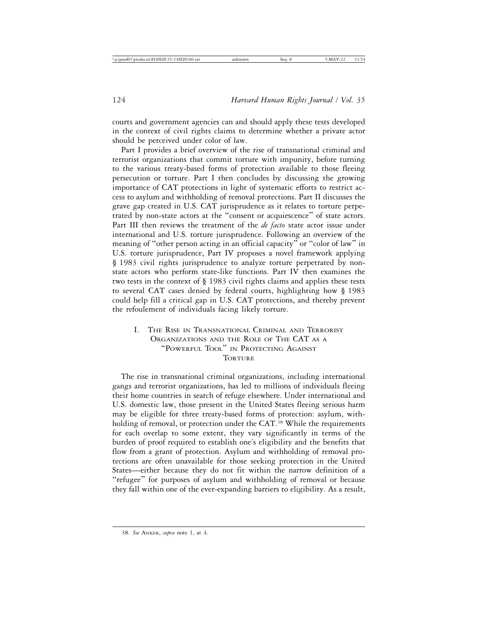courts and government agencies can and should apply these tests developed in the context of civil rights claims to determine whether a private actor should be perceived under color of law.

Part I provides a brief overview of the rise of transnational criminal and terrorist organizations that commit torture with impunity, before turning to the various treaty-based forms of protection available to those fleeing persecution or torture. Part I then concludes by discussing the growing importance of CAT protections in light of systematic efforts to restrict access to asylum and withholding of removal protections. Part II discusses the grave gap created in U.S. CAT jurisprudence as it relates to torture perpetrated by non-state actors at the "consent or acquiescence" of state actors. Part III then reviews the treatment of the *de facto* state actor issue under international and U.S. torture jurisprudence. Following an overview of the meaning of "other person acting in an official capacity" or "color of law" in U.S. torture jurisprudence, Part IV proposes a novel framework applying § 1983 civil rights jurisprudence to analyze torture perpetrated by nonstate actors who perform state-like functions. Part IV then examines the two tests in the context of § 1983 civil rights claims and applies these tests to several CAT cases denied by federal courts, highlighting how § 1983 could help fill a critical gap in U.S. CAT protections, and thereby prevent the refoulement of individuals facing likely torture.

# I. THE RISE IN TRANSNATIONAL CRIMINAL AND TERRORIST ORGANIZATIONS AND THE ROLE OF THE CAT AS A "POWERFUL TOOL" IN PROTECTING AGAINST **TORTURE**

The rise in transnational criminal organizations, including international gangs and terrorist organizations, has led to millions of individuals fleeing their home countries in search of refuge elsewhere. Under international and U.S. domestic law, those present in the United States fleeing serious harm may be eligible for three treaty-based forms of protection: asylum, withholding of removal, or protection under the CAT.<sup>38</sup> While the requirements for each overlap to some extent, they vary significantly in terms of the burden of proof required to establish one's eligibility and the benefits that flow from a grant of protection. Asylum and withholding of removal protections are often unavailable for those seeking protection in the United States—either because they do not fit within the narrow definition of a "refugee" for purposes of asylum and withholding of removal or because they fall within one of the ever-expanding barriers to eligibility. As a result,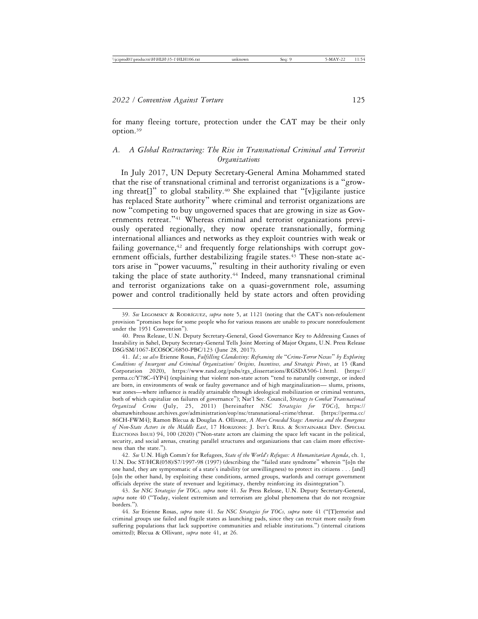for many fleeing torture, protection under the CAT may be their only option.39

# *A. A Global Restructuring: The Rise in Transnational Criminal and Terrorist Organizations*

In July 2017, UN Deputy Secretary-General Amina Mohammed stated that the rise of transnational criminal and terrorist organizations is a "growing threat[]" to global stability.40 She explained that "[v]igilante justice has replaced State authority" where criminal and terrorist organizations are now "competing to buy ungoverned spaces that are growing in size as Governments retreat."<sup>41</sup> Whereas criminal and terrorist organizations previously operated regionally, they now operate transnationally, forming international alliances and networks as they exploit countries with weak or failing governance, $42$  and frequently forge relationships with corrupt government officials, further destabilizing fragile states.<sup>43</sup> These non-state actors arise in "power vacuums," resulting in their authority rivaling or even taking the place of state authority.<sup>44</sup> Indeed, many transnational criminal and terrorist organizations take on a quasi-government role, assuming power and control traditionally held by state actors and often providing

<sup>39.</sup> See LEGOMSKY & RODRÍGUEZ, *supra* note 5, at 1121 (noting that the CAT's non-refoulement provision "promises hope for some people who for various reasons are unable to procure nonrefoulement under the 1951 Convention").

<sup>40.</sup> Press Release, U.N. Deputy Secretary-General, Good Governance Key to Addressing Causes of Instability in Sahel, Deputy Secretary-General Tells Joint Meeting of Major Organs, U.N. Press Release DSG/SM/1067-ECOSOC/6850-PBC/123 (June 28, 2017).

<sup>41.</sup> *Id.*; *see also* Etienne Rosas, *Fulfilling Clandestiny: Reframing the* "*Crime-Terror Nexus*" *by Exploring Conditions of Insurgent and Criminal Organizations' Origins, Incentives, and Strategic Pivots*, at 15 (Rand Corporation 2020), https://www.rand.org/pubs/rgs\_dissertations/RGSDA506-1.html. [https:// perma.cc/Y78C-4YP4] (explaining that violent non-state actors "tend to naturally converge, or indeed are born, in environments of weak or faulty governance and of high marginalization— slums, prisons, war zones—where influence is readily attainable through ideological mobilization or criminal ventures, both of which capitalize on failures of governance"); Nat'l Sec. Council, *Strategy to Combat Transnational Organized Crime* (July, 25, 2011) [hereinafter *NSC Strategies for TOCs*], https:// obamawhitehouse.archives.gov/administration/eop/nsc/transnational-crime/threat. [https://perma.cc/ 86CH-FWM4]; Ramon Blecua & Douglas A. Ollivant, *A More Crowded Stage: America and the Emergence of Non-State Actors in the Middle East*, 17 HORIZONS: J. INT'L RELS. & SUSTAINABLE DEV. (SPECIAL ELECTIONS ISSUE) 94, 100 (2020) ("Non-state actors are claiming the space left vacant in the political, security, and social arenas, creating parallel structures and organizations that can claim more effectiveness than the state.").

<sup>42.</sup> *See* U.N. High Comm'r for Refugees, *State of the World's Refugees: A Humanitarian Agenda*, ch. 1, U.N. Doc ST/HCR(058)/S7/1997-98 (1997) (describing the "failed state syndrome" wherein "[o]n the one hand, they are symptomatic of a state's inability (or unwillingness) to protect its citizens . . . [and] [o]n the other hand, by exploiting these conditions, armed groups, warlords and corrupt government officials deprive the state of revenuer and legitimacy, thereby reinforcing its disintegration").

<sup>43.</sup> *See NSC Strategies for TOCs, supra* note 41. *See* Press Release, U.N. Deputy Secretary-General, *supra* note 40 ("Today, violent extremism and terrorism are global phenomena that do not recognize borders.").

<sup>44.</sup> *See* Etienne Rosas, *supra* note 41. *See NSC Strategies for TOCs, supra* note 41 ("[T]errorist and criminal groups use failed and fragile states as launching pads, since they can recruit more easily from suffering populations that lack supportive communities and reliable institutions.") (internal citations omitted); Blecua & Ollivant, *supra* note 41, at 26.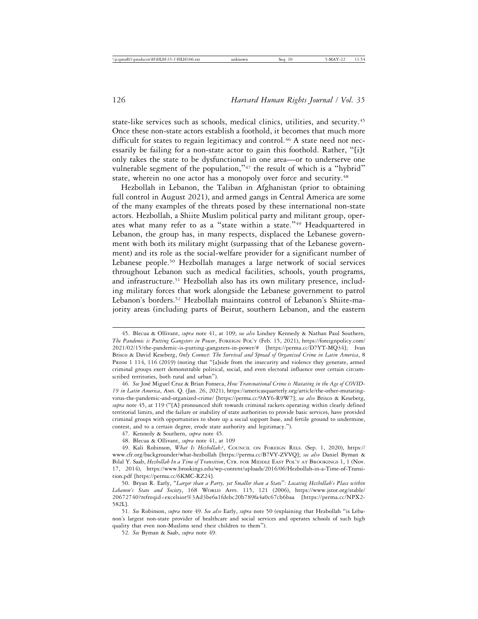state-like services such as schools, medical clinics, utilities, and security.45 Once these non-state actors establish a foothold, it becomes that much more difficult for states to regain legitimacy and control.<sup>46</sup> A state need not necessarily be failing for a non-state actor to gain this foothold. Rather, "[i]t only takes the state to be dysfunctional in one area—or to underserve one vulnerable segment of the population,"<sup>47</sup> the result of which is a "hybrid" state, wherein no one actor has a monopoly over force and security.<sup>48</sup>

Hezbollah in Lebanon, the Taliban in Afghanistan (prior to obtaining full control in August 2021), and armed gangs in Central America are some of the many examples of the threats posed by these international non-state actors. Hezbollah, a Shiite Muslim political party and militant group, operates what many refer to as a "state within a state."49 Headquartered in Lebanon, the group has, in many respects, displaced the Lebanese government with both its military might (surpassing that of the Lebanese government) and its role as the social-welfare provider for a significant number of Lebanese people.50 Hezbollah manages a large network of social services throughout Lebanon such as medical facilities, schools, youth programs, and infrastructure.<sup>51</sup> Hezbollah also has its own military presence, including military forces that work alongside the Lebanese government to patrol Lebanon's borders.52 Hezbollah maintains control of Lebanon's Shiite-majority areas (including parts of Beirut, southern Lebanon, and the eastern

52. *See* Byman & Saab, *supra* note 49.

<sup>45.</sup> Blecua & Ollivant, *supra* note 41, at 109; *see also* Lindsey Kennedy & Nathan Paul Southern, *The Pandemic is Putting Gangsters in Power*, FOREIGN POL'Y (Feb. 15, 2021), https://foreignpolicy.com/ 2021/02/15/the-pandemic-is-putting-gangsters-in-power/# [https://perma.cc/D7YT-MQ34]; Ivan Brisco & David Keseberg, *Only Connect: The Survival and Spread of Organized Crime in Latin America*, 8 PRISM 1 114, 116 (2019) (noting that "[a]side from the insecurity and violence they generate, armed criminal groups exert demonstrable political, social, and even electoral influence over certain circumscribed territories, both rural and urban").

<sup>46.</sup> See José Miguel Cruz & Brian Fonseca, *How Transnational Crime is Mutating in the Age of COVID-19 in Latin America*, AMS. Q. (Jan. 26, 2021), https://americasquarterly.org/article/the-other-mutatingvirus-the-pandemic-and-organized-crime/ [https://perma.cc/9AY6-R9W7]; *see also* Brisco & Keseberg, *supra* note 45, at 119 ("[A] pronounced shift towards criminal rackets operating within clearly defined territorial limits, and the failure or inability of state authorities to provide basic services, have provided criminal groups with opportunities to shore up a social support base, and fertile ground to undermine, contest, and to a certain degree, erode state authority and legitimacy.").

<sup>47.</sup> Kennedy & Southern, *supra* note 45.

<sup>48.</sup> Blecua & Ollivant, *supra* note 41, at 109

<sup>49.</sup> Kali Robinson, *What Is Hezbollah?*, COUNCIL ON FOREIGN RELS. (Sep. 1, 2020), https:// www.cfr.org/backgrounder/what-hezbollah [https://perma.cc/B7VY-ZVVQ]; *see also* Daniel Byman & Bilal Y. Saab, *Hezbollah In a Time of Transition*, CTR. FOR MIDDLE EAST POL'Y AT BROOKINGS 1, 1 (Nov. 17, 2014), https://www.brookings.edu/wp-content/uploads/2016/06/Hezbollah-in-a-Time-of-Transition.pdf [https://perma.cc/6KMC-RZ24].

<sup>50.</sup> Bryan R. Early, "*Larger than a Party, yet Smaller than a State*"*: Locating Hezbollah's Place within Lebanon's State and Society*, 168 WORLD AFFS. 115, 121 (2006), https://www.jstor.org/stable/ 20672740?refreqid=excelsior%3Ad3be6a1fdebc20b789fa4a0c67cb6baa [https://perma.cc/NPX2- 582L].

<sup>51.</sup> *See* Robinson, *supra* note 49. *See also* Early, *supra* note 50 (explaining that Hezbollah "is Lebanon's largest non-state provider of healthcare and social services and operates schools of such high quality that even non-Muslims send their children to them").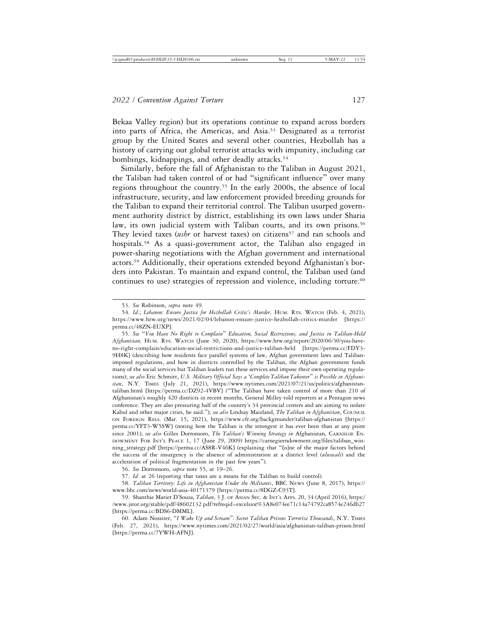Bekaa Valley region) but its operations continue to expand across borders into parts of Africa, the Americas, and Asia.53 Designated as a terrorist group by the United States and several other countries, Hezbollah has a history of carrying out global terrorist attacks with impunity, including car bombings, kidnappings, and other deadly attacks.<sup>54</sup>

Similarly, before the fall of Afghanistan to the Taliban in August 2021, the Taliban had taken control of or had "significant influence" over many regions throughout the country.55 In the early 2000s, the absence of local infrastructure, security, and law enforcement provided breeding grounds for the Taliban to expand their territorial control. The Taliban usurped government authority district by district, establishing its own laws under Sharia law, its own judicial system with Taliban courts, and its own prisons.<sup>56</sup> They levied taxes (*ushr* or harvest taxes) on citizens<sup>57</sup> and ran schools and hospitals.<sup>58</sup> As a quasi-government actor, the Taliban also engaged in power-sharing negotiations with the Afghan government and international actors.59 Additionally, their operations extended beyond Afghanistan's borders into Pakistan. To maintain and expand control, the Taliban used (and continues to use) strategies of repression and violence, including torture.<sup>60</sup>

55. *See* "*You Have No Right to Complain*" *Education, Social Restrictions, and Justice in Taliban-Held Afghanistan,* HUM. RTS. WATCH (June 30, 2020), https://www.hrw.org/report/2020/06/30/you-haveno-right-complain/education-social-restrictions-and-justice-taliban-held [https://perma.cc/FDY3- 9H8K] (describing how residents face parallel systems of law, Afghan government laws and Talibanimposed regulations, and how in districts controlled by the Taliban, the Afghan government funds many of the social services but Taliban leaders run these services and impose their own operating regulations); *see also* Eric Schmitt, *U.S. Military Official Says a* '*Complete Taliban Takeover*" *is Possible in Afghanistan*, N.Y. TIMES (July 21, 2021), https://www.nytimes.com/2021/07/21/us/politics/afghanistantaliban.html [https://perma.cc/DZ92-4VBV] ("The Taliban have taken control of more than 210 of Afghanistan's roughly 420 districts in recent months, General Milley told reporters at a Pentagon news conference. They are also pressuring half of the country's 34 provincial centers and are aiming to isolate Kabul and other major cities, he said."); *see also* Lindsay Maizland, *The Taliban in Afghanistan*, COUNCIL ON FOREIGN RELS. (Mar. 15, 2021), https://www.cfr.org/backgrounder/taliban-afghanistan [https:// perma.cc/YFT3-W5SW] (noting how the Taliban is the strongest it has ever been than at any point since 2001); *see also* Gilles Dorronsoro, *The Taliban's Winning Strategy in* Afghanistan, CARNEGIE EN-DOWMENT FOR INT'L PEACE 1, 17 (June 29, 2009) https://carnegieendowment.org/files/taliban\_winning\_strategy.pdf [https://perma.cc/AS8R-V46K] (explaining that "[o]ne of the major factors behind the success of the insurgency is the absence of administration at a district level (*uluswali*) and the acceleration of political fragmentation in the past few years").

56. *See* Dorronsoro, *supra* note 55, at 19–26.

57. *Id.* at 26 (reporting that taxes are a means for the Taliban to build control).

58. *Taliban Territory: Life in Afghanistan Under the Militants*, BBC NEWS (June 8, 2017), https:// www.bbc.com/news/world-asia-40171379 [https://perma.cc/8DGZ-C93T].

60. Adam Nossiter, "*I Wake Up and Scream*"*: Secret Taliban Prisons Terrorize Thousands*, N.Y. TIMES (Feb. 27, 2021), https://www.nytimes.com/2021/02/27/world/asia/afghanistan-taliban-prison.html [https://perma.cc/7YWH-AFNJ].

<sup>53.</sup> *See* Robinson, *supra* note 49.

<sup>54.</sup> *Id.*; *Lebanon: Ensure Justice for Hezbollah Critic's Murder,* HUM. RTS. WATCH (Feb. 4, 2021), https://www.hrw.org/news/2021/02/04/lebanon-ensure-justice-hezbollah-critics-murder [https:// perma.cc/48ZN-EUXP].

<sup>59.</sup> Shanthie Mariet D'Souza, *Taliban*, 3 J. OF ASIAN SEC. & INT'L AFFS. 20, 34 (April 2016), https:/ /www.jstor.org/stable/pdf/48602132.pdf?refreqid=excelsior%3A8e074ee71c14a74792ca8574e246db27 [https://perma.cc/BDS6-DMML].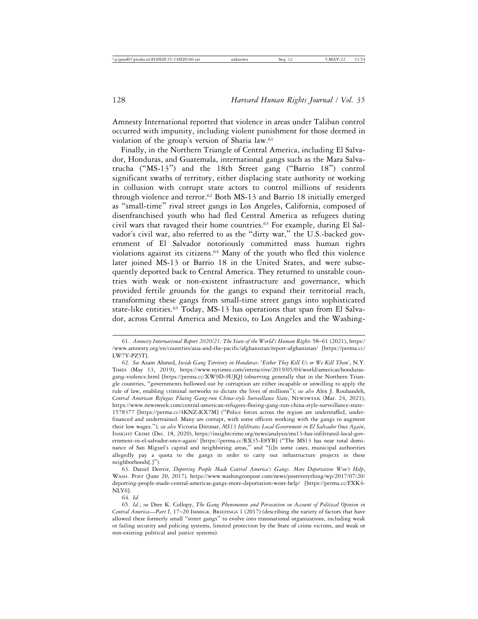Amnesty International reported that violence in areas under Taliban control occurred with impunity, including violent punishment for those deemed in violation of the group's version of Sharia law.<sup>61</sup>

Finally, in the Northern Triangle of Central America, including El Salvador, Honduras, and Guatemala, international gangs such as the Mara Salvatrucha ("MS-13") and the 18th Street gang ("Barrio 18") control significant swaths of territory, either displacing state authority or working in collusion with corrupt state actors to control millions of residents through violence and terror.<sup>62</sup> Both MS-13 and Barrio 18 initially emerged as "small-time" rival street gangs in Los Angeles, California, composed of disenfranchised youth who had fled Central America as refugees during civil wars that ravaged their home countries.63 For example, during El Salvador's civil war, also referred to as the "dirty war," the U.S.-backed government of El Salvador notoriously committed mass human rights violations against its citizens.64 Many of the youth who fled this violence later joined MS-13 or Barrio 18 in the United States, and were subsequently deported back to Central America. They returned to unstable countries with weak or non-existent infrastructure and governance, which provided fertile grounds for the gangs to expand their territorial reach, transforming these gangs from small-time street gangs into sophisticated state-like entities.<sup>65</sup> Today, MS-13 has operations that span from El Salvador, across Central America and Mexico, to Los Angeles and the Washing-

63. Daniel Denvir, *Deporting People Made Central America's Gangs. More Deportation Won't Help*, WASH. POST (June 20, 2017)*,* https://www.washingtonpost.com/news/posteverything/wp/2017/07/20/ deporting-people-made-central-americas-gangs-more-deportation-wont-help/ [https://perma.cc/FXK4- NLY6].

64. *Id.*

<sup>61.</sup> *Amnesty International Report 2020/21: The State of the World's Human Rights* 58–61 (2021), https:/ /www.amnesty.org/en/countries/asia-and-the-pacific/afghanistan/report-afghanistan/ [https://perma.cc/ LW7Y-PZ5T].

<sup>62.</sup> *See* Azam Ahmed, *Inside Gang Territory in Honduras:* '*Either They Kill Us or We Kill Them'*, N.Y. TIMES (May 13, 2019), https://www.nytimes.com/interactive/2019/05/04/world/americas/hondurasgang-violence.html [https://perma.cc/XW9D-9UJQ] (observing generally that in the Northern Triangle countries, "governments hollowed out by corruption are either incapable or unwilling to apply the rule of law, enabling criminal networks to dictate the lives of millions"); *see also* Alex J. Rouhandeh, *Central American Refugees Fleeing Gang-run China-style Surveillance State*, NEWSWEEK (Mar. 24, 2021), https://www.newsweek.com/central-american-refugees-fleeing-gang-run-china-style-surveillance-state-1578377 [https://perma.cc/4KNZ-KX7M] ("Police forces across the region are understaffed, underfinanced and undertrained. Many are corrupt, with some officers working with the gangs to augment their low wages."); *see also* Victoria Dittmar, *MS13 Infiltrates Local Government in El Salvador Once Again*, INSIGHT CRIME (Dec. 18, 2020), https://insightcrime.org/news/analysis/ms13-has-infiltrated-local-government-in-el-salvador-once-again/ [https://perma.cc/RX35-E8YB] ("The MS13 has near total dominance of San Miguel's capital and neighboring areas," and "[i]n some cases, municipal authorities allegedly pay a quota to the gangs in order to carry out infrastructure projects in these neighborhoods[.]").

<sup>65.</sup> *Id.*; *see* Dree K. Collopy, *The Gang Phenomenon and Persecution on Account of Political Opinion in Central America*—*Part I*, 17–20 IMMIGR. BRIEFINGS 1 (2017) (describing the variety of factors that have allowed these formerly small "street gangs" to evolve into transnational organizations, including weak or failing security and policing systems, limited protection by the State of crime victims, and weak or non-existing political and justice systems).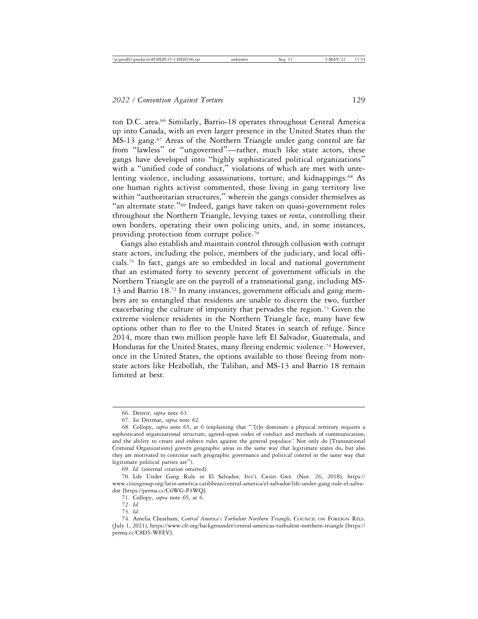ton D.C. area.<sup>66</sup> Similarly, Barrio-18 operates throughout Central America up into Canada, with an even larger presence in the United States than the  $MS-13$  gang.<sup>67</sup> Areas of the Northern Triangle under gang control are far from "lawless" or "ungoverned"—rather, much like state actors, these gangs have developed into "highly sophisticated political organizations" with a "unified code of conduct," violations of which are met with unrelenting violence, including assassinations, torture, and kidnappings.<sup>68</sup> As one human rights activist commented, those living in gang territory live within "authoritarian structures," wherein the gangs consider themselves as "an alternate state."69 Indeed, gangs have taken on quasi-government roles throughout the Northern Triangle, levying taxes or *renta*, controlling their own borders, operating their own policing units, and, in some instances, providing protection from corrupt police.70

Gangs also establish and maintain control through collusion with corrupt state actors, including the police, members of the judiciary, and local officials.<sup>71</sup> In fact, gangs are so embedded in local and national government that an estimated forty to seventy percent of government officials in the Northern Triangle are on the payroll of a transnational gang, including MS-13 and Barrio 18.72 In many instances, government officials and gang members are so entangled that residents are unable to discern the two, further exacerbating the culture of impunity that pervades the region.73 Given the extreme violence residents in the Northern Triangle face, many have few options other than to flee to the United States in search of refuge. Since 2014, more than two million people have left El Salvador, Guatemala, and Honduras for the United States, many fleeing endemic violence.74 However, once in the United States, the options available to those fleeing from nonstate actors like Hezbollah, the Taliban, and MS-13 and Barrio 18 remain limited at best.

69. *Id.* (internal citation omitted).

<sup>66.</sup> Denvir, *supra* note 63.

<sup>67.</sup> *See* Dittmar, *supra* note 62*.*

<sup>68.</sup> Collopy, *supra* note 65, at 6 (explaining that "'[t]o dominate a physical territory requires a sophisticated organizational structure, agreed-upon codes of conduct and methods of communication, and the ability to create and enforce rules against the general populace.' Not only do [Transnational Criminal Organizations] govern geographic areas in the same way that legitimate states do, but also they are motivated to continue such geographic governance and political control in the same way that legitimate political parties are").

<sup>70.</sup> Life Under Gang Rule in El Salvador, INT'L CRISIS GRP. (Nov. 26, 2018), https:// www.crisisgroup.org/latin-america-caribbean/central-america/el-salvador/life-under-gang-rule-el-salvador [https://perma.cc/C6WG-P3WQ].

<sup>71.</sup> Collopy, *supra* note 65, at 6.

<sup>72.</sup> *Id.*

<sup>73.</sup> *Id.*

<sup>74.</sup> Amelia Cheatham, *Central America's Turbulent Northern Triangle,* COUNCIL ON FOREIGN RELS. (July 1, 2021), https://www.cfr.org/backgrounder/central-americas-turbulent-northern-triangle [https:// perma.cc/C8D5-WFEV].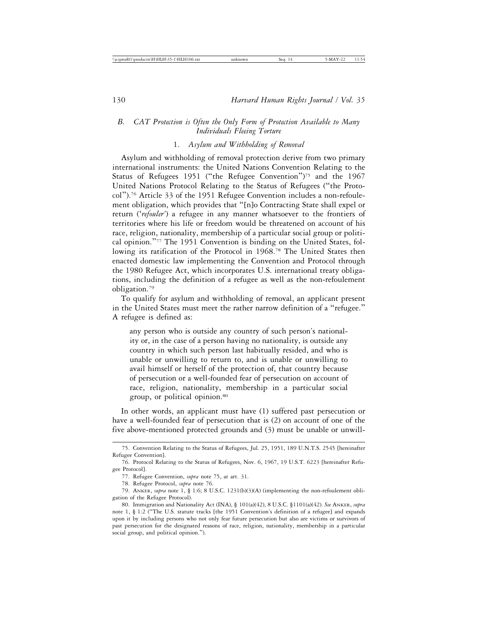# *B. CAT Protection is Often the Only Form of Protection Available to Many Individuals Fleeing Torture*

# 1. *Asylum and Withholding of Removal*

Asylum and withholding of removal protection derive from two primary international instruments: the United Nations Convention Relating to the Status of Refugees 1951 ("the Refugee Convention")75 and the 1967 United Nations Protocol Relating to the Status of Refugees ("the Protocol").76 Article 33 of the 1951 Refugee Convention includes a non-refoulement obligation, which provides that "[n]o Contracting State shall expel or return ('*refouler'*) a refugee in any manner whatsoever to the frontiers of territories where his life or freedom would be threatened on account of his race, religion, nationality, membership of a particular social group or political opinion."77 The 1951 Convention is binding on the United States, following its ratification of the Protocol in 1968.<sup>78</sup> The United States then enacted domestic law implementing the Convention and Protocol through the 1980 Refugee Act, which incorporates U.S. international treaty obligations, including the definition of a refugee as well as the non-refoulement obligation.79

To qualify for asylum and withholding of removal, an applicant present in the United States must meet the rather narrow definition of a "refugee." A refugee is defined as:

any person who is outside any country of such person's nationality or, in the case of a person having no nationality, is outside any country in which such person last habitually resided, and who is unable or unwilling to return to, and is unable or unwilling to avail himself or herself of the protection of, that country because of persecution or a well-founded fear of persecution on account of race, religion, nationality, membership in a particular social group, or political opinion.80

In other words, an applicant must have (1) suffered past persecution or have a well-founded fear of persecution that is (2) on account of one of the five above-mentioned protected grounds and (3) must be unable or unwill-

<sup>75.</sup> Convention Relating to the Status of Refugees, Jul. 25, 1951, 189 U.N.T.S. 2545 [hereinafter Refugee Convention].

<sup>76.</sup> Protocol Relating to the Status of Refugees, Nov. 6, 1967, 19 U.S.T. 6223 [hereinafter Refugee Protocol].

<sup>77.</sup> Refugee Convention, *supra* note 75, at art. 31.

<sup>78.</sup> Refugee Protocol, *supra* note 76.

<sup>79.</sup> ANKER, *supra* note 1, § 1:6; 8 U.S.C. 1231(b)(3)(A) (implementing the non-refoulement obligation of the Refugee Protocol).

<sup>80.</sup> Immigration and Nationality Act (INA), § 101(a)(42), 8 U.S.C. §1101(a)(42). *See* ANKER, *supra* note 1, § 1:2 ("The U.S. statute tracks [the 1951 Convention's definition of a refugee] and expands upon it by including persons who not only fear future persecution but also are victims or survivors of past persecution for the designated reasons of race, religion, nationality, membership in a particular social group, and political opinion.").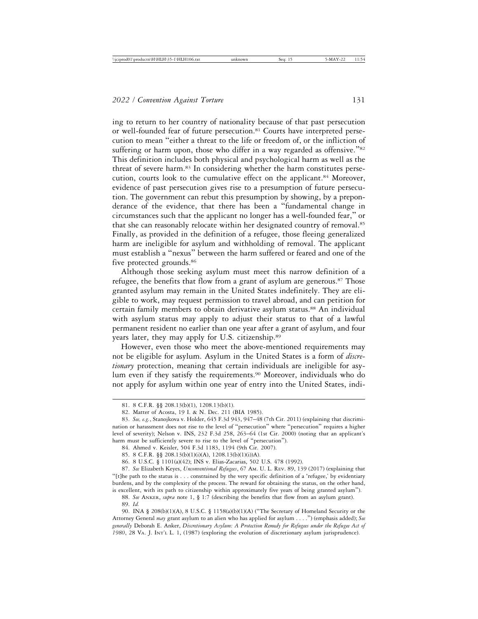ing to return to her country of nationality because of that past persecution or well-founded fear of future persecution.<sup>81</sup> Courts have interpreted persecution to mean "either a threat to the life or freedom of, or the infliction of suffering or harm upon, those who differ in a way regarded as offensive."<sup>82</sup> This definition includes both physical and psychological harm as well as the threat of severe harm.<sup>83</sup> In considering whether the harm constitutes persecution, courts look to the cumulative effect on the applicant.<sup>84</sup> Moreover, evidence of past persecution gives rise to a presumption of future persecution. The government can rebut this presumption by showing, by a preponderance of the evidence, that there has been a "fundamental change in circumstances such that the applicant no longer has a well-founded fear," or that she can reasonably relocate within her designated country of removal.85 Finally, as provided in the definition of a refugee, those fleeing generalized harm are ineligible for asylum and withholding of removal. The applicant must establish a "nexus" between the harm suffered or feared and one of the five protected grounds.<sup>86</sup>

Although those seeking asylum must meet this narrow definition of a refugee, the benefits that flow from a grant of asylum are generous.<sup>87</sup> Those granted asylum may remain in the United States indefinitely. They are eligible to work, may request permission to travel abroad, and can petition for certain family members to obtain derivative asylum status.<sup>88</sup> An individual with asylum status may apply to adjust their status to that of a lawful permanent resident no earlier than one year after a grant of asylum, and four years later, they may apply for U.S. citizenship.89

However, even those who meet the above-mentioned requirements may not be eligible for asylum. Asylum in the United States is a form of *discretionary* protection, meaning that certain individuals are ineligible for asylum even if they satisfy the requirements.<sup>90</sup> Moreover, individuals who do not apply for asylum within one year of entry into the United States, indi-

88. *See* ANKER, *supra* note 1, § 1:7 (describing the benefits that flow from an asylum grant). 89. *Id.*

<sup>81. 8</sup> C.F.R. §§ 208.13(b)(1), 1208.13(b)(1).

<sup>82.</sup> Matter of Acosta, 19 I. & N. Dec. 211 (BIA 1985).

<sup>83.</sup> *See, e.g.*, Stanojkova v. Holder, 645 F.3d 943, 947–48 (7th Cir. 2011) (explaining that discrimination or harassment does not rise to the level of "persecution" where "persecution" requires a higher level of severity); Nelson v. INS, 232 F.3d 258, 263–64 (1st Cir. 2000) (noting that an applicant's harm must be sufficiently severe to rise to the level of "persecution").

<sup>84.</sup> Ahmed v. Keisler, 504 F.3d 1183, 1194 (9th Cir. 2007).

<sup>85. 8</sup> C.F.R. §§ 208.13(b)(1)(i)(A), 1208.13(b)(1)(i))A).

<sup>86. 8</sup> U.S.C. § 1101(a)(42); INS v. Elias-Zacarias, 502 U.S. 478 (1992).

<sup>87.</sup> *See* Elizabeth Keyes, *Unconventional Refugees*, 67 AM. U. L. REV. 89, 139 (2017) (explaining that "[t]he path to the status is . . . constrained by the very specific definition of a 'refugee,' by evidentiary burdens, and by the complexity of the process. The reward for obtaining the status, on the other hand, is excellent, with its path to citizenship within approximately five years of being granted asylum").

<sup>90.</sup> INA § 208(b)(1)(A), 8 U.S.C. § 1158(a)(b)(1)(A) ("The Secretary of Homeland Security or the Attorney General *may* grant asylum to an alien who has applied for asylum . . . .") (emphasis added); *See generally* Deborah E. Anker, *Discretionary Asylum: A Protection Remedy for Refugees under the Refugee Act of 1980*, 28 VA. J. INT'L L. 1, (1987) (exploring the evolution of discretionary asylum jurisprudence).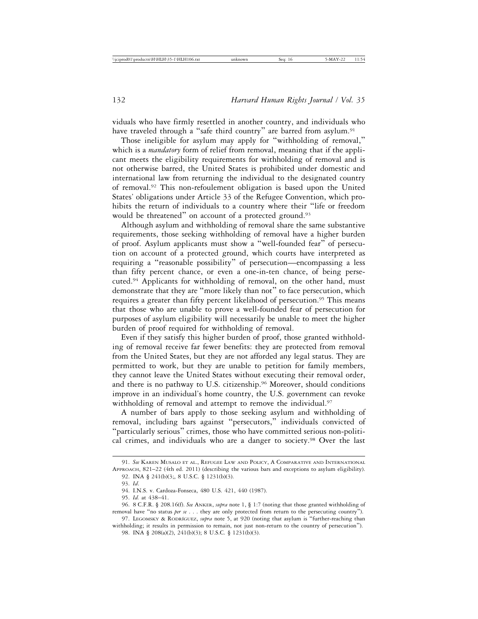viduals who have firmly resettled in another country, and individuals who have traveled through a "safe third country" are barred from asylum.<sup>91</sup>

Those ineligible for asylum may apply for "withholding of removal," which is a *mandatory* form of relief from removal, meaning that if the applicant meets the eligibility requirements for withholding of removal and is not otherwise barred, the United States is prohibited under domestic and international law from returning the individual to the designated country of removal.92 This non-refoulement obligation is based upon the United States' obligations under Article 33 of the Refugee Convention, which prohibits the return of individuals to a country where their "life or freedom would be threatened" on account of a protected ground.<sup>93</sup>

Although asylum and withholding of removal share the same substantive requirements, those seeking withholding of removal have a higher burden of proof. Asylum applicants must show a "well-founded fear" of persecution on account of a protected ground, which courts have interpreted as requiring a "reasonable possibility" of persecution—encompassing a less than fifty percent chance, or even a one-in-ten chance, of being persecuted.94 Applicants for withholding of removal, on the other hand, must demonstrate that they are "more likely than not" to face persecution, which requires a greater than fifty percent likelihood of persecution.<sup>95</sup> This means that those who are unable to prove a well-founded fear of persecution for purposes of asylum eligibility will necessarily be unable to meet the higher burden of proof required for withholding of removal.

Even if they satisfy this higher burden of proof, those granted withholding of removal receive far fewer benefits: they are protected from removal from the United States, but they are not afforded any legal status. They are permitted to work, but they are unable to petition for family members, they cannot leave the United States without executing their removal order, and there is no pathway to U.S. citizenship.<sup>96</sup> Moreover, should conditions improve in an individual's home country, the U.S. government can revoke withholding of removal and attempt to remove the individual.<sup>97</sup>

A number of bars apply to those seeking asylum and withholding of removal, including bars against "persecutors," individuals convicted of "particularly serious" crimes, those who have committed serious non-political crimes, and individuals who are a danger to society.98 Over the last

<sup>91.</sup> *See* KAREN MUSALO ET AL., REFUGEE LAW AND POLICY, A COMPARATIVE AND INTERNATIONAL APPROACH, 821–22 (4th ed. 2011) (describing the various bars and exceptions to asylum eligibility). 92. INA § 241(b)(3;, 8 U.S.C. § 1231(b)(3).

<sup>93.</sup> *Id*.

<sup>94.</sup> I.N.S. v. Cardoza-Fonseca, 480 U.S. 421, 440 (1987).

<sup>95.</sup> *Id.* at 438–41.

<sup>96. 8</sup> C.F.R. § 208.16(f). *See* ANKER, *supra* note 1, § 1:7 (noting that those granted withholding of removal have "no status *per se* . . . they are only protected from return to the persecuting country").

<sup>97.</sup> LEGOMSKY & RODRÍGUEZ, *supra* note 5, at 920 (noting that asylum is "further-reaching than withholding; it results in permission to remain, not just non-return to the country of persecution").

<sup>98.</sup> INA § 208(a)(2), 241(b)(3); 8 U.S.C. § 1231(b)(3).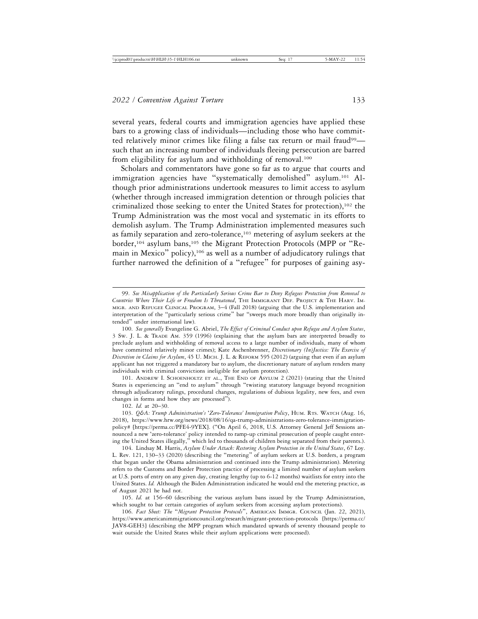several years, federal courts and immigration agencies have applied these bars to a growing class of individuals—including those who have committed relatively minor crimes like filing a false tax return or mail fraud99 such that an increasing number of individuals fleeing persecution are barred from eligibility for asylum and withholding of removal.<sup>100</sup>

Scholars and commentators have gone so far as to argue that courts and immigration agencies have "systematically demolished" asylum.<sup>101</sup> Although prior administrations undertook measures to limit access to asylum (whether through increased immigration detention or through policies that criminalized those seeking to enter the United States for protection),102 the Trump Administration was the most vocal and systematic in its efforts to demolish asylum. The Trump Administration implemented measures such as family separation and zero-tolerance,<sup>103</sup> metering of asylum seekers at the border,<sup>104</sup> asylum bans,<sup>105</sup> the Migrant Protection Protocols (MPP or "Remain in Mexico" policy),<sup>106</sup> as well as a number of adjudicatory rulings that further narrowed the definition of a "refugee" for purposes of gaining asy-

101. ANDREW I. SCHOENHOLTZ ET AL., THE END OF ASYLUM 2 (2021) (stating that the United States is experiencing an "end to asylum" through "twisting statutory language beyond recognition through adjudicatory rulings, procedural changes, regulations of dubious legality, new fees, and even changes in forms and how they are processed").

102. *Id.* at 20–30.

105. *Id.* at 156–60 (describing the various asylum bans issued by the Trump Administration, which sought to bar certain categories of asylum seekers from accessing asylum protections).

106. *Fact Sheet: The* "*Migrant Protection Protocols*", AMERICAN IMMGR. COUNCIL (Jan. 22, 2021), https://www.americanimmigrationcouncil.org/research/migrant-protection-protocols [https://perma.cc/ JAV8-GEH3] (describing the MPP program which mandated upwards of seventy thousand people to wait outside the United States while their asylum applications were processed).

<sup>99.</sup> *See Misapplication of the Particularly Serious Crime Bar to Deny Refugees Protection from Removal to Countries Where Their Life or Freedom Is Threatened*, THE IMMIGRANT DEF. PROJECT & THE HARV. IM-MIGR. AND REFUGEE CLINICAL PROGRAM, 3–4 (Fall 2018) (arguing that the U.S. implementation and interpretation of the "particularly serious crime" bar "sweeps much more broadly than originally intended" under international law).

<sup>100.</sup> *See generally* Evangeline G. Abriel, *The Effect of Criminal Conduct upon Refugee and Asylum Status*, 3 SW. J. L. & TRADE AM. 359 (1996) (explaining that the asylum bars are interpreted broadly to preclude asylum and withholding of removal access to a large number of individuals, many of whom have committed relatively minor crimes); Kate Aschenbrenner, *Discretionary (In)Justice: The Exercise of Discretion in Claims for Asylum*, 45 U. MICH. J. L. & REFORM 595 (2012) (arguing that even if an asylum applicant has not triggered a mandatory bar to asylum, the discretionary nature of asylum renders many individuals with criminal convictions ineligible for asylum protection).

<sup>103.</sup> *Q&A: Trump Administration's* '*Zero-Tolerance' Immigration Policy*, HUM. RTS. WATCH (Aug. 16, 2018), https://www.hrw.org/news/2018/08/16/qa-trump-administrations-zero-tolerance-immigrationpolicy# [https://perma.cc/PFE4-9YEX]. ("On April 6, 2018, U.S. Attorney General Jeff Sessions announced a new 'zero-tolerance' policy intended to ramp-up criminal prosecution of people caught entering the United States illegally," which led to thousands of children being separated from their parents.).

<sup>104.</sup> Lindsay M. Harris, *Asylum Under Attack: Restoring Asylum Protection in the United States*, 67 Loy. L. Rev. 121, 130–33 (2020) (describing the "metering" of asylum seekers at U.S. borders, a program that began under the Obama administration and continued into the Trump administration). Metering refers to the Customs and Border Protection practice of processing a limited number of asylum seekers at U.S. ports of entry on any given day, creating lengthy (up to 6-12 months) waitlists for entry into the United States. *Id.* Although the Biden Administration indicated he would end the metering practice, as of August 2021 he had not.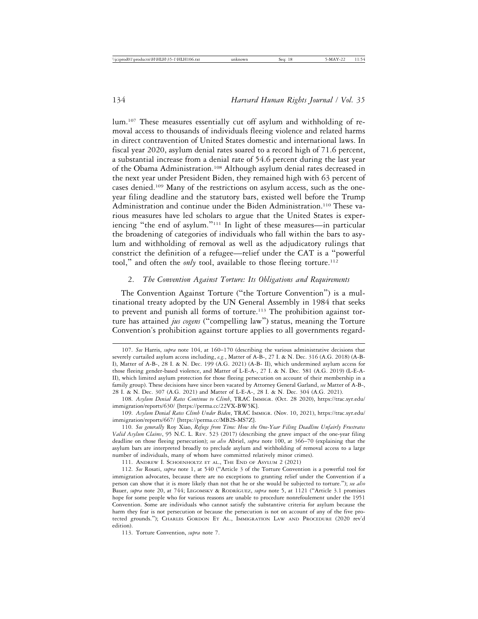lum.107 These measures essentially cut off asylum and withholding of removal access to thousands of individuals fleeing violence and related harms in direct contravention of United States domestic and international laws. In fiscal year 2020, asylum denial rates soared to a record high of 71.6 percent, a substantial increase from a denial rate of 54.6 percent during the last year of the Obama Administration.108 Although asylum denial rates decreased in the next year under President Biden, they remained high with 63 percent of cases denied.109 Many of the restrictions on asylum access, such as the oneyear filing deadline and the statutory bars, existed well before the Trump Administration and continue under the Biden Administration.110 These various measures have led scholars to argue that the United States is experiencing "the end of asylum."111 In light of these measures—in particular the broadening of categories of individuals who fall within the bars to asylum and withholding of removal as well as the adjudicatory rulings that constrict the definition of a refugee—relief under the CAT is a "powerful tool," and often the *only* tool, available to those fleeing torture.<sup>112</sup>

### 2. *The Convention Against Torture: Its Obligations and Requirements*

The Convention Against Torture ("the Torture Convention") is a multinational treaty adopted by the UN General Assembly in 1984 that seeks to prevent and punish all forms of torture.<sup>113</sup> The prohibition against torture has attained *jus cogens* ("compelling law") status, meaning the Torture Convention's prohibition against torture applies to all governments regard-

<sup>107.</sup> *See* Harris, *supra* note 104, at 160–170 (describing the various administrative decisions that severely curtailed asylum access including, *e.g.*, Matter of A-B-, 27 I. & N. Dec. 316 (A.G. 2018) (A-B-I), Matter of A-B*-*, 28 I. & N. Dec. 199 (A.G. 2021) (A-B- II), which undermined asylum access for those fleeing gender-based violence, and Matter of L-E-A-, 27 I. & N. Dec. 581 (A.G. 2019) (L-E-A-II), which limited asylum protection for those fleeing persecution on account of their membership in a family group). These decisions have since been vacated by Attorney General Garland, *see* Matter of A-B-, 28 I. & N. Dec. 307 (A.G. 2021) and Matter of L-E-A*-*, 28 I. & N. Dec. 304 (A.G. 2021).

<sup>108.</sup> *Asylum Denial Rates Continue to Climb*, TRAC IMMIGR. (Oct. 28 2020), https://trac.syr.edu/ immigration/reports/630/ [https://perma.cc/22VX-BW5K].

<sup>109.</sup> *Asylum Denial Rates Climb Under Biden*, TRAC IMMIGR. (Nov. 10, 2021), https://trac.syr.edu/ immigration/reports/667/ [https://perma.cc/MB2S-MS7Z].

<sup>110.</sup> *See generally* Roy Xiao, *Refuge from Time: How the One-Year Filing Deadline Unfairly Frustrates Valid Asylum Claims*, 95 N.C. L. REV. 523 (2017) (describing the grave impact of the one-year filing deadline on those fleeing persecution); *see also* Abriel, *supra* note 100, at 366–70 (explaining that the asylum bars are interpreted broadly to preclude asylum and withholding of removal access to a large number of individuals, many of whom have committed relatively minor crimes).

<sup>111.</sup> ANDREW I. SCHOENHOLTZ ET AL., THE END OF ASYLUM 2 (2021)

<sup>112.</sup> *See* Rosati, *supra* note 1, at 540 ("Article 3 of the Torture Convention is a powerful tool for immigration advocates, because there are no exceptions to granting relief under the Convention if a person can show that it is more likely than not that he or she would be subjected to torture."); *see also* Bauer, *supra* note 20, at 744; LEGOMSKY & RODRÍGUEZ, *supra* note 5, at 1121 ("Article 3.1 promises hope for some people who for various reasons are unable to procedure nonrefoulement under the 1951 Convention. Some are individuals who cannot satisfy the substantive criteria for asylum because the harm they fear is not persecution or because the persecution is not on account of any of the five protected grounds."); CHARLES GORDON ET AL., IMMIGRATION LAW AND PROCEDURE (2020 rev'd edition).

<sup>113.</sup> Torture Convention, *supra* note 7.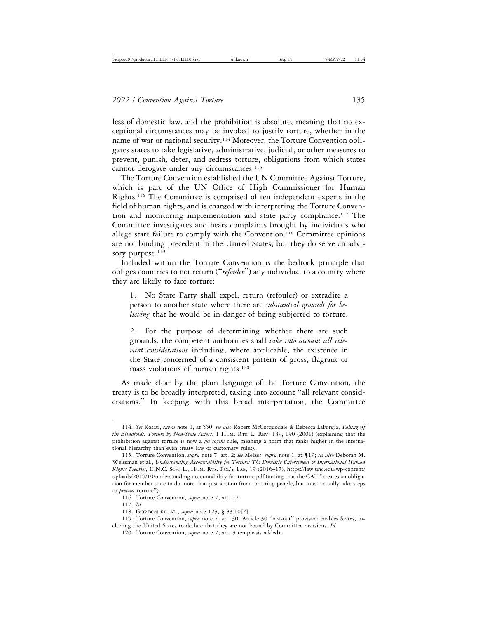less of domestic law, and the prohibition is absolute, meaning that no exceptional circumstances may be invoked to justify torture, whether in the name of war or national security.114 Moreover, the Torture Convention obligates states to take legislative, administrative, judicial, or other measures to prevent, punish, deter, and redress torture, obligations from which states cannot derogate under any circumstances.<sup>115</sup>

The Torture Convention established the UN Committee Against Torture, which is part of the UN Office of High Commissioner for Human Rights.116 The Committee is comprised of ten independent experts in the field of human rights, and is charged with interpreting the Torture Convention and monitoring implementation and state party compliance.<sup>117</sup> The Committee investigates and hears complaints brought by individuals who allege state failure to comply with the Convention.<sup>118</sup> Committee opinions are not binding precedent in the United States, but they do serve an advisory purpose.<sup>119</sup>

Included within the Torture Convention is the bedrock principle that obliges countries to not return ("*refouler*") any individual to a country where they are likely to face torture:

1. No State Party shall expel, return (refouler) or extradite a person to another state where there are *substantial grounds for believing* that he would be in danger of being subjected to torture.

2. For the purpose of determining whether there are such grounds, the competent authorities shall *take into account all relevant considerations* including, where applicable, the existence in the State concerned of a consistent pattern of gross, flagrant or mass violations of human rights.<sup>120</sup>

As made clear by the plain language of the Torture Convention, the treaty is to be broadly interpreted, taking into account "all relevant considerations." In keeping with this broad interpretation, the Committee

<sup>114.</sup> *See* Rosati, *supra* note 1, at 550; *see also* Robert McCorquodale & Rebecca LaForgia, *Taking off the Blindfolds: Torture by Non-State Actors*, 1 HUM. RTS. L. REV. 189, 190 (2001) (explaining that the prohibition against torture is now a *jus cogens* rule, meaning a norm that ranks higher in the international hierarchy than even treaty law or customary rules).

<sup>115.</sup> Torture Convention, *supra* note 7, art. 2; *see* Melzer, *supra* note 1, at ¶19; *see also* Deborah M. Weissman et al., *Understanding Accountability for Torture: The Domestic Enforcement of International Human Rights Treaties*, U.N.C. SCH. L., HUM. RTS. POL'Y LAB, 19 (2016–17), https://law.unc.edu/wp-content/ uploads/2019/10/understanding-accountability-for-torture.pdf (noting that the CAT "creates an obligation for member state to do more than just abstain from torturing people, but must actually take steps to *prevent* torture").

<sup>116.</sup> Torture Convention, *supra* note 7, art. 17.

<sup>117.</sup> *Id.*

<sup>118.</sup> GORDON ET. AL., *supra* note 123, § 33.10[2]

<sup>119.</sup> Torture Convention, *supra* note 7, art. 30. Article 30 "opt-out" provision enables States, including the United States to declare that they are not bound by Committee decisions. *Id.*

<sup>120.</sup> Torture Convention, *supra* note 7, art. 3 (emphasis added).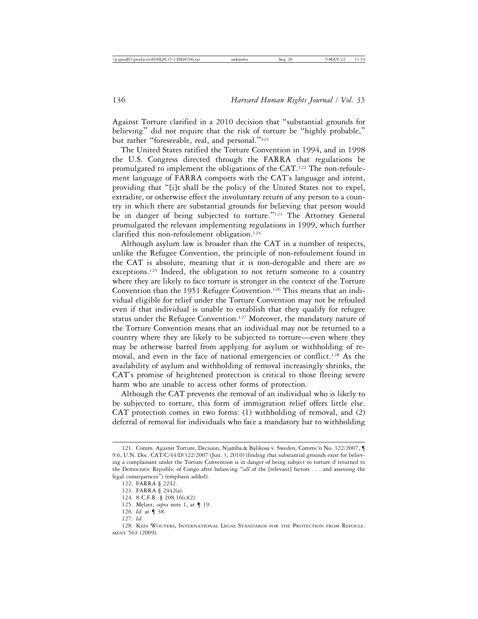Against Torture clarified in a 2010 decision that "substantial grounds for believing" did not require that the risk of torture be "highly probable," but rather "foreseeable, real, and personal."<sup>121</sup>

The United States ratified the Torture Convention in 1994, and in 1998 the U.S. Congress directed through the FARRA that regulations be promulgated to implement the obligations of the CAT.122 The non-refoulement language of FARRA comports with the CAT's language and intent, providing that "[i]t shall be the policy of the United States not to expel, extradite, or otherwise effect the involuntary return of any person to a country in which there are substantial grounds for believing that person would be in danger of being subjected to torture."<sup>123</sup> The Attorney General promulgated the relevant implementing regulations in 1999, which further clarified this non-refoulement obligation.124

Although asylum law is broader than the CAT in a number of respects, unlike the Refugee Convention, the principle of non-refoulement found in the CAT is absolute, meaning that it is non-derogable and there are *no* exceptions.<sup>125</sup> Indeed, the obligation to not return someone to a country where they are likely to face torture is stronger in the context of the Torture Convention than the 1951 Refugee Convention.<sup>126</sup> This means that an individual eligible for relief under the Torture Convention may not be refouled even if that individual is unable to establish that they qualify for refugee status under the Refugee Convention.<sup>127</sup> Moreover, the mandatory nature of the Torture Convention means that an individual may not be returned to a country where they are likely to be subjected to torture—even where they may be otherwise barred from applying for asylum or withholding of removal, and even in the face of national emergencies or conflict.128 As the availability of asylum and withholding of removal increasingly shrinks, the CAT's promise of heightened protection is critical to those fleeing severe harm who are unable to access other forms of protection.

Although the CAT prevents the removal of an individual who is likely to be subjected to torture, this form of immigration relief offers little else. CAT protection comes in two forms: (1) withholding of removal, and (2) deferral of removal for individuals who face a mandatory bar to withholding

- 125. Melzer, *supra* note 1, at ¶ 19.
- 126. *Id.* at ¶ 38.

<sup>121.</sup> Comm. Against Torture, Decision, Njamba & Balikosa v. Sweden, Commc'n No. 322/2007, ¶ 9.6, U.N. Doc. CAT/C/44/D/322/2007 (Jun. 3, 2010) (finding that substantial grounds exist for believing a complainant under the Torture Convention is in danger of being subject to torture if returned to the Democratic Republic of Congo after balancing "*all* of the [relevant] factors . . . and assessing the legal consequences") (emphasis added).

<sup>122.</sup> FARRA § 2242.

<sup>123.</sup> FARRA § 2442(a).

<sup>124. 8</sup> C.F.R. § 208.16(c)(2).

<sup>127.</sup> *Id.*

<sup>128.</sup> KEES WOUTERS, INTERNATIONAL LEGAL STANDARDS FOR THE PROTECTION FROM REFOULE-MENT 563 (2009).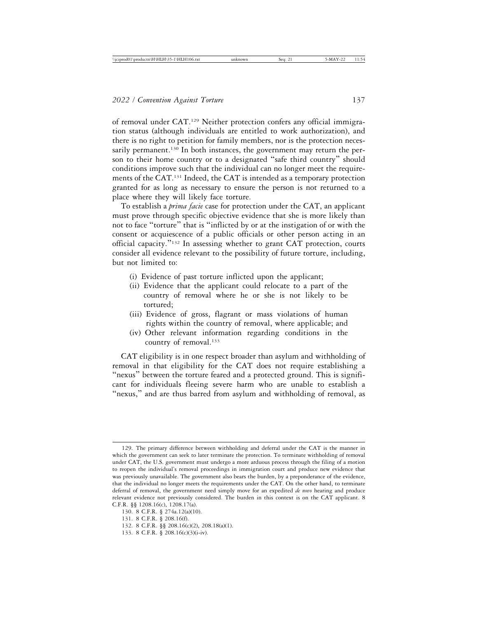of removal under CAT.129 Neither protection confers any official immigration status (although individuals are entitled to work authorization), and there is no right to petition for family members, nor is the protection necessarily permanent.<sup>130</sup> In both instances, the government may return the person to their home country or to a designated "safe third country" should conditions improve such that the individual can no longer meet the requirements of the CAT.131 Indeed, the CAT is intended as a temporary protection granted for as long as necessary to ensure the person is not returned to a place where they will likely face torture.

To establish a *prima facie* case for protection under the CAT, an applicant must prove through specific objective evidence that she is more likely than not to face "torture" that is "inflicted by or at the instigation of or with the consent or acquiescence of a public officials or other person acting in an official capacity."132 In assessing whether to grant CAT protection, courts consider all evidence relevant to the possibility of future torture, including, but not limited to:

- (i) Evidence of past torture inflicted upon the applicant;
- (ii) Evidence that the applicant could relocate to a part of the country of removal where he or she is not likely to be tortured;
- (iii) Evidence of gross, flagrant or mass violations of human rights within the country of removal, where applicable; and
- (iv) Other relevant information regarding conditions in the country of removal.133

CAT eligibility is in one respect broader than asylum and withholding of removal in that eligibility for the CAT does not require establishing a "nexus" between the torture feared and a protected ground. This is significant for individuals fleeing severe harm who are unable to establish a "nexus," and are thus barred from asylum and withholding of removal, as

<sup>129.</sup> The primary difference between withholding and deferral under the CAT is the manner in which the government can seek to later terminate the protection. To terminate withholding of removal under CAT, the U.S. government must undergo a more arduous process through the filing of a motion to reopen the individual's removal proceedings in immigration court and produce new evidence that was previously unavailable. The government also bears the burden, by a preponderance of the evidence, that the individual no longer meets the requirements under the CAT. On the other hand, to terminate deferral of removal, the government need simply move for an expedited *de novo* hearing and produce relevant evidence not previously considered. The burden in this context is on the CAT applicant. 8 C.F.R. §§ 1208.16(c), 1208.17(a).

<sup>130. 8</sup> C.F.R. § 274a.12(a)(10).

<sup>131. 8</sup> C.F.R. § 208.16(f).

<sup>132. 8</sup> C.F.R. §§ 208.16(c)(2), 208.18(a)(1).

<sup>133. 8</sup> C.F.R. § 208.16(c)(3)(i-iv).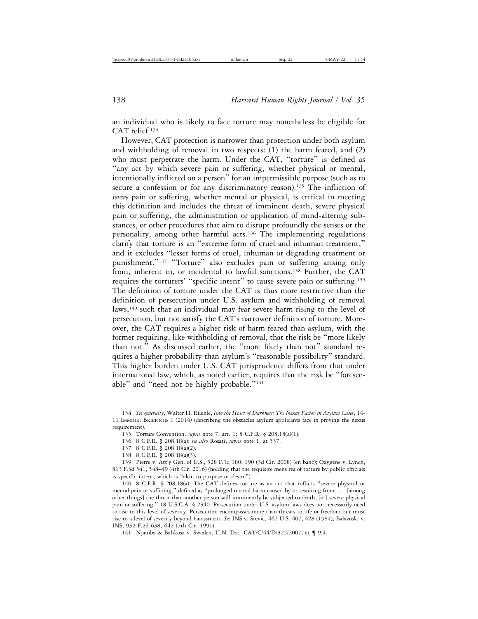an individual who is likely to face torture may nonetheless be eligible for CAT relief.134

However, CAT protection is narrower than protection under both asylum and withholding of removal in two respects: (1) the harm feared, and (2) who must perpetrate the harm. Under the CAT, "torture" is defined as "any act by which severe pain or suffering, whether physical or mental, intentionally inflicted on a person" for an impermissible purpose (such as to secure a confession or for any discriminatory reason).<sup>135</sup> The infliction of *severe* pain or suffering, whether mental or physical, is critical in meeting this definition and includes the threat of imminent death, severe physical pain or suffering, the administration or application of mind-altering substances, or other procedures that aim to disrupt profoundly the senses or the personality, among other harmful acts.136 The implementing regulations clarify that torture is an "extreme form of cruel and inhuman treatment," and it excludes "lesser forms of cruel, inhuman or degrading treatment or punishment."<sup>137</sup> "Torture" also excludes pain or suffering arising only from, inherent in, or incidental to lawful sanctions.<sup>138</sup> Further, the CAT requires the torturers' "specific intent" to cause severe pain or suffering.<sup>139</sup> The definition of torture under the CAT is thus more restrictive than the definition of persecution under U.S. asylum and withholding of removal laws,<sup>140</sup> such that an individual may fear severe harm rising to the level of persecution, but not satisfy the CAT's narrower definition of torture. Moreover, the CAT requires a higher risk of harm feared than asylum, with the former requiring, like withholding of removal, that the risk be "more likely than not." As discussed earlier, the "more likely than not" standard requires a higher probability than asylum's "reasonable possibility" standard. This higher burden under U.S. CAT jurisprudence differs from that under international law, which, as noted earlier, requires that the risk be "foreseeable" and "need not be highly probable."<sup>141</sup>

<sup>134.</sup> *See generally*, Walter H. Ruehle, *Into the Heart of Darkness: The Nexus Factor in Asylum Cases*, 14- 11 IMMIGR. BRIEFINGS 1 (2014) (describing the obstacles asylum applicants face in proving the nexus requirement).

<sup>135.</sup> Torture Convention, *supra* note 7, art. 1; 8 C.F.R. § 208.18(a)(1).

<sup>136. 8</sup> C.F.R. § 208.18(a); *see also* Rosati, *supra* note 1, at 537.

<sup>137. 8</sup> C.F.R. § 208.18(a)(2).

<sup>138. 8</sup> C.F.R. § 208.18(a)(3).

<sup>139.</sup> Pierre v. Att'y Gen. of U.S., 528 F.3d 180, 190 (3d Cir. 2008) (en banc); Oxygene v. Lynch, 813 F.3d 541, 548–49 (4th Cir. 2016) (holding that the requisite mens rea of torture by public officials is specific intent, which is "akin to purpose or desire").

<sup>140. 8</sup> C.F.R. § 208.18(a). The CAT defines torture as an act that inflicts "severe physical or mental pain or suffering," defined as "prolonged mental harm caused by or resulting from . . . [among other things] the threat that another person will imminently be subjected to death, [or] severe physical pain or suffering." 18 U.S.C.A. § 2340. Persecution under U.S. asylum laws does not necessarily need to rise to this level of severity. Persecution encompasses more than threats to life or freedom but must rise to a level of severity beyond harassment. *See* INS v. Stevic, 467 U.S. 407, 428 (1984); Balazoski v. INS, 932 F.2d 638, 642 (7th Cir. 1991).

<sup>141.</sup> Njamba & Balikosa v. Sweden, U.N. Doc. CAT/C/44/D/322/2007, at ¶ 9.4.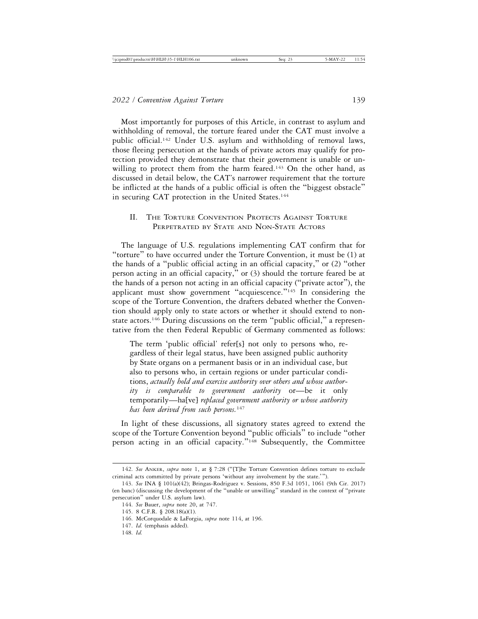Most importantly for purposes of this Article, in contrast to asylum and withholding of removal, the torture feared under the CAT must involve a public official.142 Under U.S. asylum and withholding of removal laws, those fleeing persecution at the hands of private actors may qualify for protection provided they demonstrate that their government is unable or unwilling to protect them from the harm feared.<sup>143</sup> On the other hand, as discussed in detail below, the CAT's narrower requirement that the torture be inflicted at the hands of a public official is often the "biggest obstacle" in securing CAT protection in the United States.<sup>144</sup>

# II. THE TORTURE CONVENTION PROTECTS AGAINST TORTURE PERPETRATED BY STATE AND NON-STATE ACTORS

The language of U.S. regulations implementing CAT confirm that for "torture" to have occurred under the Torture Convention, it must be (1) at the hands of a "public official acting in an official capacity," or (2) "other person acting in an official capacity," or (3) should the torture feared be at the hands of a person not acting in an official capacity ("private actor"), the applicant must show government "acquiescence."145 In considering the scope of the Torture Convention, the drafters debated whether the Convention should apply only to state actors or whether it should extend to nonstate actors.<sup>146</sup> During discussions on the term "public official," a representative from the then Federal Republic of Germany commented as follows:

The term 'public official' refer[s] not only to persons who, regardless of their legal status, have been assigned public authority by State organs on a permanent basis or in an individual case, but also to persons who, in certain regions or under particular conditions, *actually hold and exercise authority over others and whose authority is comparable to government authority* or—be it only temporarily—ha[ve] *replaced government authority or whose authority has been derived from such persons.*<sup>147</sup>

In light of these discussions, all signatory states agreed to extend the scope of the Torture Convention beyond "public officials" to include "other person acting in an official capacity."148 Subsequently, the Committee

<sup>142.</sup> *See* ANKER, *supra* note 1, at § 7:28 ("[T]he Torture Convention defines torture to exclude criminal acts committed by private persons 'without any involvement by the state.'").

<sup>143.</sup> *See* INA § 101(a)(42); Bringas-Rodriguez v. Sessions, 850 F.3d 1051, 1061 (9th Cir. 2017) (en banc) (discussing the development of the "unable or unwilling" standard in the context of "private persecution" under U.S. asylum law).

<sup>144.</sup> *See* Bauer, *supra* note 20, at 747.

<sup>145. 8</sup> C.F.R. § 208.18(a)(1).

<sup>146.</sup> McCorquodale & LaForgia, *supra* note 114, at 196.

<sup>147.</sup> *Id.* (emphasis added).

<sup>148.</sup> *Id.*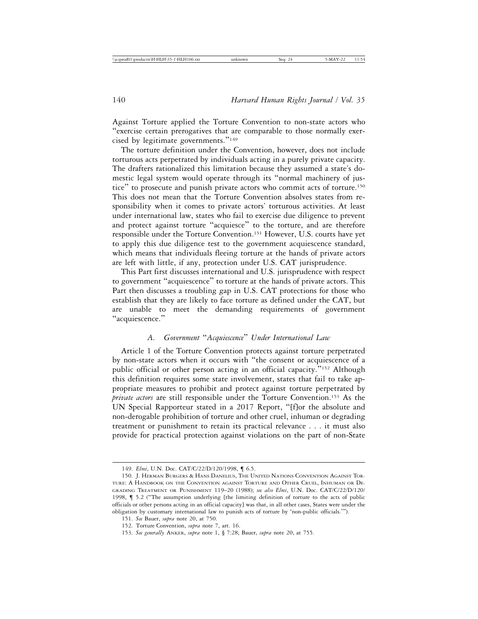Against Torture applied the Torture Convention to non-state actors who "exercise certain prerogatives that are comparable to those normally exercised by legitimate governments."<sup>149</sup>

The torture definition under the Convention, however, does not include torturous acts perpetrated by individuals acting in a purely private capacity. The drafters rationalized this limitation because they assumed a state's domestic legal system would operate through its "normal machinery of justice" to prosecute and punish private actors who commit acts of torture.150 This does not mean that the Torture Convention absolves states from responsibility when it comes to private actors' torturous activities. At least under international law, states who fail to exercise due diligence to prevent and protect against torture "acquiesce" to the torture, and are therefore responsible under the Torture Convention.151 However, U.S. courts have yet to apply this due diligence test to the government acquiescence standard, which means that individuals fleeing torture at the hands of private actors are left with little, if any, protection under U.S. CAT jurisprudence.

This Part first discusses international and U.S. jurisprudence with respect to government "acquiescence" to torture at the hands of private actors. This Part then discusses a troubling gap in U.S. CAT protections for those who establish that they are likely to face torture as defined under the CAT, but are unable to meet the demanding requirements of government "acquiescence."

# *A. Government* "*Acquiescence*" *Under International Law*

Article 1 of the Torture Convention protects against torture perpetrated by non-state actors when it occurs with "the consent or acquiescence of a public official or other person acting in an official capacity."152 Although this definition requires some state involvement, states that fail to take appropriate measures to prohibit and protect against torture perpetrated by *private actors* are still responsible under the Torture Convention.153 As the UN Special Rapporteur stated in a 2017 Report, "[f]or the absolute and non-derogable prohibition of torture and other cruel, inhuman or degrading treatment or punishment to retain its practical relevance . . . it must also provide for practical protection against violations on the part of non-State

<sup>149.</sup> *Elmi*, U.N. Doc. CAT/C/22/D/120/1998, ¶ 6.5.

<sup>150.</sup> J. HERMAN BURGERS & HANS DANELIUS, THE UNITED NATIONS CONVENTION AGAINST TOR-TURE: A HANDBOOK ON THE CONVENTION AGAINST TORTURE AND OTHER CRUEL, INHUMAN OR DE-GRADING TREATMENT OR PUNISHMENT 119–20 (1988); *see also Elmi*, U.N. Doc. CAT/C/22/D/120/ 1998, ¶ 5.2 ("The assumption underlying [the limiting definition of torture to the acts of public officials or other persons acting in an official capacity] was that, in all other cases, States were under the obligation by customary international law to punish acts of torture by 'non-public officials.'").

<sup>151.</sup> *See* Bauer, *supra* note 20, at 750.

<sup>152.</sup> Torture Convention, *supra* note 7, art. 16.

<sup>153.</sup> *See generally* ANKER, *supra* note 1, § 7:28; Bauer, *supra* note 20, at 755.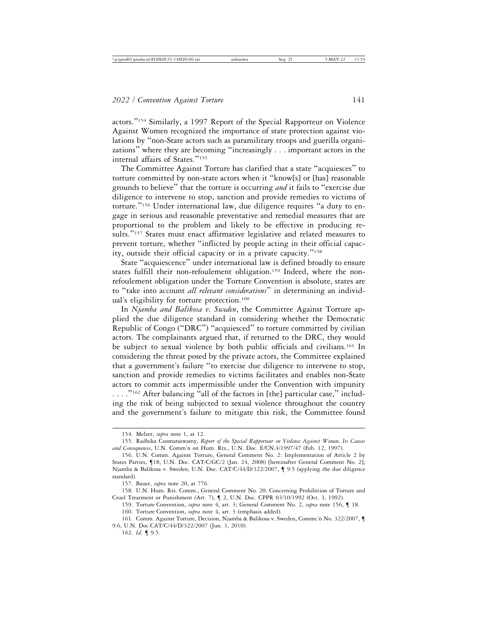actors."154 Similarly, a 1997 Report of the Special Rapporteur on Violence Against Women recognized the importance of state protection against violations by "non-State actors such as paramilitary troops and guerilla organizations" where they are becoming "increasingly . . . important actors in the internal affairs of States."<sup>155</sup>

The Committee Against Torture has clarified that a state "acquiesces" to torture committed by non-state actors when it "know[s] or [has] reasonable grounds to believe" that the torture is occurring *and* it fails to "exercise due diligence to intervene to stop, sanction and provide remedies to victims of torture."156 Under international law, due diligence requires "a duty to engage in serious and reasonable preventative and remedial measures that are proportional to the problem and likely to be effective in producing results."<sup>157</sup> States must enact affirmative legislative and related measures to prevent torture, whether "inflicted by people acting in their official capacity, outside their official capacity or in a private capacity."<sup>158</sup>

State "acquiescence" under international law is defined broadly to ensure states fulfill their non-refoulement obligation.<sup>159</sup> Indeed, where the nonrefoulement obligation under the Torture Convention is absolute, states are to "take into account *all relevant considerations*" in determining an individual's eligibility for torture protection.<sup>160</sup>

In *Njamba and Balikosa v. Sweden*, the Committee Against Torture applied the due diligence standard in considering whether the Democratic Republic of Congo ("DRC") "acquiesced" to torture committed by civilian actors. The complainants argued that, if returned to the DRC, they would be subject to sexual violence by both public officials and civilians.<sup>161</sup> In considering the threat posed by the private actors, the Committee explained that a government's failure "to exercise due diligence to intervene to stop, sanction and provide remedies to victims facilitates and enables non-State actors to commit acts impermissible under the Convention with impunity  $\ldots$ ."<sup>162</sup> After balancing "all of the factors in [the] particular case," including the risk of being subjected to sexual violence throughout the country and the government's failure to mitigate this risk, the Committee found

160. Torture Convention, *supra* note 4, art. 3 (emphasis added).

<sup>154.</sup> Melzer, *supra* note 1, at 12.

<sup>155.</sup> Radhika Coomaraswamy, *Report of the Special Rapporteur on Violence Against Women, Its Causes and Consequences*, U.N. Comm'n on Hum. Rts., U.N. Doc. E/CN.4/1997/47 (Feb. 12, 1997).

<sup>156.</sup> U.N. Comm. Against Torture, General Comment No. 2: Implementation of Article 2 by States Parties, ¶18, U.N. Doc. CAT/C/GC/2 (Jan. 24, 2008) [hereinafter General Comment No. 2]; Njamba & Balikosa v. Sweden, U.N. Doc. CAT/C/44/D/322/2007, ¶ 9.5 (applying the due diligence standard).

<sup>157.</sup> Bauer, *supra* note 20, at 776.

<sup>158.</sup> U.N. Hum. Rts. Comm., General Comment No. 20: Concerning Prohibition of Torture and Cruel Treatment or Punishment (Art. 7), ¶ 2, U.N. Doc. CPPR 03/10/1992 (Oct. 3, 1992).

<sup>159.</sup> Torture Convention, *supra* note 4, art. 3; General Comment No. 2, *supra* note 156, ¶ 18.

<sup>161.</sup> Comm. Against Torture, Decision, Njamba & Balikosa v. Sweden, Commc'n No. 322/2007, ¶ 9.6, U.N. Doc.CAT/C/44/D/322/2007 (Jun. 3, 2010).

<sup>162.</sup> *Id*. ¶ 9.5.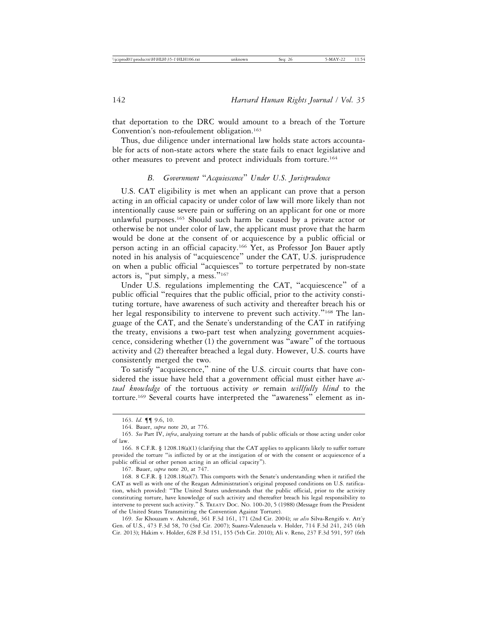that deportation to the DRC would amount to a breach of the Torture Convention's non-refoulement obligation.<sup>163</sup>

Thus, due diligence under international law holds state actors accountable for acts of non-state actors where the state fails to enact legislative and other measures to prevent and protect individuals from torture.164

## *B. Government* "*Acquiescence*" *Under U.S. Jurisprudence*

U.S. CAT eligibility is met when an applicant can prove that a person acting in an official capacity or under color of law will more likely than not intentionally cause severe pain or suffering on an applicant for one or more unlawful purposes.165 Should such harm be caused by a private actor or otherwise be not under color of law, the applicant must prove that the harm would be done at the consent of or acquiescence by a public official or person acting in an official capacity.166 Yet, as Professor Jon Bauer aptly noted in his analysis of "acquiescence" under the CAT, U.S. jurisprudence on when a public official "acquiesces" to torture perpetrated by non-state actors is, "put simply, a mess."<sup>167</sup>

Under U.S. regulations implementing the CAT, "acquiescence" of a public official "requires that the public official, prior to the activity constituting torture, have awareness of such activity and thereafter breach his or her legal responsibility to intervene to prevent such activity."<sup>168</sup> The language of the CAT, and the Senate's understanding of the CAT in ratifying the treaty, envisions a two-part test when analyzing government acquiescence, considering whether (1) the government was "aware" of the tortuous activity and (2) thereafter breached a legal duty. However, U.S. courts have consistently merged the two.

To satisfy "acquiescence," nine of the U.S. circuit courts that have considered the issue have held that a government official must either have *actual knowledge* of the tortuous activity *or* remain *willfully blind* to the torture.169 Several courts have interpreted the "awareness" element as in-

167. Bauer, *supra* note 20, at 747.

<sup>163.</sup> *Id.* ¶¶ 9.6, 10.

<sup>164.</sup> Bauer, *supra* note 20, at 776.

<sup>165.</sup> *See* Part IV, *infra*, analyzing torture at the hands of public officials or those acting under color of law.

<sup>166. 8</sup> C.F.R. § 1208.18(a)(1) (clarifying that the CAT applies to applicants likely to suffer torture provided the torture "is inflicted by or at the instigation of or with the consent or acquiescence of a public official or other person acting in an official capacity").

<sup>168. 8</sup> C.F.R. § 1208.18(a)(7). This comports with the Senate's understanding when it ratified the CAT as well as with one of the Reagan Administration's original proposed conditions on U.S. ratification, which provided: "The United States understands that the public official, prior to the activity constituting torture, have knowledge of such activity and thereafter breach his legal responsibility to intervene to prevent such activity." S. TREATY DOC. NO. 100-20, 5 (1988) (Message from the President of the United States Transmitting the Convention Against Torture).

<sup>169.</sup> *See* Khouzam v. Ashcroft, 361 F.3d 161, 171 (2nd Cir. 2004); *see also* Silva-Rengifo v. Att'y Gen. of U.S*.*, 473 F.3d 58, 70 (3rd Cir. 2007); Suarez-Valenzuela v. Holder, 714 F.3d 241, 245 (4th Cir. 2013); Hakim v. Holder, 628 F.3d 151, 155 (5th Cir. 2010); Ali v. Reno, 237 F.3d 591, 597 (6th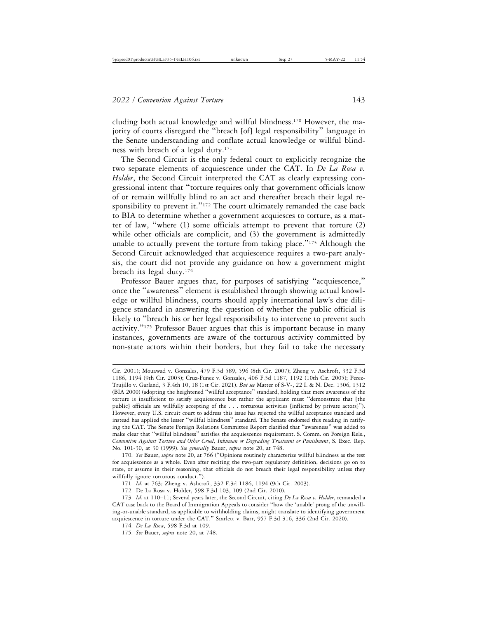cluding both actual knowledge and willful blindness.170 However, the majority of courts disregard the "breach [of] legal responsibility" language in the Senate understanding and conflate actual knowledge or willful blindness with breach of a legal duty.171

The Second Circuit is the only federal court to explicitly recognize the two separate elements of acquiescence under the CAT. In *De La Rosa v. Holder*, the Second Circuit interpreted the CAT as clearly expressing congressional intent that "torture requires only that government officials know of or remain willfully blind to an act and thereafter breach their legal responsibility to prevent it."<sup>172</sup> The court ultimately remanded the case back to BIA to determine whether a government acquiesces to torture, as a matter of law, "where (1) some officials attempt to prevent that torture (2) while other officials are complicit, and (3) the government is admittedly unable to actually prevent the torture from taking place."<sup>173</sup> Although the Second Circuit acknowledged that acquiescence requires a two-part analysis, the court did not provide any guidance on how a government might breach its legal duty.174

Professor Bauer argues that, for purposes of satisfying "acquiescence," once the "awareness" element is established through showing actual knowledge or willful blindness, courts should apply international law's due diligence standard in answering the question of whether the public official is likely to "breach his or her legal responsibility to intervene to prevent such activity." $175$  Professor Bauer argues that this is important because in many instances, governments are aware of the torturous activity committed by non-state actors within their borders, but they fail to take the necessary

170. *See* Bauer, *supra* note 20, at 766 ("Opinions routinely characterize willful blindness as the test for acquiescence as a whole. Even after reciting the two-part regulatory definition, decisions go on to state, or assume in their reasoning, that officials do not breach their legal responsibility unless they willfully ignore torturous conduct.").

Cir. 2001); Mouawad v. Gonzales, 479 F.3d 589, 596 (8th Cir. 2007); Zheng v. Aschroft, 332 F.3d 1186, 1194 (9th Cir. 2003); Cruz-Funez v. Gonzales, 406 F.3d 1187, 1192 (10th Cir. 2005); Perez-Trujillo v. Garland, 3 F.4th 10, 18 (1st Cir. 2021). *But see* Matter of S-V-, 22 I. & N. Dec. 1306, 1312 (BIA 2000) (adopting the heightened "willful acceptance" standard, holding that mere awareness of the torture is insufficient to satisfy acquiescence but rather the applicant must "demonstrate that [the public] officials are willfully accepting of the . . . torturous activities [inflicted by private actors]"). However, every U.S. circuit court to address this issue has rejected the willful acceptance standard and instead has applied the lesser "willful blindness" standard. The Senate endorsed this reading in ratifying the CAT. The Senate Foreign Relations Committee Report clarified that "awareness" was added to make clear that "willful blindness" satisfies the acquiescence requirement. S. Comm. on Foreign Rels., *Convention Against Torture and Other Cruel, Inhuman or Degrading Treatment or Punishment*, S. Exec. Rep. No. 101-30, at 30 (1999). *See generally* Bauer, *supra* note 20, at 748.

<sup>171.</sup> *Id.* at 763*;* Zheng v. Ashcroft, 332 F.3d 1186, 1194 (9th Cir. 2003).

<sup>172.</sup> De La Rosa v. Holder, 598 F.3d 103, 109 (2nd Cir. 2010).

<sup>173.</sup> *Id.* at 110–11; Several years later, the Second Circuit, citing *De La Rosa v. Holder*, remanded a CAT case back to the Board of Immigration Appeals to consider "how the 'unable' prong of the unwilling-or-unable standard, as applicable to withholding claims, might translate to identifying government acquiescence in torture under the CAT." Scarlett v. Barr, 957 F.3d 316, 336 (2nd Cir. 2020).

<sup>174.</sup> *De La Rosa*, 598 F.3d at 109.

<sup>175.</sup> *See* Bauer, *supra* note 20, at 748.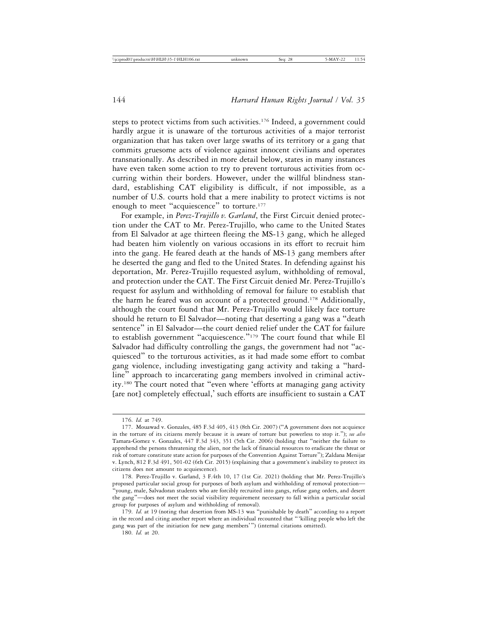steps to protect victims from such activities.176 Indeed, a government could hardly argue it is unaware of the torturous activities of a major terrorist organization that has taken over large swaths of its territory or a gang that commits gruesome acts of violence against innocent civilians and operates transnationally. As described in more detail below, states in many instances have even taken some action to try to prevent torturous activities from occurring within their borders. However, under the willful blindness standard, establishing CAT eligibility is difficult, if not impossible, as a number of U.S. courts hold that a mere inability to protect victims is not enough to meet "acquiescence" to torture.<sup>177</sup>

For example, in *Perez-Trujillo v. Garland*, the First Circuit denied protection under the CAT to Mr. Perez-Trujillo, who came to the United States from El Salvador at age thirteen fleeing the MS-13 gang, which he alleged had beaten him violently on various occasions in its effort to recruit him into the gang. He feared death at the hands of MS-13 gang members after he deserted the gang and fled to the United States. In defending against his deportation, Mr. Perez-Trujillo requested asylum, withholding of removal, and protection under the CAT. The First Circuit denied Mr. Perez-Trujillo's request for asylum and withholding of removal for failure to establish that the harm he feared was on account of a protected ground.178 Additionally, although the court found that Mr. Perez-Trujillo would likely face torture should he return to El Salvador—noting that deserting a gang was a "death sentence" in El Salvador—the court denied relief under the CAT for failure to establish government "acquiescence."179 The court found that while El Salvador had difficulty controlling the gangs, the government had not "acquiesced" to the torturous activities, as it had made some effort to combat gang violence, including investigating gang activity and taking a "hardline" approach to incarcerating gang members involved in criminal activity.180 The court noted that "even where 'efforts at managing gang activity [are not] completely effectual,' such efforts are insufficient to sustain a CAT

<sup>176.</sup> *Id.* at 749.

<sup>177.</sup> Mouawad v. Gonzales, 485 F.3d 405, 413 (8th Cir. 2007) ("A government does not acquiesce in the torture of its citizens merely because it is aware of torture but powerless to stop it."); *see also* Tamara-Gomez v. Gonzales, 447 F.3d 343, 351 (5th Cir. 2006) (holding that "neither the failure to apprehend the persons threatening the alien, nor the lack of financial resources to eradicate the threat or risk of torture constitute state action for purposes of the Convention Against Torture"); Zaldana Menijar v. Lynch, 812 F.3d 491, 501-02 (6th Cir. 2015) (explaining that a government's inability to protect its citizens does not amount to acquiescence).

<sup>178.</sup> Perez-Trujillo v. Garland, 3 F.4th 10, 17 (1st Cir. 2021) (holding that Mr. Perez-Trujillo's proposed particular social group for purposes of both asylum and withholding of removal protection— "young, male, Salvadoran students who are forcibly recruited into gangs, refuse gang orders, and desert the gang"—does not meet the social visibility requirement necessary to fall within a particular social group for purposes of asylum and withholding of removal).

<sup>179.</sup> *Id.* at 19 (noting that desertion from MS-13 was "punishable by death" according to a report in the record and citing another report where an individual recounted that "'killing people who left the gang was part of the initiation for new gang members'") (internal citations omitted).

<sup>180.</sup> *Id.* at 20.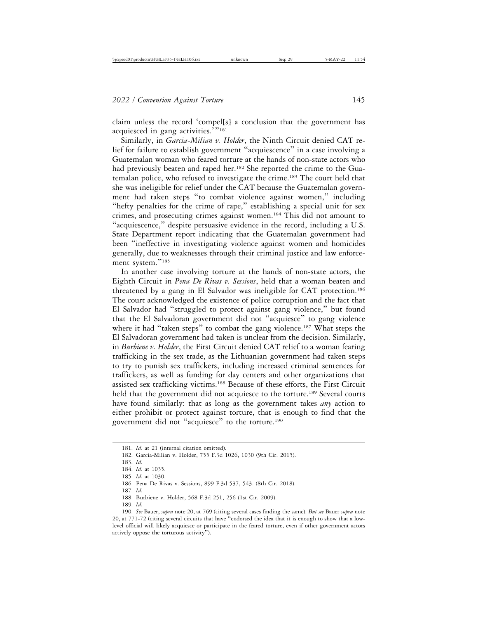claim unless the record 'compel[s] a conclusion that the government has acquiesced in gang activities.'"<sup>181</sup>

Similarly, in *Garcia-Milian v. Holder*, the Ninth Circuit denied CAT relief for failure to establish government "acquiescence" in a case involving a Guatemalan woman who feared torture at the hands of non-state actors who had previously beaten and raped her.<sup>182</sup> She reported the crime to the Guatemalan police, who refused to investigate the crime.183 The court held that she was ineligible for relief under the CAT because the Guatemalan government had taken steps "to combat violence against women," including "hefty penalties for the crime of rape," establishing a special unit for sex crimes, and prosecuting crimes against women.184 This did not amount to "acquiescence," despite persuasive evidence in the record, including a U.S. State Department report indicating that the Guatemalan government had been "ineffective in investigating violence against women and homicides generally, due to weaknesses through their criminal justice and law enforcement system."<sup>185</sup>

In another case involving torture at the hands of non-state actors, the Eighth Circuit in *Pena De Rivas v. Sessions*, held that a woman beaten and threatened by a gang in El Salvador was ineligible for CAT protection.186 The court acknowledged the existence of police corruption and the fact that El Salvador had "struggled to protect against gang violence," but found that the El Salvadoran government did not "acquiesce" to gang violence where it had "taken steps" to combat the gang violence.<sup>187</sup> What steps the El Salvadoran government had taken is unclear from the decision. Similarly, in *Burbiene v. Holder*, the First Circuit denied CAT relief to a woman fearing trafficking in the sex trade, as the Lithuanian government had taken steps to try to punish sex traffickers, including increased criminal sentences for traffickers, as well as funding for day centers and other organizations that assisted sex trafficking victims.188 Because of these efforts, the First Circuit held that the government did not acquiesce to the torture.<sup>189</sup> Several courts have found similarly: that as long as the government takes *any* action to either prohibit or protect against torture, that is enough to find that the government did not "acquiesce" to the torture.190

- 188. Burbiene v. Holder, 568 F.3d 251, 256 (1st Cir. 2009).
- 189. *Id.*

<sup>181.</sup> *Id.* at 21 (internal citation omitted).

<sup>182.</sup> Garcia-Milian v. Holder, 755 F.3d 1026, 1030 (9th Cir. 2015).

<sup>183.</sup> *Id.*

<sup>184.</sup> *Id.* at 1035.

<sup>185.</sup> *Id.* at 1030.

<sup>186.</sup> Pena De Rivas v. Sessions, 899 F.3d 537, 543. (8th Cir. 2018).

<sup>187.</sup> *Id.*

<sup>190.</sup> *See* Bauer, *supra* note 20, at 769 (citing several cases finding the same). *But see* Bauer *supra* note 20, at 771-72 (citing several circuits that have "endorsed the idea that it is enough to show that a lowlevel official will likely acquiesce or participate in the feared torture, even if other government actors actively oppose the torturous activity").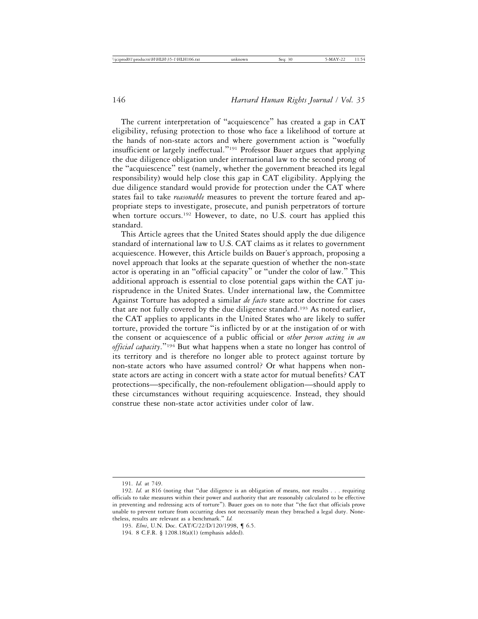The current interpretation of "acquiescence" has created a gap in CAT eligibility, refusing protection to those who face a likelihood of torture at the hands of non-state actors and where government action is "woefully insufficient or largely ineffectual."191 Professor Bauer argues that applying the due diligence obligation under international law to the second prong of the "acquiescence" test (namely, whether the government breached its legal responsibility) would help close this gap in CAT eligibility. Applying the due diligence standard would provide for protection under the CAT where states fail to take *reasonable* measures to prevent the torture feared and appropriate steps to investigate, prosecute, and punish perpetrators of torture when torture occurs.<sup>192</sup> However, to date, no U.S. court has applied this standard.

This Article agrees that the United States should apply the due diligence standard of international law to U.S. CAT claims as it relates to government acquiescence. However, this Article builds on Bauer's approach, proposing a novel approach that looks at the separate question of whether the non-state actor is operating in an "official capacity" or "under the color of law." This additional approach is essential to close potential gaps within the CAT jurisprudence in the United States. Under international law, the Committee Against Torture has adopted a similar *de facto* state actor doctrine for cases that are not fully covered by the due diligence standard.<sup>193</sup> As noted earlier, the CAT applies to applicants in the United States who are likely to suffer torture, provided the torture "is inflicted by or at the instigation of or with the consent or acquiescence of a public official or *other person acting in an official capacity*."194 But what happens when a state no longer has control of its territory and is therefore no longer able to protect against torture by non-state actors who have assumed control? Or what happens when nonstate actors are acting in concert with a state actor for mutual benefits? CAT protections—specifically, the non-refoulement obligation—should apply to these circumstances without requiring acquiescence. Instead, they should construe these non-state actor activities under color of law.

<sup>191.</sup> *Id.* at 749.

<sup>192.</sup> *Id.* at 816 (noting that "due diligence is an obligation of means, not results . . . requiring officials to take measures within their power and authority that are reasonably calculated to be effective in preventing and redressing acts of torture"). Bauer goes on to note that "the fact that officials prove unable to prevent torture from occurring does not necessarily mean they breached a legal duty. Nonetheless, results are relevant as a benchmark." *Id.*

<sup>193.</sup> *Elmi*, U.N. Doc. CAT/C/22/D/120/1998, ¶ 6.5.

<sup>194. 8</sup> C.F.R. § 1208.18(a)(1) (emphasis added).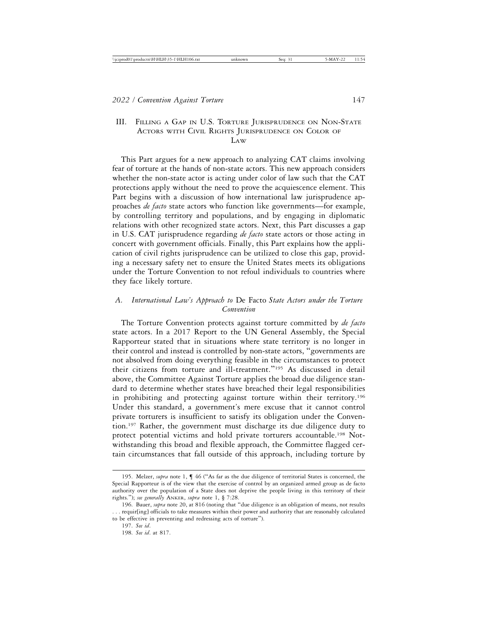# III. FILLING A GAP IN U.S. TORTURE JURISPRUDENCE ON NON-STATE ACTORS WITH CIVIL RIGHTS JURISPRUDENCE ON COLOR OF LAW

This Part argues for a new approach to analyzing CAT claims involving fear of torture at the hands of non-state actors. This new approach considers whether the non-state actor is acting under color of law such that the CAT protections apply without the need to prove the acquiescence element. This Part begins with a discussion of how international law jurisprudence approaches *de facto* state actors who function like governments—for example, by controlling territory and populations, and by engaging in diplomatic relations with other recognized state actors. Next, this Part discusses a gap in U.S. CAT jurisprudence regarding *de facto* state actors or those acting in concert with government officials. Finally, this Part explains how the application of civil rights jurisprudence can be utilized to close this gap, providing a necessary safety net to ensure the United States meets its obligations under the Torture Convention to not refoul individuals to countries where they face likely torture.

## *A. International Law's Approach to* De Facto *State Actors under the Torture Convention*

The Torture Convention protects against torture committed by *de facto* state actors. In a 2017 Report to the UN General Assembly, the Special Rapporteur stated that in situations where state territory is no longer in their control and instead is controlled by non-state actors, "governments are not absolved from doing everything feasible in the circumstances to protect their citizens from torture and ill-treatment."195 As discussed in detail above, the Committee Against Torture applies the broad due diligence standard to determine whether states have breached their legal responsibilities in prohibiting and protecting against torture within their territory.196 Under this standard, a government's mere excuse that it cannot control private torturers is insufficient to satisfy its obligation under the Convention.197 Rather, the government must discharge its due diligence duty to protect potential victims and hold private torturers accountable.198 Notwithstanding this broad and flexible approach, the Committee flagged certain circumstances that fall outside of this approach, including torture by

<sup>195.</sup> Melzer, *supra* note 1, ¶ 46 ("As far as the due diligence of territorial States is concerned, the Special Rapporteur is of the view that the exercise of control by an organized armed group as de facto authority over the population of a State does not deprive the people living in this territory of their rights."); *see generally* ANKER, *supra* note 1, § 7:28.

<sup>196.</sup> Bauer, *supra* note 20, at 816 (noting that "due diligence is an obligation of means, not results . . . requir[ing] officials to take measures within their power and authority that are reasonably calculated to be effective in preventing and redressing acts of torture").

<sup>197.</sup> *See id*.

<sup>198.</sup> *See id*. at 817.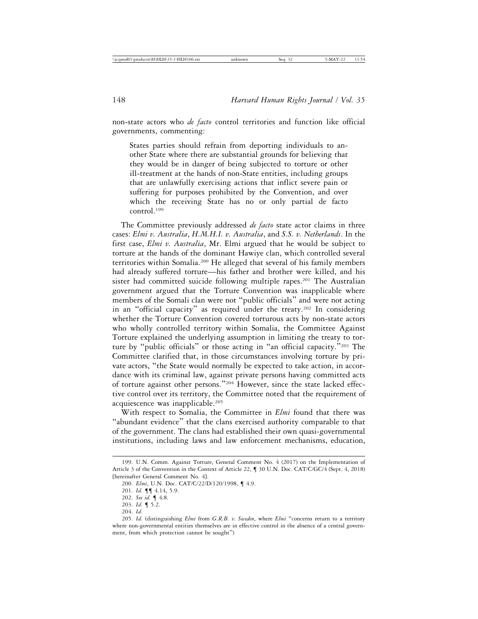non-state actors who *de facto* control territories and function like official governments, commenting:

States parties should refrain from deporting individuals to another State where there are substantial grounds for believing that they would be in danger of being subjected to torture or other ill-treatment at the hands of non-State entities, including groups that are unlawfully exercising actions that inflict severe pain or suffering for purposes prohibited by the Convention, and over which the receiving State has no or only partial de facto control.199

The Committee previously addressed *de facto* state actor claims in three cases: *Elmi v. Australia*, *H.M.H.I. v. Australia*, and *S.S. v. Netherlands*. In the first case, *Elmi v. Australia*, Mr. Elmi argued that he would be subject to torture at the hands of the dominant Hawiye clan, which controlled several territories within Somalia.200 He alleged that several of his family members had already suffered torture—his father and brother were killed, and his sister had committed suicide following multiple rapes.<sup>201</sup> The Australian government argued that the Torture Convention was inapplicable where members of the Somali clan were not "public officials" and were not acting in an "official capacity" as required under the treaty.202 In considering whether the Torture Convention covered torturous acts by non-state actors who wholly controlled territory within Somalia, the Committee Against Torture explained the underlying assumption in limiting the treaty to torture by "public officials" or those acting in "an official capacity."203 The Committee clarified that, in those circumstances involving torture by private actors, "the State would normally be expected to take action, in accordance with its criminal law, against private persons having committed acts of torture against other persons."204 However, since the state lacked effective control over its territory, the Committee noted that the requirement of acquiescence was inapplicable.<sup>205</sup>

With respect to Somalia, the Committee in *Elmi* found that there was "abundant evidence" that the clans exercised authority comparable to that of the government. The clans had established their own quasi-governmental institutions, including laws and law enforcement mechanisms, education,

<sup>199.</sup> U.N. Comm. Against Torture, General Comment No. 4 (2017) on the Implementation of Article 3 of the Convention in the Context of Article 22, ¶ 30 U.N. Doc. CAT/C/GC/4 (Sept. 4, 2018) [hereinafter General Comment No. 4].

<sup>200.</sup> *Elmi*, U.N. Doc. CAT/C/22/D/120/1998, ¶ 4.9.

<sup>201.</sup> *Id.* ¶¶ 4.14, 5.9.

<sup>202.</sup> *See id.* ¶ 4.8.

<sup>203.</sup> *Id.* ¶ 5.2.

<sup>204.</sup> *Id.*

<sup>205.</sup> *Id.* (distinguishing *Elmi* from *G.R.B. v. Sweden*, where *Elmi* "concerns return to a territory where non-governmental entities themselves are in effective control in the absence of a central government, from which protection cannot be sought")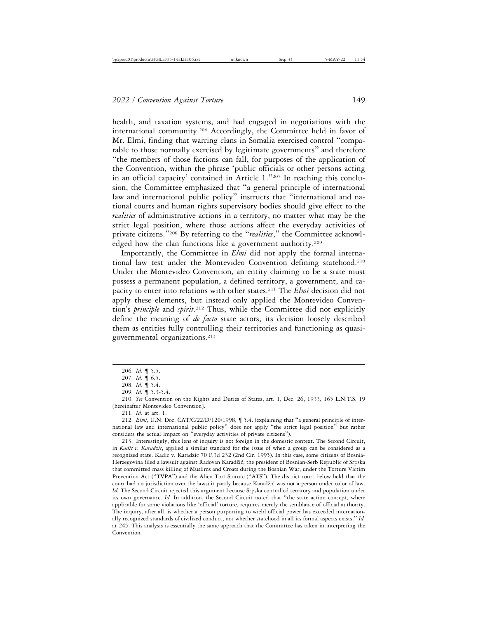health, and taxation systems, and had engaged in negotiations with the international community.206 Accordingly, the Committee held in favor of Mr. Elmi, finding that warring clans in Somalia exercised control "comparable to those normally exercised by legitimate governments" and therefore "the members of those factions can fall, for purposes of the application of the Convention, within the phrase 'public officials or other persons acting in an official capacity' contained in Article 1."207 In reaching this conclusion, the Committee emphasized that "a general principle of international law and international public policy" instructs that "international and national courts and human rights supervisory bodies should give effect to the *realities* of administrative actions in a territory, no matter what may be the strict legal position, where those actions affect the everyday activities of private citizens."208 By referring to the "*realities*," the Committee acknowledged how the clan functions like a government authority.<sup>209</sup>

Importantly, the Committee in *Elmi* did not apply the formal international law test under the Montevideo Convention defining statehood.210 Under the Montevideo Convention, an entity claiming to be a state must possess a permanent population, a defined territory, a government, and capacity to enter into relations with other states.211 The *Elmi* decision did not apply these elements, but instead only applied the Montevideo Convention's *principle* and *spirit*. 212 Thus, while the Committee did not explicitly define the meaning of *de facto* state actors, its decision loosely described them as entities fully controlling their territories and functioning as quasigovernmental organizations.213

210. *See* Convention on the Rights and Duties of States, art. 1, Dec. 26, 1933, 165 L.N.T.S. 19 [hereinafter Montevideo Convention].

211. *Id.* at art. 1.

212. *Elmi*, U.N. Doc. CAT/C/22/D/120/1998, ¶ 5.4. (explaining that "a general principle of international law and international public policy" does not apply "the strict legal position" but rather considers the actual impact on "everyday activities of private citizens").

213. Interestingly, this lens of inquiry is not foreign in the domestic context. The Second Circuit, in *Kadic v. Karadzic*, applied a similar standard for the issue of when a group can be considered as a recognized state. Kadic v. Karadzic 70 F.3d 232 (2nd Cir. 1995). In this case, some citizens of Bosnia-Herzegovina filed a lawsuit against Radovan Karadžić, the president of Bosnian-Serb Republic of Srpska that committed mass killing of Muslims and Croats during the Bosnian War, under the Torture Victim Prevention Act ("TVPA") and the Alien Tort Statute ("ATS"). The district court below held that the court had no jurisdiction over the lawsuit partly because Karadžić was not a person under color of law. *Id.* The Second Circuit rejected this argument because Srpska controlled territory and population under its own governance. *Id.* In addition, the Second Circuit noted that "the state action concept, where applicable for some violations like 'official' torture, requires merely the semblance of official authority. The inquiry, after all, is whether a person purporting to wield official power has exceeded internationally recognized standards of civilized conduct, not whether statehood in all its formal aspects exists." *Id.* at 245. This analysis is essentially the same approach that the Committee has taken in interpreting the Convention.

<sup>206.</sup> *Id.* ¶ 5.5.

<sup>207.</sup> *Id.* ¶ 6.5.

<sup>208.</sup> *Id.* ¶ 5.4.

<sup>209.</sup> *Id*. ¶ 5.3-5.4.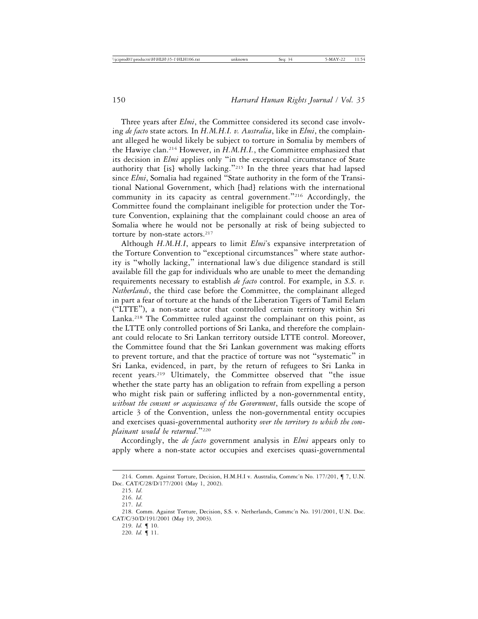Three years after *Elmi*, the Committee considered its second case involving *de facto* state actors*.* In *H.M.H.I. v. Australia*, like in *Elmi*, the complainant alleged he would likely be subject to torture in Somalia by members of the Hawiye clan.214 However, in *H.M.H.I.*, the Committee emphasized that its decision in *Elmi* applies only "in the exceptional circumstance of State authority that [is] wholly lacking."215 In the three years that had lapsed since *Elmi*, Somalia had regained "State authority in the form of the Transitional National Government, which [had] relations with the international community in its capacity as central government."<sup>216</sup> Accordingly, the Committee found the complainant ineligible for protection under the Torture Convention, explaining that the complainant could choose an area of Somalia where he would not be personally at risk of being subjected to torture by non-state actors.<sup>217</sup>

Although *H.M.H.I*, appears to limit *Elmi*'s expansive interpretation of the Torture Convention to "exceptional circumstances" where state authority is "wholly lacking," international law's due diligence standard is still available fill the gap for individuals who are unable to meet the demanding requirements necessary to establish *de facto* control. For example, in *S.S. v. Netherlands*, the third case before the Committee, the complainant alleged in part a fear of torture at the hands of the Liberation Tigers of Tamil Eelam ("LTTE"), a non-state actor that controlled certain territory within Sri Lanka.<sup>218</sup> The Committee ruled against the complainant on this point, as the LTTE only controlled portions of Sri Lanka, and therefore the complainant could relocate to Sri Lankan territory outside LTTE control. Moreover, the Committee found that the Sri Lankan government was making efforts to prevent torture, and that the practice of torture was not "systematic" in Sri Lanka, evidenced, in part, by the return of refugees to Sri Lanka in recent years.219 Ultimately, the Committee observed that "the issue whether the state party has an obligation to refrain from expelling a person who might risk pain or suffering inflicted by a non-governmental entity, *without the consent or acquiescence of the Government*, falls outside the scope of article 3 of the Convention, unless the non-governmental entity occupies and exercises quasi-governmental authority *over the territory to which the complainant would be returned*."<sup>220</sup>

Accordingly, the *de facto* government analysis in *Elmi* appears only to apply where a non-state actor occupies and exercises quasi-governmental

<sup>214.</sup> Comm. Against Torture, Decision, H.M.H.I v. Australia, Commc'n No. 177/201, ¶ 7, U.N. Doc. CAT/C/28/D/177/2001 (May 1, 2002).

<sup>215.</sup> *Id*.

<sup>216.</sup> *Id*.

<sup>217.</sup> *Id*.

<sup>218.</sup> Comm. Against Torture, Decision, S.S. v. Netherlands, Commc'n No. 191/2001, U.N. Doc. CAT/C/30/D/191/2001 (May 19, 2003).

<sup>219.</sup> *Id.* ¶ 10.

<sup>220.</sup> *Id.* ¶ 11.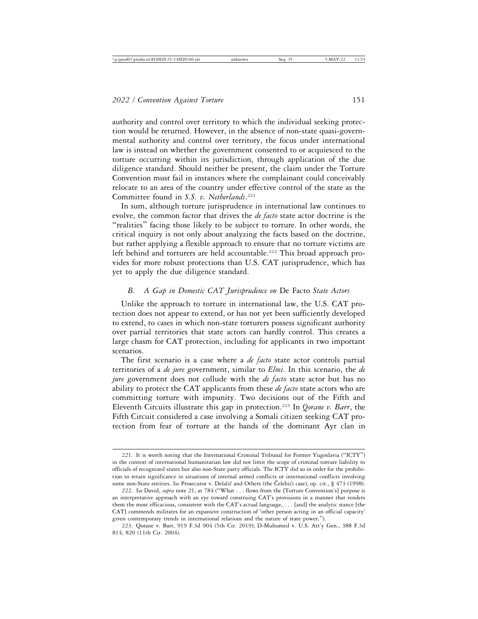authority and control over territory to which the individual seeking protection would be returned. However, in the absence of non-state quasi-governmental authority and control over territory, the focus under international law is instead on whether the government consented to or acquiesced to the torture occurring within its jurisdiction, through application of the due diligence standard. Should neither be present, the claim under the Torture Convention must fail in instances where the complainant could conceivably relocate to an area of the country under effective control of the state as the Committee found in *S.S. v. Netherlands*. 221

In sum, although torture jurisprudence in international law continues to evolve, the common factor that drives the *de facto* state actor doctrine is the "realities" facing those likely to be subject to torture. In other words, the critical inquiry is not only about analyzing the facts based on the doctrine, but rather applying a flexible approach to ensure that no torture victims are left behind and torturers are held accountable.<sup>222</sup> This broad approach provides for more robust protections than U.S. CAT jurisprudence, which has yet to apply the due diligence standard.

#### *B. A Gap in Domestic CAT Jurisprudence on* De Facto *State Actors*

Unlike the approach to torture in international law, the U.S. CAT protection does not appear to extend, or has not yet been sufficiently developed to extend, to cases in which non-state torturers possess significant authority over partial territories that state actors can hardly control. This creates a large chasm for CAT protection, including for applicants in two important scenarios.

The first scenario is a case where a *de facto* state actor controls partial territories of a *de jure* government, similar to *Elmi*. In this scenario, the *de jure* government does not collude with the *de facto* state actor but has no ability to protect the CAT applicants from these *de facto* state actors who are committing torture with impunity. Two decisions out of the Fifth and Eleventh Circuits illustrate this gap in protection.223 In *Qorane v. Barr*, the Fifth Circuit considered a case involving a Somali citizen seeking CAT protection from fear of torture at the hands of the dominant Ayr clan in

<sup>221.</sup> It is worth noting that the International Criminal Tribunal for Former Yugoslavia ("ICTY") in the context of international humanitarian law did not limit the scope of criminal torture liability to officials of recognized states but also non-State party officials. The ICTY did so in order for the prohibition to retain significance in situations of internal armed conflicts or international conflicts involving some non-State entities. *See* Prosecutor v. Delalič and Others (the Čelebići case), op. cit., § 473 (1998).

<sup>222.</sup> *See* David, *supra* note 21, at 784 ("What . . . flows from the [Torture Convention's] purpose is an interpretative approach with an eye toward construing CAT's provisions in a manner that renders them the most efficacious, consistent with the CAT's actual language, . . . [and] the analytic stance [the CAT] commends militates for an expansive construction of 'other person acting in an official capacity' given contemporary trends in international relations and the nature of state power.").

<sup>223.</sup> Qorane v. Barr, 919 F.3d 904 (5th Cir. 2019); D-Muhumed v. U.S. Att'y Gen*.*, 388 F.3d 814, 820 (11th Cir. 2004).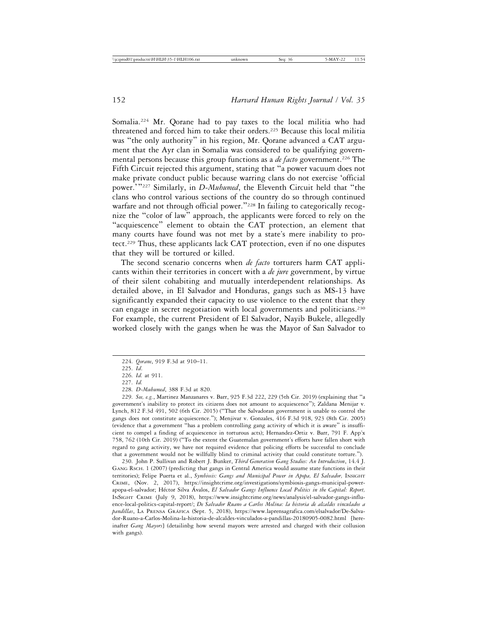Somalia.224 Mr. Qorane had to pay taxes to the local militia who had threatened and forced him to take their orders.<sup>225</sup> Because this local militia was "the only authority" in his region, Mr. Qorane advanced a CAT argument that the Ayr clan in Somalia was considered to be qualifying governmental persons because this group functions as a *de facto* government.<sup>226</sup> The Fifth Circuit rejected this argument, stating that "a power vacuum does not make private conduct public because warring clans do not exercise 'official power.'"227 Similarly, in *D-Muhumed*, the Eleventh Circuit held that "the clans who control various sections of the country do so through continued warfare and not through official power."<sup>228</sup> In failing to categorically recognize the "color of law" approach, the applicants were forced to rely on the "acquiescence" element to obtain the CAT protection, an element that many courts have found was not met by a state's mere inability to protect.<sup>229</sup> Thus, these applicants lack CAT protection, even if no one disputes that they will be tortured or killed.

The second scenario concerns when *de facto* torturers harm CAT applicants within their territories in concert with a *de jure* government, by virtue of their silent cohabiting and mutually interdependent relationships. As detailed above, in El Salvador and Honduras, gangs such as MS-13 have significantly expanded their capacity to use violence to the extent that they can engage in secret negotiation with local governments and politicians.230 For example, the current President of El Salvador, Nayib Bukele, allegedly worked closely with the gangs when he was the Mayor of San Salvador to

229. *See, e.g.*, Martinez Manzanares v. Barr, 925 F.3d 222, 229 (5th Cir. 2019) (explaining that "a government's inability to protect its citizens does not amount to acquiescence"); Zaldana Menijar v. Lynch, 812 F.3d 491, 502 (6th Cir. 2015) ("That the Salvadoran government is unable to control the gangs does not constitute acquiescence."); Menjivar v. Gonzales, 416 F.3d 918, 923 (8th Cir. 2005) (evidence that a government "has a problem controlling gang activity of which it is aware" is insufficient to compel a finding of acquiescence in torturous acts); Hernandez-Ortiz v. Barr, 791 F. App'x 758, 762 (10th Cir. 2019) ("To the extent the Guatemalan government's efforts have fallen short with regard to gang activity, we have not required evidence that policing efforts be successful to conclude that a government would not be willfully blind to criminal activity that could constitute torture.").

230. John P. Sullivan and Robert J. Bunker, *Third Generation Gang Studies: An Introduction*, 14.4 J. GANG RSCH. 1 (2007) (predicting that gangs in Central America would assume state functions in their territories); Felipe Puerta et al., *Symbiosis: Gangs and Municipal Power in Apopa, El Salvador,* INSIGHT CRIME, (Nov. 2, 2017), https://insightcrime.org/investigations/symbiosis-gangs-municipal-powerapopa-el-salvador; Héctor Silva Ávalos, El Salvador Gangs Influence Local Politics in the Capital: Report, INSIGHT CRIME (July 9, 2018), https://www.insightcrime.org/news/analysis/el-salvador-gangs-influence-local-politics-capital-report/; *De Salvador Ruano a Carlos Molina: la historia de alcaldes vinculados a* pandillas, LA PRENSA GRÁFICA (Sept. 5, 2018), https://www.laprensagrafica.com/elsalvador/De-Salvador-Ruano-a-Carlos-Molina-la-historia-de-alcaldes-vinculados-a-pandillas-20180905-0082.html [hereinafter *Gang Mayors*] (detailinbg how several mayors were arrested and charged with their collusion with gangs).

<sup>224.</sup> *Qorane*, 919 F.3d at 910–11.

<sup>225.</sup> *Id*.

<sup>226.</sup> *Id.* at 911.

<sup>227.</sup> *Id.*

<sup>228.</sup> *D-Muhumed*, 388 F.3d at 820.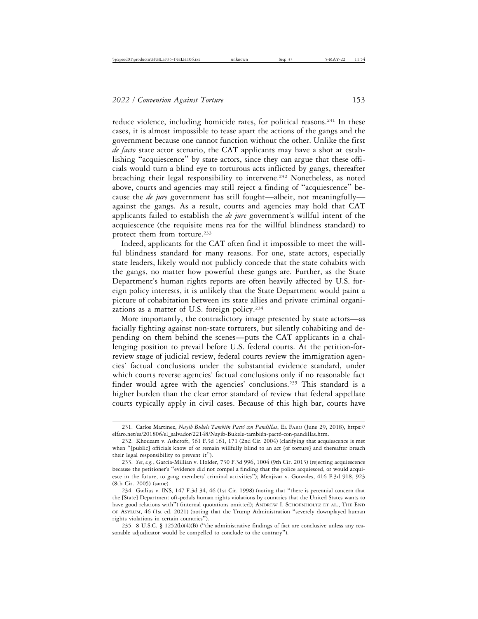reduce violence, including homicide rates, for political reasons.<sup>231</sup> In these cases, it is almost impossible to tease apart the actions of the gangs and the government because one cannot function without the other. Unlike the first *de facto* state actor scenario, the CAT applicants may have a shot at establishing "acquiescence" by state actors, since they can argue that these officials would turn a blind eye to torturous acts inflicted by gangs, thereafter breaching their legal responsibility to intervene.<sup>232</sup> Nonetheless, as noted above, courts and agencies may still reject a finding of "acquiescence" because the *de jure* government has still fought—albeit, not meaningfully against the gangs. As a result, courts and agencies may hold that CAT applicants failed to establish the *de jure* government's willful intent of the acquiescence (the requisite mens rea for the willful blindness standard) to protect them from torture.<sup>233</sup>

Indeed, applicants for the CAT often find it impossible to meet the willful blindness standard for many reasons. For one, state actors, especially state leaders, likely would not publicly concede that the state cohabits with the gangs, no matter how powerful these gangs are. Further, as the State Department's human rights reports are often heavily affected by U.S. foreign policy interests, it is unlikely that the State Department would paint a picture of cohabitation between its state allies and private criminal organizations as a matter of U.S. foreign policy.234

More importantly, the contradictory image presented by state actors—as facially fighting against non-state torturers, but silently cohabiting and depending on them behind the scenes—puts the CAT applicants in a challenging position to prevail before U.S. federal courts. At the petition-forreview stage of judicial review, federal courts review the immigration agencies' factual conclusions under the substantial evidence standard, under which courts reverse agencies' factual conclusions only if no reasonable fact finder would agree with the agencies' conclusions.<sup>235</sup> This standard is a higher burden than the clear error standard of review that federal appellate courts typically apply in civil cases. Because of this high bar, courts have

<sup>231.</sup> Carlos Martinez, *Nayib Bukele También Pactó con Pandillas*, EL FARO (June 29, 2018), https:// elfaro.net/es/201806/el\_salvador/22148/Nayib-Bukele-también-pactó-con-pandillas.htm.

<sup>232.</sup> Khouzam v. Ashcroft, 361 F.3d 161, 171 (2nd Cir. 2004) (clarifying that acquiescence is met when "[public] officials know of or remain willfully blind to an act [of torture] and thereafter breach their legal responsibility to prevent it").

<sup>233.</sup> *See*, *e.g.*, Garcia-Millian v. Holder, 730 F.3d 996, 1004 (9th Cir. 2013) (rejecting acquiescence because the petitioner's "evidence did not compel a finding that the police acquiesced, or would acquiesce in the future, to gang members' criminal activities"); Menjivar v. Gonzales, 416 F.3d 918, 923 (8th Cir. 2005) (same).

<sup>234.</sup> Gailius v. INS, 147 F.3d 34, 46 (1st Cir. 1998) (noting that "there is perennial concern that the [State] Department oft-pedals human rights violations by countries that the United States wants to have good relations with") (internal quotations omitted); ANDREW I. SCHOENHOLTZ ET AL., THE END OF ASYLUM, 46 (1st ed. 2021) (noting that the Trump Administration "severely downplayed human rights violations in certain countries").

<sup>235. 8</sup> U.S.C. § 1252(b)(4)(B) ("the administrative findings of fact are conclusive unless any reasonable adjudicator would be compelled to conclude to the contrary").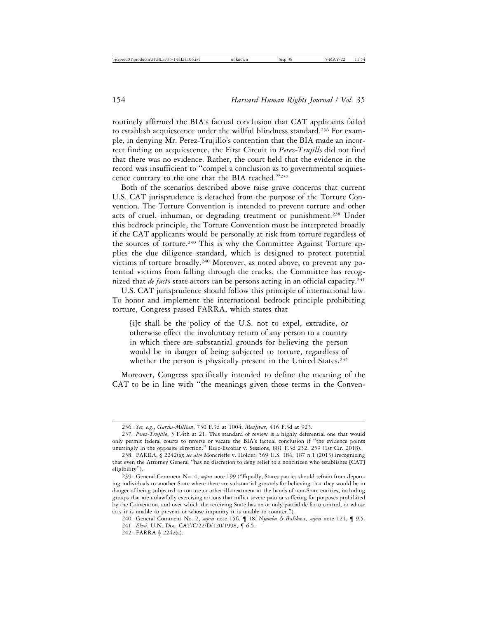routinely affirmed the BIA's factual conclusion that CAT applicants failed to establish acquiescence under the willful blindness standard.<sup>236</sup> For example, in denying Mr. Perez-Trujillo's contention that the BIA made an incorrect finding on acquiescence, the First Circuit in *Perez-Trujillo* did not find that there was no evidence. Rather, the court held that the evidence in the record was insufficient to "compel a conclusion as to governmental acquiescence contrary to the one that the BIA reached."<sup>237</sup>

Both of the scenarios described above raise grave concerns that current U.S. CAT jurisprudence is detached from the purpose of the Torture Convention. The Torture Convention is intended to prevent torture and other acts of cruel, inhuman, or degrading treatment or punishment.238 Under this bedrock principle, the Torture Convention must be interpreted broadly if the CAT applicants would be personally at risk from torture regardless of the sources of torture.<sup>239</sup> This is why the Committee Against Torture applies the due diligence standard, which is designed to protect potential victims of torture broadly.<sup>240</sup> Moreover, as noted above, to prevent any potential victims from falling through the cracks, the Committee has recognized that *de facto* state actors can be persons acting in an official capacity.<sup>241</sup>

U.S. CAT jurisprudence should follow this principle of international law. To honor and implement the international bedrock principle prohibiting torture, Congress passed FARRA, which states that

[i]t shall be the policy of the U.S. not to expel, extradite, or otherwise effect the involuntary return of any person to a country in which there are substantial grounds for believing the person would be in danger of being subjected to torture, regardless of whether the person is physically present in the United States.<sup>242</sup>

Moreover, Congress specifically intended to define the meaning of the CAT to be in line with "the meanings given those terms in the Conven-

<sup>236.</sup> *See, e.g.*, *Garcia-Millian*, 730 F.3d at 1004; *Menjivar*, 416 F.3d at 923.

<sup>237.</sup> *Perez-Trujillo*, 3 F.4th at 21. This standard of review is a highly deferential one that would only permit federal courts to reverse or vacate the BIA's factual conclusion if "the evidence points unerringly in the opposite direction." Ruiz-Escobar v. Sessions, 881 F.3d 252, 259 (1st Cir. 2018).

<sup>238.</sup> FARRA, § 2242(a); *see also* Moncrieffe v. Holder, 569 U.S. 184, 187 n.1 (2013) (recognizing that even the Attorney General "has no discretion to deny relief to a noncitizen who establishes [CAT] eligibility").

<sup>239.</sup> General Comment No. 4, *supra* note 199 ("Equally, States parties should refrain from deporting individuals to another State where there are substantial grounds for believing that they would be in danger of being subjected to torture or other ill-treatment at the hands of non-State entities, including groups that are unlawfully exercising actions that inflict severe pain or suffering for purposes prohibited by the Convention, and over which the receiving State has no or only partial de facto control, or whose acts it is unable to prevent or whose impunity it is unable to counter.").

<sup>240.</sup> General Comment No. 2, *supra* note 156, ¶ 18; *Njamba & Balikosa*, *supra* note 121, ¶ 9.5.

<sup>241.</sup> *Elmi*, U.N. Doc. CAT/C/22/D/120/1998, ¶ 6.5.

<sup>242.</sup> FARRA § 2242(a).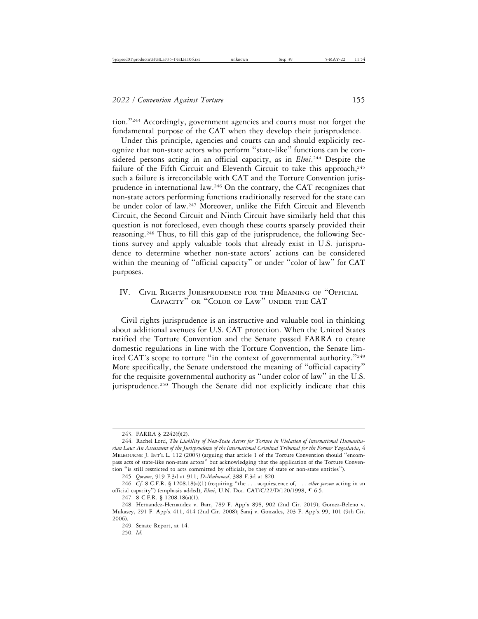tion."243 Accordingly, government agencies and courts must not forget the fundamental purpose of the CAT when they develop their jurisprudence.

Under this principle, agencies and courts can and should explicitly recognize that non-state actors who perform "state-like" functions can be considered persons acting in an official capacity, as in *Elmi*. 244 Despite the failure of the Fifth Circuit and Eleventh Circuit to take this approach,<sup>245</sup> such a failure is irreconcilable with CAT and the Torture Convention jurisprudence in international law.246 On the contrary, the CAT recognizes that non-state actors performing functions traditionally reserved for the state can be under color of law.247 Moreover, unlike the Fifth Circuit and Eleventh Circuit, the Second Circuit and Ninth Circuit have similarly held that this question is not foreclosed, even though these courts sparsely provided their reasoning.<sup>248</sup> Thus, to fill this gap of the jurisprudence, the following Sections survey and apply valuable tools that already exist in U.S. jurisprudence to determine whether non-state actors' actions can be considered within the meaning of "official capacity" or under "color of law" for CAT purposes.

# IV. CIVIL RIGHTS JURISPRUDENCE FOR THE MEANING OF "OFFICIAL CAPACITY" OR "COLOR OF LAW" UNDER THE CAT

Civil rights jurisprudence is an instructive and valuable tool in thinking about additional avenues for U.S. CAT protection. When the United States ratified the Torture Convention and the Senate passed FARRA to create domestic regulations in line with the Torture Convention, the Senate limited CAT's scope to torture "in the context of governmental authority."<sup>249</sup> More specifically, the Senate understood the meaning of "official capacity" for the requisite governmental authority as "under color of law" in the U.S. jurisprudence.<sup>250</sup> Though the Senate did not explicitly indicate that this

<sup>243.</sup> FARRA § 2242(f)(2).

<sup>244.</sup> Rachel Lord, *The Liability of Non-State Actors for Torture in Violation of International Humanitarian Law: An Assessment of the Jurisprudence of the International Criminal Tribunal for the Former Yugoslavia*, 4 MELBOURNE J. INT'L L. 112 (2003) (arguing that article 1 of the Torture Convention should "encompass acts of state-like non-state actors" but acknowledging that the application of the Torture Convention "is still restricted to acts committed by officials, be they of state or non-state entities").

<sup>245.</sup> *Qorane*, 919 F.3d at 911; *D-Muhumed*, 388 F.3d at 820.

<sup>246.</sup> *Cf.* 8 C.F.R. § 1208.18(a)(1) (requiring "the . . . acquiescence of, . . . *other person* acting in an official capacity") (emphasis added); *Elmi*, U.N. Doc. CAT/C/22/D/120/1998, ¶ 6.5.

<sup>247. 8</sup> C.F.R. § 1208.18(a)(1).

<sup>248.</sup> Hernandez-Hernandez v. Barr, 789 F. App'x 898, 902 (2nd Cir. 2019); Gomez-Beleno v. Mukasey, 291 F. App'x 411, 414 (2nd Cir. 2008); Saraj v. Gonzales, 203 F. App'x 99, 101 (9th Cir. 2006).

<sup>249.</sup> Senate Report, at 14.

<sup>250.</sup> *Id.*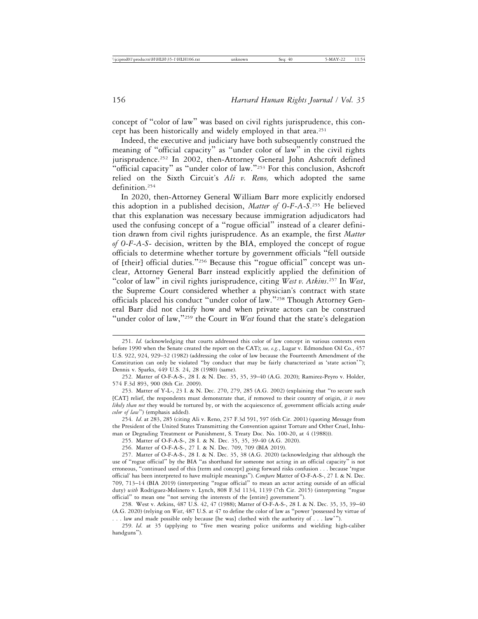concept of "color of law" was based on civil rights jurisprudence, this concept has been historically and widely employed in that area.251

Indeed, the executive and judiciary have both subsequently construed the meaning of "official capacity" as "under color of law" in the civil rights jurisprudence.<sup>252</sup> In 2002, then-Attorney General John Ashcroft defined "official capacity" as "under color of law."253 For this conclusion, Ashcroft relied on the Sixth Circuit's *Ali v. Reno,* which adopted the same definition.254

In 2020, then-Attorney General William Barr more explicitly endorsed this adoption in a published decision, *Matter of O-F-A-S*. 255 He believed that this explanation was necessary because immigration adjudicators had used the confusing concept of a "rogue official" instead of a clearer definition drawn from civil rights jurisprudence. As an example, the first *Matter of O-F-A-S-* decision, written by the BIA, employed the concept of rogue officials to determine whether torture by government officials "fell outside of [their] official duties."256 Because this "rogue official" concept was unclear, Attorney General Barr instead explicitly applied the definition of "color of law" in civil rights jurisprudence, citing *West v. Atkins*. 257 In *West*, the Supreme Court considered whether a physician's contract with state officials placed his conduct "under color of law."258 Though Attorney General Barr did not clarify how and when private actors can be construed "under color of law,"259 the Court in *West* found that the state's delegation

259. *Id*. at 35 (applying to "five men wearing police uniforms and wielding high-caliber handguns").

<sup>251.</sup> *Id.* (acknowledging that courts addressed this color of law concept in various contexts even before 1990 when the Senate created the report on the CAT); *see, e.g.*, Lugar v. Edmondson Oil Co*.*, 457 U.S. 922, 924, 929–32 (1982) (addressing the color of law because the Fourteenth Amendment of the Constitution can only be violated "by conduct that may be fairly characterized as 'state action'"); Dennis v. Sparks, 449 U.S. 24, 28 (1980) (same).

<sup>252.</sup> Matter of O-F-A-S-, 28 I. & N. Dec. 35, 35, 39–40 (A.G. 2020); Ramirez-Peyro v. Holder, 574 F.3d 893, 900 (8th Cir. 2009).

<sup>253.</sup> Matter of Y-L-, 23 I. & N. Dec. 270, 279, 285 (A.G. 2002) (explaining that "to secure such [CAT] relief, the respondents must demonstrate that, if removed to their country of origin, *it is more likely than not* they would be tortured by, or with the acquiescence of, government officials acting *under color of law*") (emphasis added).

<sup>254.</sup> *Id*. at 283, 285 (citing Ali v. Reno, 237 F.3d 591, 597 (6th Cir. 2001) (quoting Message from the President of the United States Transmitting the Convention against Torture and Other Cruel, Inhuman or Degrading Treatment or Punishment, S. Treaty Doc. No. 100-20, at 4 (1988))).

<sup>255.</sup> Matter of O-F-A-S-, 28 I. & N. Dec. 35, 35, 39-40 (A.G. 2020).

<sup>256.</sup> Matter of O-F-A-S-, 27 I. & N. Dec. 709, 709 (BIA 2019).

<sup>257.</sup> Matter of O-F-A-S-, 28 I. & N. Dec. 35, 38 (A.G. 2020) (acknowledging that although the use of "rogue official" by the BIA "as shorthand for someone not acting in an official capacity" is not erroneous, "continued used of this [term and concept] going forward risks confusion . . . because 'rogue official' has been interpreted to have multiple meanings"). *Compare* Matter of O-F-A-S-, 27 I. & N. Dec. 709, 713–14 (BIA 2019) (interpreting "rogue official" to mean an actor acting outside of an official duty) *with* Rodriguez-Molinero v. Lynch, 808 F.3d 1134, 1139 (7th Cir. 2015) (interpreting "rogue official" to mean one "not serving the interests of the [entire] government").

<sup>258.</sup> West v. Atkins, 487 U.S. 42, 47 (1988); Matter of O-F-A-S-, 28 I. & N. Dec. 35, 35, 39–40 (A.G. 2020) (relying on *West*, 487 U.S. at 47 to define the color of law as "power 'possessed by virtue of . . . law and made possible only because [he was] clothed with the authority of . . . law'").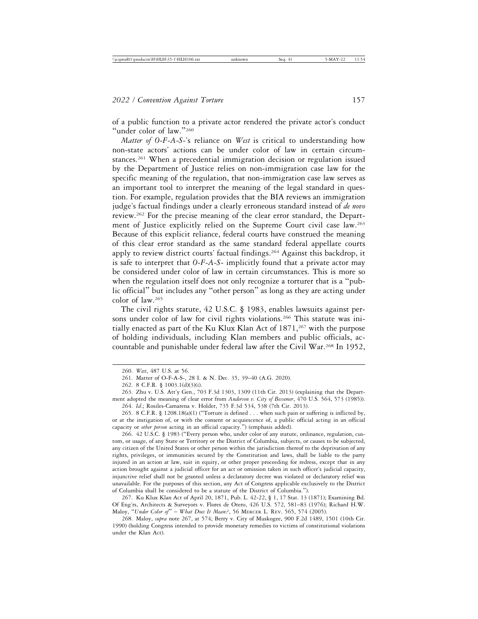of a public function to a private actor rendered the private actor's conduct "under color of law."260

*Matter of O-F-A-S-*'s reliance on *West* is critical to understanding how non-state actors' actions can be under color of law in certain circumstances.<sup>261</sup> When a precedential immigration decision or regulation issued by the Department of Justice relies on non-immigration case law for the specific meaning of the regulation, that non-immigration case law serves as an important tool to interpret the meaning of the legal standard in question. For example, regulation provides that the BIA reviews an immigration judge's factual findings under a clearly erroneous standard instead of *de novo* review.262 For the precise meaning of the clear error standard, the Department of Justice explicitly relied on the Supreme Court civil case law.<sup>263</sup> Because of this explicit reliance, federal courts have construed the meaning of this clear error standard as the same standard federal appellate courts apply to review district courts' factual findings.<sup>264</sup> Against this backdrop, it is safe to interpret that *O-F-A-S-* implicitly found that a private actor may be considered under color of law in certain circumstances. This is more so when the regulation itself does not only recognize a torturer that is a "public official" but includes any "other person" as long as they are acting under color of law.265

The civil rights statute, 42 U.S.C. § 1983, enables lawsuits against persons under color of law for civil rights violations.<sup>266</sup> This statute was initially enacted as part of the Ku Klux Klan Act of  $1871,2^{67}$  with the purpose of holding individuals, including Klan members and public officials, accountable and punishable under federal law after the Civil War.268 In 1952,

266. 42 U.S.C. § 1983 ("Every person who, under color of any statute, ordinance, regulation, custom, or usage, of any State or Territory or the District of Columbia, subjects, or causes to be subjected, any citizen of the United States or other person within the jurisdiction thereof to the deprivation of any rights, privileges, or immunities secured by the Constitution and laws, shall be liable to the party injured in an action at law, suit in equity, or other proper proceeding for redress, except that in any action brought against a judicial officer for an act or omission taken in such officer's judicial capacity, injunctive relief shall not be granted unless a declaratory decree was violated or declaratory relief was unavailable. For the purposes of this section, any Act of Congress applicable exclusively to the District of Columbia shall be considered to be a statute of the District of Columbia.").

267. Ku Klux Klan Act of April 20, 1871, Pub. L. 42-22, § 1, 17 Stat. 13 (1871); Examining Bd. Of Eng'rs, Architects & Surveyors v. Flores de Otero, 426 U.S. 572, 581–83 (1976); Richard H.W. Maloy, "*Under Color of*" – *What Does It Mean?*, 56 MERCER L. REV. 565, 574 (2005).

268. Maloy, *supra* note 267, at 574; Berry v. City of Muskogee, 900 F.2d 1489, 1501 (10th Cir. 1990) (holding Congress intended to provide monetary remedies to victims of constitutional violations under the Klan Act).

<sup>260.</sup> *West*, 487 U.S. at 56.

<sup>261.</sup> Matter of O-F-A-S-, 28 I. & N. Dec. 35, 39–40 (A.G. 2020).

<sup>262. 8</sup> C.F.R. § 1003.1(d)(3)(i).

<sup>263.</sup> Zhu v. U.S. Att'y Gen., 703 F.3d 1303, 1309 (11th Cir. 2013) (explaining that the Department adopted the meaning of clear error from *Anderson v. City of Bessemer*, 470 U.S. 564, 573 (1985)). 264. *Id*.; Rosiles-Camarena v. Holder, 735 F.3d 534, 538 (7th Cir. 2013).

<sup>265. 8</sup> C.F.R. § 1208.18(a)(1) ("Torture is defined  $\ldots$  when such pain or suffering is inflicted by, or at the instigation of, or with the consent or acquiescence of, a public official acting in an official capacity or *other person* acting in an official capacity.") (emphasis added).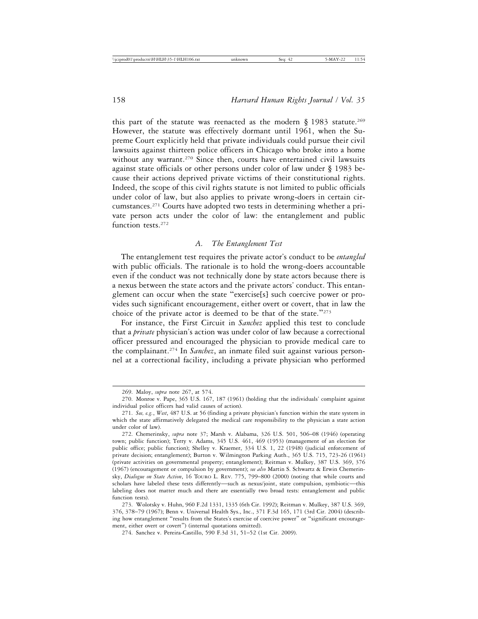this part of the statute was reenacted as the modern  $\S$  1983 statute.<sup>269</sup> However, the statute was effectively dormant until 1961, when the Supreme Court explicitly held that private individuals could pursue their civil lawsuits against thirteen police officers in Chicago who broke into a home without any warrant.<sup>270</sup> Since then, courts have entertained civil lawsuits against state officials or other persons under color of law under § 1983 because their actions deprived private victims of their constitutional rights. Indeed, the scope of this civil rights statute is not limited to public officials under color of law, but also applies to private wrong-doers in certain circumstances.271 Courts have adopted two tests in determining whether a private person acts under the color of law: the entanglement and public function tests.<sup>272</sup>

#### *A. The Entanglement Test*

The entanglement test requires the private actor's conduct to be *entangled* with public officials. The rationale is to hold the wrong-doers accountable even if the conduct was not technically done by state actors because there is a nexus between the state actors and the private actors' conduct. This entanglement can occur when the state "exercise[s] such coercive power or provides such significant encouragement, either overt or covert, that in law the choice of the private actor is deemed to be that of the state."<sup>273</sup>

For instance, the First Circuit in *Sanchez* applied this test to conclude that a *private* physician's action was under color of law because a correctional officer pressured and encouraged the physician to provide medical care to the complainant.274 In *Sanchez*, an inmate filed suit against various personnel at a correctional facility, including a private physician who performed

<sup>269.</sup> Maloy, *supra* note 267, at 574.

<sup>270.</sup> Monroe v. Pape, 365 U.S. 167, 187 (1961) (holding that the individuals' complaint against individual police officers had valid causes of action).

<sup>271.</sup> *See, e.g.*, *West*, 487 U.S. at 56 (finding a private physician's function within the state system in which the state affirmatively delegated the medical care responsibility to the physician a state action under color of law).

<sup>272.</sup> Chemerinsky, *supra* note 37; Marsh v. Alabama, 326 U.S. 501, 506–08 (1946) (operating town; public function); Terry v. Adams, 345 U.S. 461, 469 (1953) (management of an election for public office; public function); Shelley v. Kraemer, 334 U.S. 1, 22 (1948) (judicial enforcement of private decision; entanglement); Burton v. Wilmington Parking Auth., 365 U.S. 715, 723-26 (1961) (private activities on governmental property; entanglement); Reitman v. Mulkey, 387 U.S. 369, 376 (1967) (encouragement or compulsion by government); *see also* Martin S. Schwartz & Erwin Chemerinsky, *Dialogue on State Action*, 16 TOURO L. REV. 775, 799–800 (2000) (noting that while courts and scholars have labeled these tests differently—such as nexus/joint, state compulsion, symbiotic—this labeling does not matter much and there are essentially two broad tests: entanglement and public function tests).

<sup>273.</sup> Wolotsky v. Huhn, 960 F.2d 1331, 1335 (6th Cir. 1992); Reitman v. Mulkey, 387 U.S. 369, 376, 378–79 (1967); Benn v. Universal Health Sys., Inc., 371 F.3d 165, 171 (3rd Cir. 2004) (describing how entanglement "results from the States's exercise of coercive power" or "significant encouragement, either overt or covert") (internal quotations omitted).

<sup>274.</sup> Sanchez v. Pereira-Castillo, 590 F.3d 31, 51–52 (1st Cir. 2009).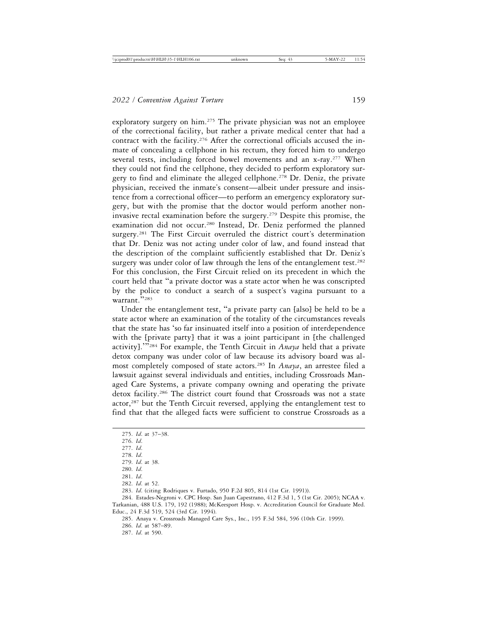exploratory surgery on him.<sup>275</sup> The private physician was not an employee of the correctional facility, but rather a private medical center that had a contract with the facility.<sup>276</sup> After the correctional officials accused the inmate of concealing a cellphone in his rectum, they forced him to undergo several tests, including forced bowel movements and an x-ray.<sup>277</sup> When they could not find the cellphone, they decided to perform exploratory surgery to find and eliminate the alleged cellphone.<sup>278</sup> Dr. Deniz, the private physician, received the inmate's consent—albeit under pressure and insistence from a correctional officer—to perform an emergency exploratory surgery, but with the promise that the doctor would perform another noninvasive rectal examination before the surgery.279 Despite this promise, the examination did not occur.<sup>280</sup> Instead, Dr. Deniz performed the planned surgery.<sup>281</sup> The First Circuit overruled the district court's determination that Dr. Deniz was not acting under color of law, and found instead that the description of the complaint sufficiently established that Dr. Deniz's surgery was under color of law through the lens of the entanglement test.<sup>282</sup> For this conclusion, the First Circuit relied on its precedent in which the court held that "a private doctor was a state actor when he was conscripted by the police to conduct a search of a suspect's vagina pursuant to a warrant."<sup>283</sup>

Under the entanglement test, "a private party can [also] be held to be a state actor where an examination of the totality of the circumstances reveals that the state has 'so far insinuated itself into a position of interdependence with the [private party] that it was a joint participant in [the challenged] activity].'"284 For example, the Tenth Circuit in *Anaya* held that a private detox company was under color of law because its advisory board was almost completely composed of state actors.285 In *Anaya*, an arrestee filed a lawsuit against several individuals and entities, including Crossroads Managed Care Systems, a private company owning and operating the private detox facility.286 The district court found that Crossroads was not a state actor,<sup>287</sup> but the Tenth Circuit reversed, applying the entanglement test to find that that the alleged facts were sufficient to construe Crossroads as a

282. *Id*. at 52.

287. *Id*. at 590.

<sup>275.</sup> *Id*. at 37–38.

<sup>276.</sup> *Id*.

<sup>277.</sup> *Id*.

<sup>278.</sup> *Id*.

<sup>279.</sup> *Id*. at 38. 280. *Id*.

<sup>281.</sup> *Id*.

<sup>283.</sup> *Id*. (citing Rodriques v. Furtado, 950 F.2d 805, 814 (1st Cir. 1991)).

<sup>284.</sup> Estades-Negroni v. CPC Hosp. San Juan Capestrano, 412 F.3d 1, 5 (1st Cir. 2005); NCAA v. Tarkanian, 488 U.S. 179, 192 (1988); McKeesport Hosp. v. Accreditation Council for Graduate Med. Educ., 24 F.3d 519, 524 (3rd Cir. 1994).

<sup>285.</sup> Anaya v. Crossroads Managed Care Sys., Inc., 195 F.3d 584, 596 (10th Cir. 1999). 286. *Id*. at 587–89.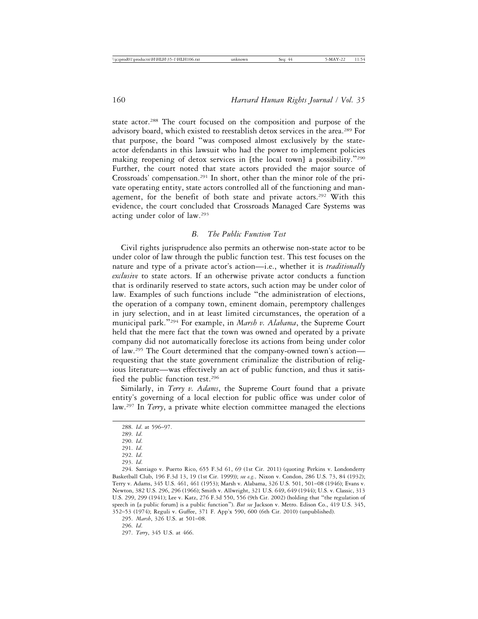state actor.<sup>288</sup> The court focused on the composition and purpose of the advisory board, which existed to reestablish detox services in the area.<sup>289</sup> For that purpose, the board "was composed almost exclusively by the stateactor defendants in this lawsuit who had the power to implement policies making reopening of detox services in [the local town] a possibility."<sup>290</sup> Further, the court noted that state actors provided the major source of Crossroads' compensation.291 In short, other than the minor role of the private operating entity, state actors controlled all of the functioning and management, for the benefit of both state and private actors.<sup>292</sup> With this evidence, the court concluded that Crossroads Managed Care Systems was acting under color of law.293

# *B. The Public Function Test*

Civil rights jurisprudence also permits an otherwise non-state actor to be under color of law through the public function test. This test focuses on the nature and type of a private actor's action—i.e., whether it is *traditionally exclusive* to state actors. If an otherwise private actor conducts a function that is ordinarily reserved to state actors, such action may be under color of law. Examples of such functions include "the administration of elections, the operation of a company town, eminent domain, peremptory challenges in jury selection, and in at least limited circumstances, the operation of a municipal park."294 For example, in *Marsh v. Alabama*, the Supreme Court held that the mere fact that the town was owned and operated by a private company did not automatically foreclose its actions from being under color of law.295 The Court determined that the company-owned town's action requesting that the state government criminalize the distribution of religious literature—was effectively an act of public function, and thus it satisfied the public function test.296

Similarly, in *Terry v. Adams*, the Supreme Court found that a private entity's governing of a local election for public office was under color of law.297 In *Terry*, a private white election committee managed the elections

296. *Id*.

<sup>288.</sup> *Id*. at 596–97.

<sup>289.</sup> *Id*.

<sup>290.</sup> *Id*.

<sup>291.</sup> *Id*.

<sup>292.</sup> *Id*.

<sup>293.</sup> *Id*.

<sup>294.</sup> Santiago v. Puerto Rico, 655 F.3d 61, 69 (1st Cir. 2011) (quoting Perkins v. Londonderry Basketball Club, 196 F.3d 13, 19 (1st Cir. 1999)); *see e.g.,* Nixon v. Condon, 286 U.S. 73, 84 (1932); Terry v. Adams, 345 U.S. 461, 461 (1953); Marsh v. Alabama, 326 U.S. 501, 501–08 (1946); Evans v. Newton, 382 U.S. 296, 296 (1966); Smith v. Allwright, 321 U.S. 649, 649 (1944); U.S. v. Classic, 313 U.S. 299, 299 (1941); Lee v. Katz, 276 F.3d 550, 556 (9th Cir. 2002) (holding that "the regulation of speech in [a public forum] is a public function"). *But see* Jackson v. Metro. Edison Co., 419 U.S. 345, 352–53 (1974); Reguli v. Guffee, 371 F. App'x 590, 600 (6th Cir. 2010) (unpublished).

<sup>295.</sup> *Marsh*, 326 U.S. at 501–08.

<sup>297.</sup> *Terry*, 345 U.S. at 466.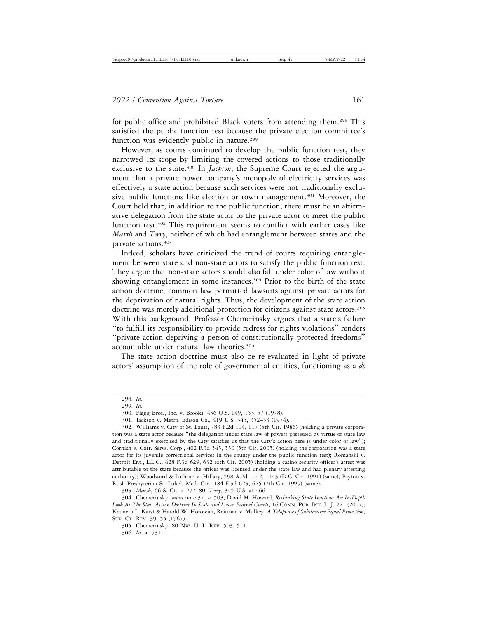for public office and prohibited Black voters from attending them.<sup>298</sup> This satisfied the public function test because the private election committee's function was evidently public in nature.<sup>299</sup>

However, as courts continued to develop the public function test, they narrowed its scope by limiting the covered actions to those traditionally exclusive to the state.<sup>300</sup> In *Jackson*, the Supreme Court rejected the argument that a private power company's monopoly of electricity services was effectively a state action because such services were not traditionally exclusive public functions like election or town management.<sup>301</sup> Moreover, the Court held that, in addition to the public function, there must be an affirmative delegation from the state actor to the private actor to meet the public function test.302 This requirement seems to conflict with earlier cases like *Marsh* and *Terry*, neither of which had entanglement between states and the private actions.303

Indeed, scholars have criticized the trend of courts requiring entanglement between state and non-state actors to satisfy the public function test. They argue that non-state actors should also fall under color of law without showing entanglement in some instances.<sup>304</sup> Prior to the birth of the state action doctrine, common law permitted lawsuits against private actors for the deprivation of natural rights. Thus, the development of the state action doctrine was merely additional protection for citizens against state actors.305 With this background, Professor Chemerinsky argues that a state's failure "to fulfill its responsibility to provide redress for rights violations" renders "private action depriving a person of constitutionally protected freedoms" accountable under natural law theories.306

The state action doctrine must also be re-evaluated in light of private actors' assumption of the role of governmental entities, functioning as a *de*

<sup>298.</sup> *Id*.

<sup>299.</sup> *Id*.

<sup>300.</sup> Flagg Bros., Inc. v. Brooks, 436 U.S. 149, 153–57 (1978).

<sup>301.</sup> Jackson v. Metro. Edison Co., 419 U.S. 345, 352–53 (1974).

<sup>302.</sup> Williams v. City of St. Louis, 783 F.2d 114, 117 (8th Cir. 1986) (holding a private corporation was a state actor because "the delegation under state law of powers possessed by virtue of state law and traditionally exercised by the City satisfies us that the City's action here is under color of law"); Cornish v. Corr. Servs. Corp., 402 F.3d 545, 550 (5th Cir. 2005) (holding the corporation was a state actor for its juvenile correctional services in the county under the public function test); Romanski v. Detroit Ent., L.L.C., 428 F.3d 629, 632 (6th Cir. 2005) (holding a casino security officer's arrest was attributable to the state because the officer was licensed under the state law and had plenary arresting authority); Woodward & Lothrop v. Hillary, 598 A.2d 1142, 1143 (D.C. Cir. 1991) (same); Payton v. Rush-Presbyterian-St. Luke's Med. Ctr., 184 F.3d 623, 625 (7th Cir. 1999) (same).

<sup>303.</sup> *Marsh*, 66 S. Ct. at 277–80; *Terry*, 345 U.S. at 466.

<sup>304.</sup> Chemerinsky, *supra* note 37, at 503; David M. Howard, *Rethinking State Inaction: An In-Depth Look At The State Action Doctrine In State and Lower Federal Courts*, 16 CONN. PUB. INT. L. J. 221 (2017); Kenneth L. Karst & Harold W. Horowitz, Reitman v. Mulkey: *A Telophase of Substantive Equal Protection*, SUP. CT. REV. 39, 55 (1967).

<sup>305.</sup> Chemerinsky, 80 NW. U. L. REV. 503, 511. 306. *Id.* at 531.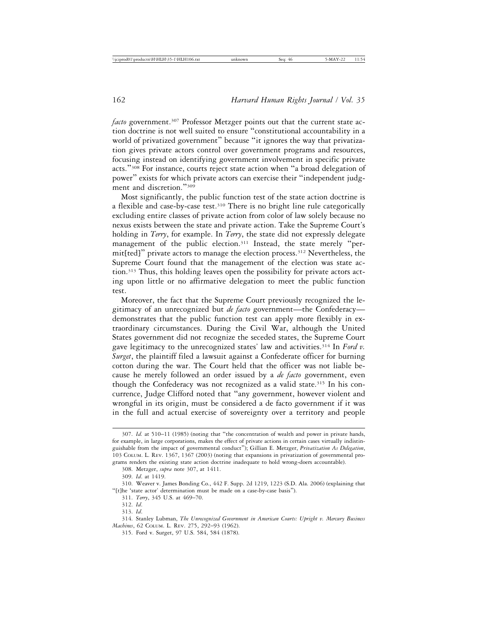*facto* government.<sup>307</sup> Professor Metzger points out that the current state action doctrine is not well suited to ensure "constitutional accountability in a world of privatized government" because "it ignores the way that privatization gives private actors control over government programs and resources, focusing instead on identifying government involvement in specific private acts."308 For instance, courts reject state action when "a broad delegation of power" exists for which private actors can exercise their "independent judgment and discretion."<sup>309</sup>

Most significantly, the public function test of the state action doctrine is a flexible and case-by-case test.<sup>310</sup> There is no bright line rule categorically excluding entire classes of private action from color of law solely because no nexus exists between the state and private action. Take the Supreme Court's holding in *Terry*, for example. In *Terry*, the state did not expressly delegate management of the public election.<sup>311</sup> Instead, the state merely "permit[ted]" private actors to manage the election process.312 Nevertheless, the Supreme Court found that the management of the election was state action.313 Thus, this holding leaves open the possibility for private actors acting upon little or no affirmative delegation to meet the public function test.

Moreover, the fact that the Supreme Court previously recognized the legitimacy of an unrecognized but *de facto* government—the Confederacy demonstrates that the public function test can apply more flexibly in extraordinary circumstances. During the Civil War, although the United States government did not recognize the seceded states, the Supreme Court gave legitimacy to the unrecognized states' law and activities.314 In *Ford v. Surget*, the plaintiff filed a lawsuit against a Confederate officer for burning cotton during the war. The Court held that the officer was not liable because he merely followed an order issued by a *de facto* government, even though the Confederacy was not recognized as a valid state.<sup>315</sup> In his concurrence, Judge Clifford noted that "any government, however violent and wrongful in its origin, must be considered a de facto government if it was in the full and actual exercise of sovereignty over a territory and people

<sup>307.</sup> *Id.* at 510–11 (1985) (noting that "the concentration of wealth and power in private hands, for example, in large corporations, makes the effect of private actions in certain cases virtually indistinguishable from the impact of governmental conduct"); Gillian E. Metzger, *Privatization As Delegation*, 103 COLUM. L. REV. 1367, 1367 (2003) (noting that expansions in privatization of governmental programs renders the existing state action doctrine inadequate to hold wrong-doers accountable).

<sup>308.</sup> Metzger, *supra* note 307, at 1411.

<sup>309.</sup> *Id*. at 1419.

<sup>310.</sup> Weaver v. James Bonding Co., 442 F. Supp. 2d 1219, 1223 (S.D. Ala. 2006) (explaining that "[t]he 'state actor' determination must be made on a case-by-case basis").

<sup>311.</sup> *Terry*, 345 U.S. at 469–70.

<sup>312.</sup> *Id*.

<sup>313.</sup> *Id*.

<sup>314.</sup> Stanley Lubman, *The Unrecognized Government in American Courts: Upright v. Mercury Business Machines*, 62 COLUM. L. REV. 275, 292–93 (1962).

<sup>315.</sup> Ford v. Surget, 97 U.S. 584, 584 (1878).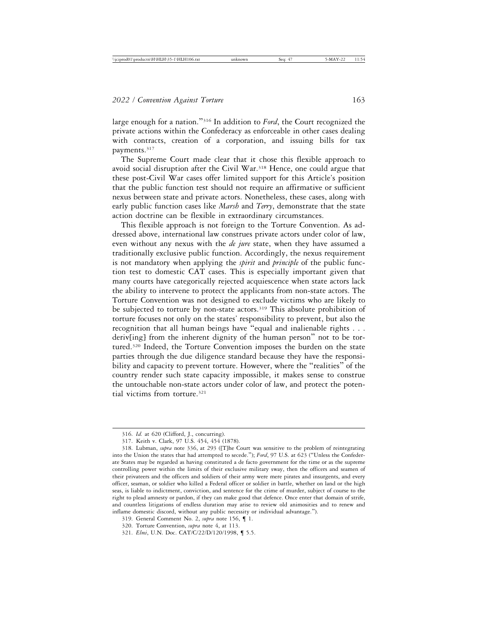large enough for a nation."316 In addition to *Ford*, the Court recognized the private actions within the Confederacy as enforceable in other cases dealing with contracts, creation of a corporation, and issuing bills for tax payments.<sup>317</sup>

The Supreme Court made clear that it chose this flexible approach to avoid social disruption after the Civil War.<sup>318</sup> Hence, one could argue that these post-Civil War cases offer limited support for this Article's position that the public function test should not require an affirmative or sufficient nexus between state and private actors. Nonetheless, these cases, along with early public function cases like *Marsh* and *Terry*, demonstrate that the state action doctrine can be flexible in extraordinary circumstances.

This flexible approach is not foreign to the Torture Convention. As addressed above, international law construes private actors under color of law, even without any nexus with the *de jure* state, when they have assumed a traditionally exclusive public function. Accordingly, the nexus requirement is not mandatory when applying the *spirit* and *principle* of the public function test to domestic CAT cases. This is especially important given that many courts have categorically rejected acquiescence when state actors lack the ability to intervene to protect the applicants from non-state actors. The Torture Convention was not designed to exclude victims who are likely to be subjected to torture by non-state actors.<sup>319</sup> This absolute prohibition of torture focuses not only on the states' responsibility to prevent, but also the recognition that all human beings have "equal and inalienable rights . . . deriv[ing] from the inherent dignity of the human person" not to be tortured.320 Indeed, the Torture Convention imposes the burden on the state parties through the due diligence standard because they have the responsibility and capacity to prevent torture. However, where the "realities" of the country render such state capacity impossible, it makes sense to construe the untouchable non-state actors under color of law, and protect the potential victims from torture.321

<sup>316.</sup> *Id.* at 620 (Clifford, J., concurring).

<sup>317.</sup> Keith v. Clark, 97 U.S. 454, 454 (1878).

<sup>318.</sup> Lubman, *supra* note 336, at 293 ([T]he Court was sensitive to the problem of reintegrating into the Union the states that had attempted to secede."); *Ford*, 97 U.S. at 623 ("Unless the Confederate States may be regarded as having constituted a de facto government for the time or as the supreme controlling power within the limits of their exclusive military sway, then the officers and seamen of their privateers and the officers and soldiers of their army were mere pirates and insurgents, and every officer, seaman, or soldier who killed a Federal officer or soldier in battle, whether on land or the high seas, is liable to indictment, conviction, and sentence for the crime of murder, subject of course to the right to plead amnesty or pardon, if they can make good that defence. Once enter that domain of strife, and countless litigations of endless duration may arise to review old animosities and to renew and inflame domestic discord, without any public necessity or individual advantage.").

<sup>319.</sup> General Comment No. 2, *supra* note 156, ¶ 1.

<sup>320.</sup> Torture Convention, *supra* note 4, at 113.

<sup>321.</sup> *Elmi*, U.N. Doc. CAT/C/22/D/120/1998, ¶ 5.5.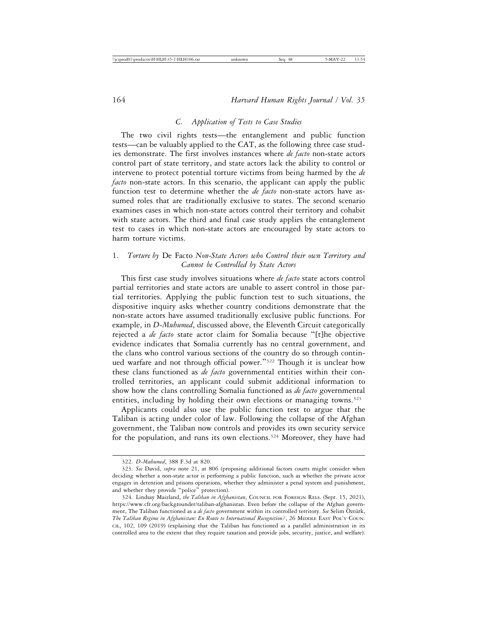# *C. Application of Tests to Case Studies*

The two civil rights tests—the entanglement and public function tests—can be valuably applied to the CAT, as the following three case studies demonstrate. The first involves instances where *de facto* non-state actors control part of state territory, and state actors lack the ability to control or intervene to protect potential torture victims from being harmed by the *de facto* non-state actors. In this scenario, the applicant can apply the public function test to determine whether the *de facto* non-state actors have assumed roles that are traditionally exclusive to states. The second scenario examines cases in which non-state actors control their territory and cohabit with state actors. The third and final case study applies the entanglement test to cases in which non-state actors are encouraged by state actors to harm torture victims.

# 1. *Torture by* De Facto *Non-State Actors who Control their own Territory and Cannot be Controlled by State Actors*

This first case study involves situations where *de facto* state actors control partial territories and state actors are unable to assert control in those partial territories. Applying the public function test to such situations, the dispositive inquiry asks whether country conditions demonstrate that the non-state actors have assumed traditionally exclusive public functions. For example, in *D-Muhumed*, discussed above, the Eleventh Circuit categorically rejected a *de facto* state actor claim for Somalia because "[t]he objective evidence indicates that Somalia currently has no central government, and the clans who control various sections of the country do so through continued warfare and not through official power."322 Though it is unclear how these clans functioned as *de facto* governmental entities within their controlled territories, an applicant could submit additional information to show how the clans controlling Somalia functioned as *de facto* governmental entities, including by holding their own elections or managing towns.<sup>323</sup>

Applicants could also use the public function test to argue that the Taliban is acting under color of law. Following the collapse of the Afghan government, the Taliban now controls and provides its own security service for the population, and runs its own elections.<sup>324</sup> Moreover, they have had

<sup>322.</sup> *D-Muhumed*, 388 F.3d at 820.

<sup>323.</sup> *See* David, *supra* note 21, at 806 (proposing additional factors courts might consider when deciding whether a non-state actor is performing a public function, such as whether the private actor engages in detention and prisons operations, whether they administer a penal system and punishment, and whether they provide "police" protection).

<sup>324.</sup> Lindsay Maizland, *the Taliban in Afghanistan*, COUNCIL FOR FOREIGN RELS. (Sept. 15, 2021), https://www.cfr.org/backgrounder/taliban-afghanistan. Even before the collapse of the Afghan government, The Taliban functioned as a *de facto government within its controlled territory. See* Selim Öztürk, *The Taliban Regime in Afghanistan: En Route to International Recognition?*, 26 MIDDLE EAST POL'Y COUN-CIL, 102, 109 (2019) (explaining that the Taliban has functioned as a parallel administration in its controlled area to the extent that they require taxation and provide jobs, security, justice, and welfare).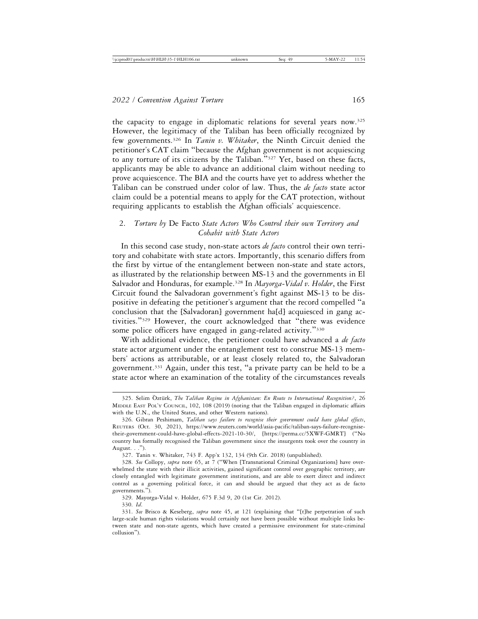the capacity to engage in diplomatic relations for several years now.325 However, the legitimacy of the Taliban has been officially recognized by few governments.326 In *Tanin v. Whitaker*, the Ninth Circuit denied the petitioner's CAT claim "because the Afghan government is not acquiescing to any torture of its citizens by the Taliban."327 Yet, based on these facts, applicants may be able to advance an additional claim without needing to prove acquiescence. The BIA and the courts have yet to address whether the Taliban can be construed under color of law. Thus, the *de facto* state actor claim could be a potential means to apply for the CAT protection, without requiring applicants to establish the Afghan officials' acquiescence.

# 2. *Torture by* De Facto *State Actors Who Control their own Territory and Cohabit with State Actors*

In this second case study, non-state actors *de facto* control their own territory and cohabitate with state actors. Importantly, this scenario differs from the first by virtue of the entanglement between non-state and state actors, as illustrated by the relationship between MS-13 and the governments in El Salvador and Honduras, for example.328 In *Mayorga-Vidal v. Holder*, the First Circuit found the Salvadoran government's fight against MS-13 to be dispositive in defeating the petitioner's argument that the record compelled "a conclusion that the [Salvadoran] government ha[d] acquiesced in gang activities."329 However, the court acknowledged that "there was evidence some police officers have engaged in gang-related activity."<sup>330</sup>

With additional evidence, the petitioner could have advanced a *de facto* state actor argument under the entanglement test to construe MS-13 members' actions as attributable, or at least closely related to, the Salvadoran government.331 Again, under this test, "a private party can be held to be a state actor where an examination of the totality of the circumstances reveals

330. *Id*.

<sup>325.</sup> Selim Öztürk, The Taliban Regime in Afghanistan: En Route to International Recognition?, 26 MIDDLE EAST POL'Y COUNCIL, 102, 108 (2019) (noting that the Taliban engaged in diplomatic affairs with the U.N., the United States, and other Western nations).

<sup>326.</sup> Gibran Peshimam, *Taliban says failure to recognise their government could have global effects*, REUTERS (Oct. 30, 2021), https://www.reuters.com/world/asia-pacific/taliban-says-failure-recognisetheir-government-could-have-global-effects-2021-10-30/, [https://perma.cc/5XWF-GMRT] ("No country has formally recognised the Taliban government since the insurgents took over the country in August. . .").

<sup>327.</sup> Tanin v. Whitaker, 743 F. App'x 132, 134 (9th Cir. 2018) (unpublished).

<sup>328.</sup> *See* Collopy, *supra* note 65, at 7 ("When [Transnational Criminal Organizations] have overwhelmed the state with their illicit activities, gained significant control over geographic territory, are closely entangled with legitimate government institutions, and are able to exert direct and indirect control as a governing political force, it can and should be argued that they act as de facto governments.").

<sup>329.</sup> Mayorga-Vidal v. Holder, 675 F.3d 9, 20 (1st Cir. 2012).

<sup>331.</sup> *See* Brisco & Keseberg, *supra* note 45, at 121 (explaining that "[t]he perpetration of such large-scale human rights violations would certainly not have been possible without multiple links between state and non-state agents, which have created a permissive environment for state-criminal collusion").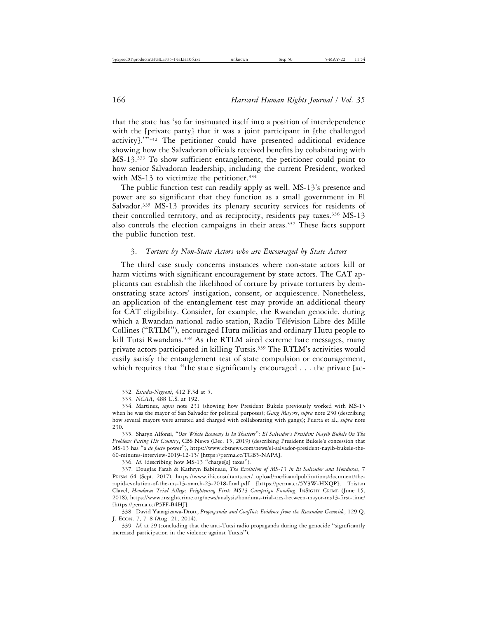that the state has 'so far insinuated itself into a position of interdependence with the [private party] that it was a joint participant in [the challenged] activity].'"332 The petitioner could have presented additional evidence showing how the Salvadoran officials received benefits by cohabitating with MS-13.333 To show sufficient entanglement, the petitioner could point to how senior Salvadoran leadership, including the current President, worked with MS-13 to victimize the petitioner.<sup>334</sup>

The public function test can readily apply as well. MS-13's presence and power are so significant that they function as a small government in El Salvador.<sup>335</sup> MS-13 provides its plenary security services for residents of their controlled territory, and as reciprocity, residents pay taxes.<sup>336</sup> MS-13 also controls the election campaigns in their areas.<sup>337</sup> These facts support the public function test.

## 3. *Torture by Non-State Actors who are Encouraged by State Actors*

The third case study concerns instances where non-state actors kill or harm victims with significant encouragement by state actors. The CAT applicants can establish the likelihood of torture by private torturers by demonstrating state actors' instigation, consent, or acquiescence. Nonetheless, an application of the entanglement test may provide an additional theory for CAT eligibility. Consider, for example, the Rwandan genocide, during which a Rwandan national radio station, Radio Télévision Libre des Mille Collines ("RTLM"), encouraged Hutu militias and ordinary Hutu people to kill Tutsi Rwandans.<sup>338</sup> As the RTLM aired extreme hate messages, many private actors participated in killing Tutsis.<sup>339</sup> The RTLM's activities would easily satisfy the entanglement test of state compulsion or encouragement, which requires that "the state significantly encouraged . . . the private [ac-

336. *Id*. (describing how MS-13 "charge[s] taxes").

337. Douglas Farah & Kathryn Babineau, *The Evolution of MS-13 in El Salvador and Honduras*, 7 PRISM 64 (Sept. 2017), https://www.ibiconsultants.net/\_upload/mediaandpublications/document/therapid-evolution-of-the-ms-13-march-23-2018-final.pdf [https://perma.cc/5Y3W-HXQP]; Tristan Clavel, *Honduras Trial Alleges Frightening First: MS13 Campaign Funding*, INSIGHT CRIME (June 15, 2018), https://www.insightcrime.org/news/analysis/honduras-trial-ties-between-mayor-ms13-first-time/ [https://perma.cc/P5FF-B4HJ].

<sup>332.</sup> *Estades-Negroni*, 412 F.3d at 5.

<sup>333.</sup> *NCAA*, 488 U.S. at 192.

<sup>334.</sup> Martinez, *supra* note 231 (showing how President Bukele previously worked with MS-13 when he was the mayor of San Salvador for political purposes); *Gang Mayors*, *supra* note 230 (describing how several mayors were arrested and charged with collaborating with gangs); Puerta et al., *supra* note 230.

<sup>335.</sup> Sharyn Alfonsi, "*Our Whole Economy Is In Shatters*"*: El Salvador's President Nayib Bukele On The Problems Facing His Country*, CBS NEWS (Dec. 15, 2019) (describing President Bukele's concession that MS-13 has "a *de facto* power"), https://www.cbsnews.com/news/el-salvador-president-nayib-bukele-the-60-minutes-interview-2019-12-15/ [https://perma.cc/TGB5-NAPA].

<sup>338.</sup> David Yanagizawa-Drott, *Propaganda and Conflict: Evidence from the Rwandan Genocide*, 129 Q. J. ECON. 7, 7–8 (Aug. 21, 2014).

<sup>339.</sup> *Id*. at 29 (concluding that the anti-Tutsi radio propaganda during the genocide "significantly increased participation in the violence against Tutsis").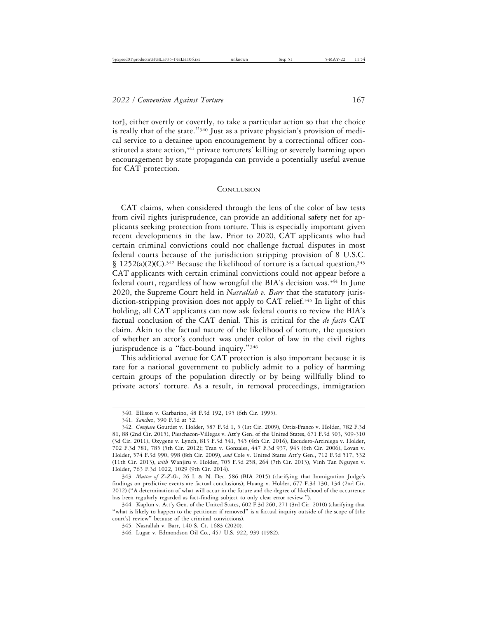tor], either overtly or covertly, to take a particular action so that the choice is really that of the state."340 Just as a private physician's provision of medical service to a detainee upon encouragement by a correctional officer constituted a state action,<sup>341</sup> private torturers' killing or severely harming upon encouragement by state propaganda can provide a potentially useful avenue for CAT protection.

#### **CONCLUSION**

CAT claims, when considered through the lens of the color of law tests from civil rights jurisprudence, can provide an additional safety net for applicants seeking protection from torture. This is especially important given recent developments in the law. Prior to 2020, CAT applicants who had certain criminal convictions could not challenge factual disputes in most federal courts because of the jurisdiction stripping provision of 8 U.S.C. § 1252(a)(2)(C).<sup>342</sup> Because the likelihood of torture is a factual question,<sup>343</sup> CAT applicants with certain criminal convictions could not appear before a federal court, regardless of how wrongful the BIA's decision was.344 In June 2020, the Supreme Court held in *Nasrallah v. Barr* that the statutory jurisdiction-stripping provision does not apply to CAT relief.<sup>345</sup> In light of this holding, all CAT applicants can now ask federal courts to review the BIA's factual conclusion of the CAT denial. This is critical for the *de facto* CAT claim. Akin to the factual nature of the likelihood of torture, the question of whether an actor's conduct was under color of law in the civil rights jurisprudence is a "fact-bound inquiry."<sup>346</sup>

This additional avenue for CAT protection is also important because it is rare for a national government to publicly admit to a policy of harming certain groups of the population directly or by being willfully blind to private actors' torture. As a result, in removal proceedings, immigration

<sup>340.</sup> Ellison v. Garbarino, 48 F.3d 192, 195 (6th Cir. 1995).

<sup>341.</sup> *Sanchez*, 590 F.3d at 52.

<sup>342.</sup> *Compare* Gourdet v. Holder, 587 F.3d 1, 5 (1st Cir. 2009), Ortiz-Franco v. Holder, 782 F.3d 81, 88 (2nd Cir. 2015), Pieschacon-Villegas v. Att'y Gen. of the United States, 671 F.3d 303, 309-310 (3d Cir. 2011), Oxygene v. Lynch, 813 F.3d 541, 545 (4th Cir. 2016), Escudero-Arciniega v. Holder, 702 F.3d 781, 785 (5th Cir. 2012); Tran v. Gonzales, 447 F.3d 937, 943 (6th Cir. 2006), Lovan v. Holder, 574 F.3d 990, 998 (8th Cir. 2009), *and* Cole v. United States Att'y Gen., 712 F.3d 517, 532 (11th Cir. 2013), *with* Wanjiru v. Holder, 705 F.3d 258, 264 (7th Cir. 2013), Vinh Tan Nguyen v. Holder, 763 F.3d 1022, 1029 (9th Cir. 2014).

<sup>343.</sup> *Matter of Z-Z-O-*, 26 I. & N. Dec. 586 (BIA 2015) (clarifying that Immigration Judge's findings on predictive events are factual conclusions); Huang v. Holder, 677 F.3d 130, 134 (2nd Cir. 2012) ("A determination of what will occur in the future and the degree of likelihood of the occurrence has been regularly regarded as fact-finding subject to only clear error review.").

<sup>344.</sup> Kaplun v. Att'y Gen. of the United States, 602 F.3d 260, 271 (3rd Cir. 2010) (clarifying that "what is likely to happen to the petitioner if removed" is a factual inquiry outside of the scope of [the court's] review" because of the criminal convictions).

<sup>345.</sup> Nasrallah v. Barr, 140 S. Ct. 1683 (2020).

<sup>346.</sup> Lugar v. Edmondson Oil Co., 457 U.S. 922, 939 (1982).